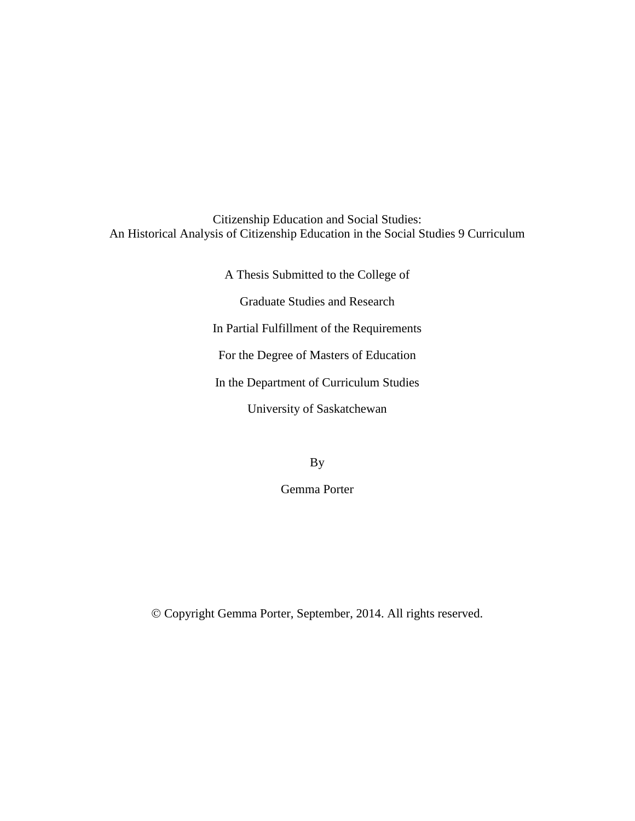Citizenship Education and Social Studies: An Historical Analysis of Citizenship Education in the Social Studies 9 Curriculum

> A Thesis Submitted to the College of Graduate Studies and Research In Partial Fulfillment of the Requirements For the Degree of Masters of Education In the Department of Curriculum Studies University of Saskatchewan

> > By

Gemma Porter

Copyright Gemma Porter, September, 2014. All rights reserved.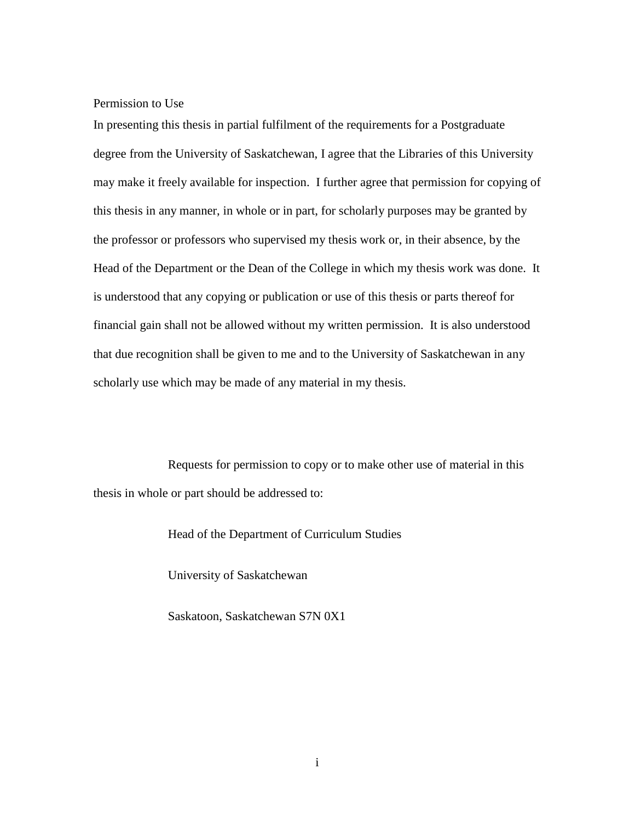Permission to Use

In presenting this thesis in partial fulfilment of the requirements for a Postgraduate degree from the University of Saskatchewan, I agree that the Libraries of this University may make it freely available for inspection. I further agree that permission for copying of this thesis in any manner, in whole or in part, for scholarly purposes may be granted by the professor or professors who supervised my thesis work or, in their absence, by the Head of the Department or the Dean of the College in which my thesis work was done. It is understood that any copying or publication or use of this thesis or parts thereof for financial gain shall not be allowed without my written permission. It is also understood that due recognition shall be given to me and to the University of Saskatchewan in any scholarly use which may be made of any material in my thesis.

Requests for permission to copy or to make other use of material in this thesis in whole or part should be addressed to:

Head of the Department of Curriculum Studies

University of Saskatchewan

Saskatoon, Saskatchewan S7N 0X1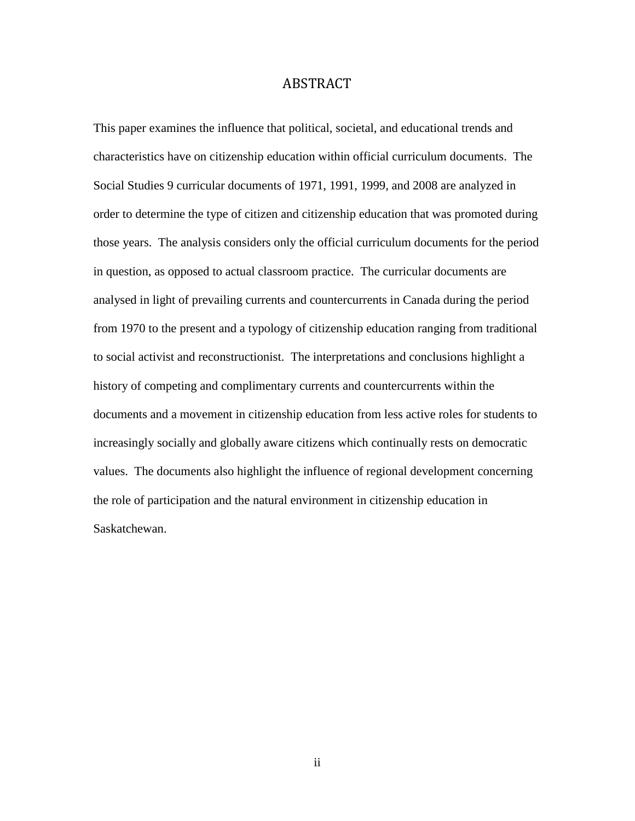# ABSTRACT

<span id="page-2-0"></span>This paper examines the influence that political, societal, and educational trends and characteristics have on citizenship education within official curriculum documents. The Social Studies 9 curricular documents of 1971, 1991, 1999, and 2008 are analyzed in order to determine the type of citizen and citizenship education that was promoted during those years. The analysis considers only the official curriculum documents for the period in question, as opposed to actual classroom practice. The curricular documents are analysed in light of prevailing currents and countercurrents in Canada during the period from 1970 to the present and a typology of citizenship education ranging from traditional to social activist and reconstructionist. The interpretations and conclusions highlight a history of competing and complimentary currents and countercurrents within the documents and a movement in citizenship education from less active roles for students to increasingly socially and globally aware citizens which continually rests on democratic values. The documents also highlight the influence of regional development concerning the role of participation and the natural environment in citizenship education in Saskatchewan.

ii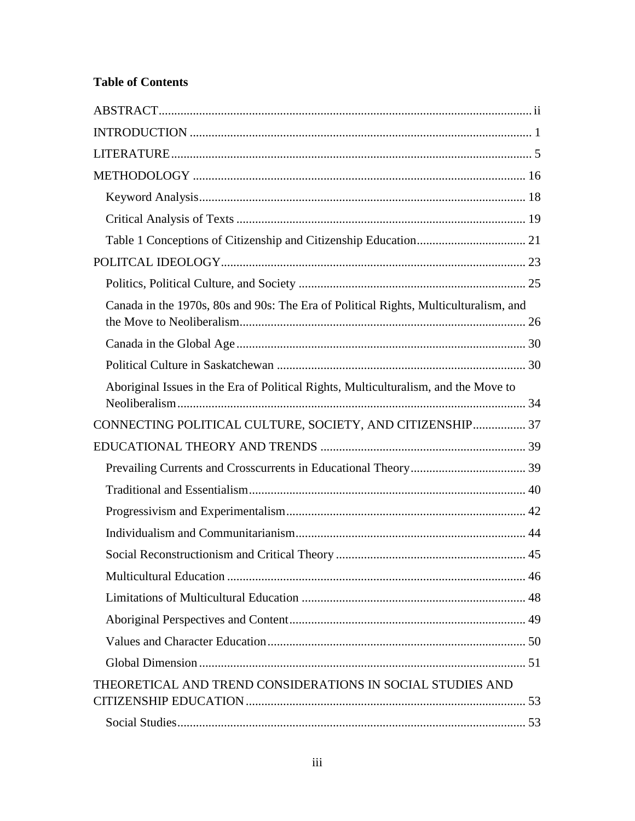# **Table of Contents**

| Canada in the 1970s, 80s and 90s: The Era of Political Rights, Multiculturalism, and |  |
|--------------------------------------------------------------------------------------|--|
|                                                                                      |  |
|                                                                                      |  |
| Aboriginal Issues in the Era of Political Rights, Multiculturalism, and the Move to  |  |
| CONNECTING POLITICAL CULTURE, SOCIETY, AND CITIZENSHIP 37                            |  |
|                                                                                      |  |
|                                                                                      |  |
|                                                                                      |  |
|                                                                                      |  |
|                                                                                      |  |
|                                                                                      |  |
|                                                                                      |  |
|                                                                                      |  |
|                                                                                      |  |
|                                                                                      |  |
|                                                                                      |  |
| THEORETICAL AND TREND CONSIDERATIONS IN SOCIAL STUDIES AND                           |  |
|                                                                                      |  |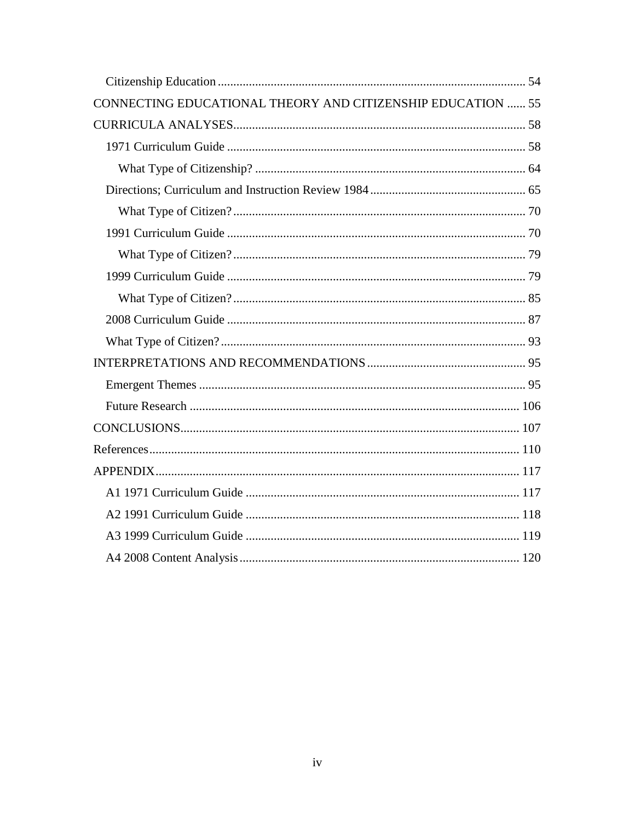| CONNECTING EDUCATIONAL THEORY AND CITIZENSHIP EDUCATION  55 |  |
|-------------------------------------------------------------|--|
|                                                             |  |
|                                                             |  |
|                                                             |  |
|                                                             |  |
|                                                             |  |
|                                                             |  |
|                                                             |  |
|                                                             |  |
|                                                             |  |
|                                                             |  |
|                                                             |  |
|                                                             |  |
|                                                             |  |
|                                                             |  |
|                                                             |  |
|                                                             |  |
|                                                             |  |
|                                                             |  |
|                                                             |  |
|                                                             |  |
|                                                             |  |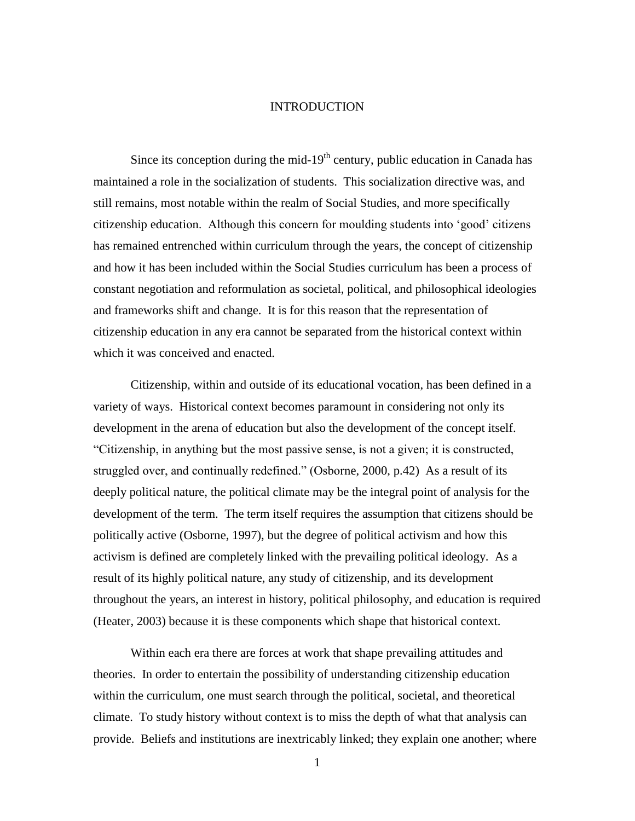#### INTRODUCTION

<span id="page-5-0"></span>Since its conception during the mid-19<sup>th</sup> century, public education in Canada has maintained a role in the socialization of students. This socialization directive was, and still remains, most notable within the realm of Social Studies, and more specifically citizenship education. Although this concern for moulding students into 'good' citizens has remained entrenched within curriculum through the years, the concept of citizenship and how it has been included within the Social Studies curriculum has been a process of constant negotiation and reformulation as societal, political, and philosophical ideologies and frameworks shift and change. It is for this reason that the representation of citizenship education in any era cannot be separated from the historical context within which it was conceived and enacted.

Citizenship, within and outside of its educational vocation, has been defined in a variety of ways. Historical context becomes paramount in considering not only its development in the arena of education but also the development of the concept itself. "Citizenship, in anything but the most passive sense, is not a given; it is constructed, struggled over, and continually redefined." (Osborne, 2000, p.42) As a result of its deeply political nature, the political climate may be the integral point of analysis for the development of the term. The term itself requires the assumption that citizens should be politically active (Osborne, 1997), but the degree of political activism and how this activism is defined are completely linked with the prevailing political ideology. As a result of its highly political nature, any study of citizenship, and its development throughout the years, an interest in history, political philosophy, and education is required (Heater, 2003) because it is these components which shape that historical context.

Within each era there are forces at work that shape prevailing attitudes and theories. In order to entertain the possibility of understanding citizenship education within the curriculum, one must search through the political, societal, and theoretical climate. To study history without context is to miss the depth of what that analysis can provide. Beliefs and institutions are inextricably linked; they explain one another; where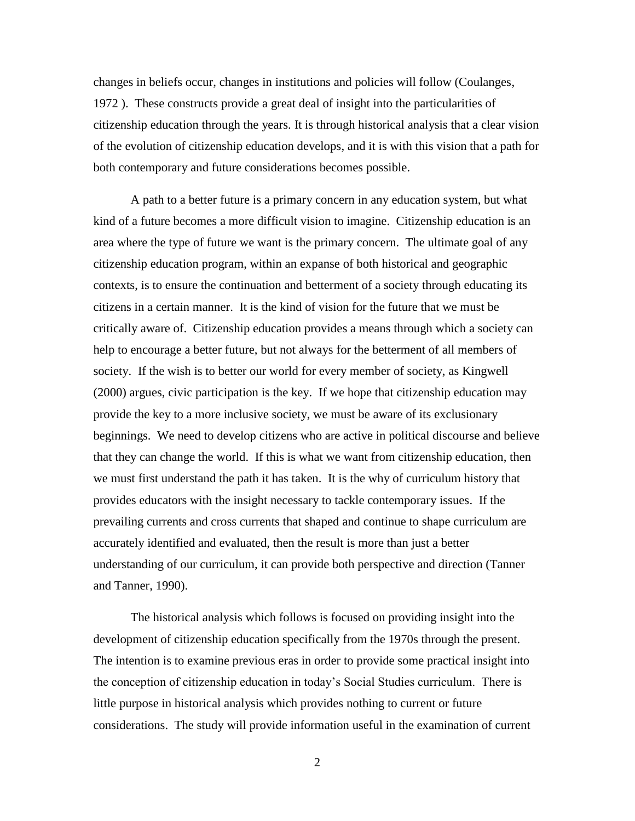changes in beliefs occur, changes in institutions and policies will follow (Coulanges, 1972 ). These constructs provide a great deal of insight into the particularities of citizenship education through the years. It is through historical analysis that a clear vision of the evolution of citizenship education develops, and it is with this vision that a path for both contemporary and future considerations becomes possible.

A path to a better future is a primary concern in any education system, but what kind of a future becomes a more difficult vision to imagine. Citizenship education is an area where the type of future we want is the primary concern. The ultimate goal of any citizenship education program, within an expanse of both historical and geographic contexts, is to ensure the continuation and betterment of a society through educating its citizens in a certain manner. It is the kind of vision for the future that we must be critically aware of. Citizenship education provides a means through which a society can help to encourage a better future, but not always for the betterment of all members of society. If the wish is to better our world for every member of society, as Kingwell (2000) argues, civic participation is the key. If we hope that citizenship education may provide the key to a more inclusive society, we must be aware of its exclusionary beginnings. We need to develop citizens who are active in political discourse and believe that they can change the world. If this is what we want from citizenship education, then we must first understand the path it has taken. It is the why of curriculum history that provides educators with the insight necessary to tackle contemporary issues. If the prevailing currents and cross currents that shaped and continue to shape curriculum are accurately identified and evaluated, then the result is more than just a better understanding of our curriculum, it can provide both perspective and direction (Tanner and Tanner, 1990).

The historical analysis which follows is focused on providing insight into the development of citizenship education specifically from the 1970s through the present. The intention is to examine previous eras in order to provide some practical insight into the conception of citizenship education in today's Social Studies curriculum. There is little purpose in historical analysis which provides nothing to current or future considerations. The study will provide information useful in the examination of current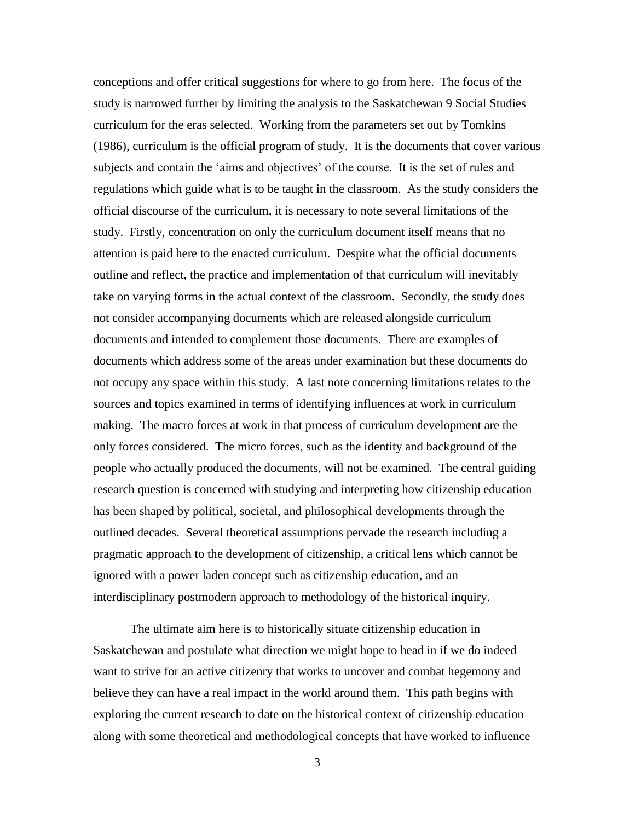conceptions and offer critical suggestions for where to go from here. The focus of the study is narrowed further by limiting the analysis to the Saskatchewan 9 Social Studies curriculum for the eras selected. Working from the parameters set out by Tomkins (1986), curriculum is the official program of study. It is the documents that cover various subjects and contain the 'aims and objectives' of the course. It is the set of rules and regulations which guide what is to be taught in the classroom. As the study considers the official discourse of the curriculum, it is necessary to note several limitations of the study. Firstly, concentration on only the curriculum document itself means that no attention is paid here to the enacted curriculum. Despite what the official documents outline and reflect, the practice and implementation of that curriculum will inevitably take on varying forms in the actual context of the classroom. Secondly, the study does not consider accompanying documents which are released alongside curriculum documents and intended to complement those documents. There are examples of documents which address some of the areas under examination but these documents do not occupy any space within this study. A last note concerning limitations relates to the sources and topics examined in terms of identifying influences at work in curriculum making. The macro forces at work in that process of curriculum development are the only forces considered. The micro forces, such as the identity and background of the people who actually produced the documents, will not be examined. The central guiding research question is concerned with studying and interpreting how citizenship education has been shaped by political, societal, and philosophical developments through the outlined decades. Several theoretical assumptions pervade the research including a pragmatic approach to the development of citizenship, a critical lens which cannot be ignored with a power laden concept such as citizenship education, and an interdisciplinary postmodern approach to methodology of the historical inquiry.

The ultimate aim here is to historically situate citizenship education in Saskatchewan and postulate what direction we might hope to head in if we do indeed want to strive for an active citizenry that works to uncover and combat hegemony and believe they can have a real impact in the world around them. This path begins with exploring the current research to date on the historical context of citizenship education along with some theoretical and methodological concepts that have worked to influence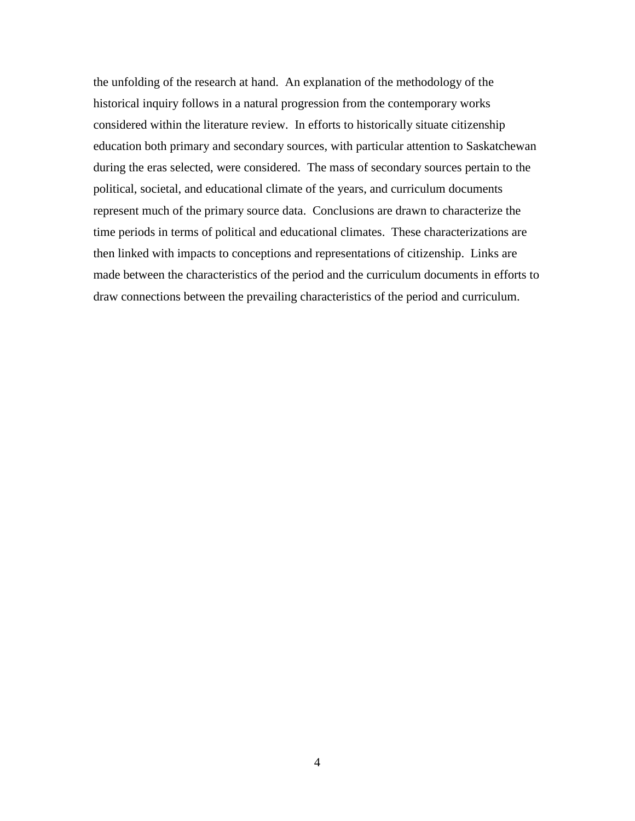<span id="page-8-0"></span>the unfolding of the research at hand. An explanation of the methodology of the historical inquiry follows in a natural progression from the contemporary works considered within the literature review. In efforts to historically situate citizenship education both primary and secondary sources, with particular attention to Saskatchewan during the eras selected, were considered. The mass of secondary sources pertain to the political, societal, and educational climate of the years, and curriculum documents represent much of the primary source data. Conclusions are drawn to characterize the time periods in terms of political and educational climates. These characterizations are then linked with impacts to conceptions and representations of citizenship. Links are made between the characteristics of the period and the curriculum documents in efforts to draw connections between the prevailing characteristics of the period and curriculum.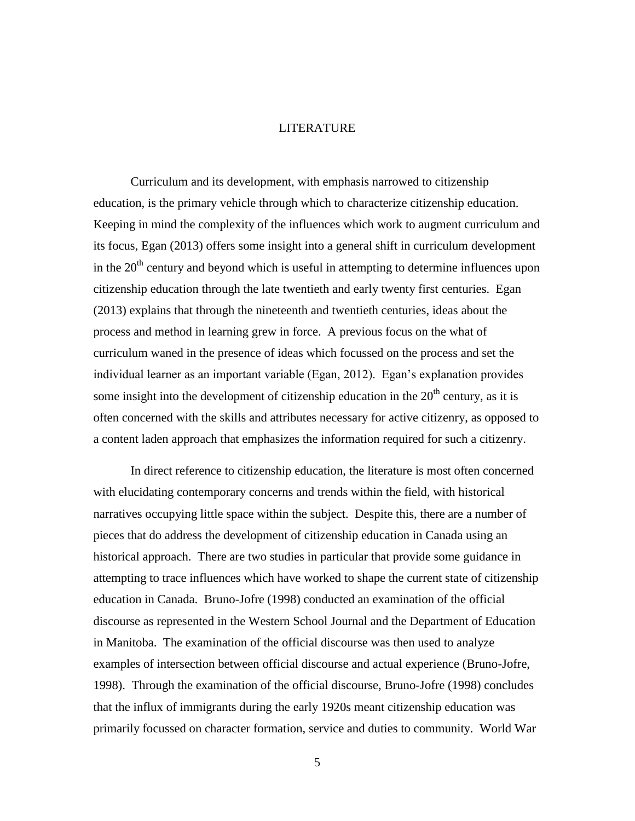## **LITERATURE**

Curriculum and its development, with emphasis narrowed to citizenship education, is the primary vehicle through which to characterize citizenship education. Keeping in mind the complexity of the influences which work to augment curriculum and its focus, Egan (2013) offers some insight into a general shift in curriculum development in the  $20<sup>th</sup>$  century and beyond which is useful in attempting to determine influences upon citizenship education through the late twentieth and early twenty first centuries. Egan (2013) explains that through the nineteenth and twentieth centuries, ideas about the process and method in learning grew in force. A previous focus on the what of curriculum waned in the presence of ideas which focussed on the process and set the individual learner as an important variable (Egan, 2012). Egan's explanation provides some insight into the development of citizenship education in the  $20<sup>th</sup>$  century, as it is often concerned with the skills and attributes necessary for active citizenry, as opposed to a content laden approach that emphasizes the information required for such a citizenry.

In direct reference to citizenship education, the literature is most often concerned with elucidating contemporary concerns and trends within the field, with historical narratives occupying little space within the subject. Despite this, there are a number of pieces that do address the development of citizenship education in Canada using an historical approach. There are two studies in particular that provide some guidance in attempting to trace influences which have worked to shape the current state of citizenship education in Canada. Bruno-Jofre (1998) conducted an examination of the official discourse as represented in the Western School Journal and the Department of Education in Manitoba. The examination of the official discourse was then used to analyze examples of intersection between official discourse and actual experience (Bruno-Jofre, 1998). Through the examination of the official discourse, Bruno-Jofre (1998) concludes that the influx of immigrants during the early 1920s meant citizenship education was primarily focussed on character formation, service and duties to community. World War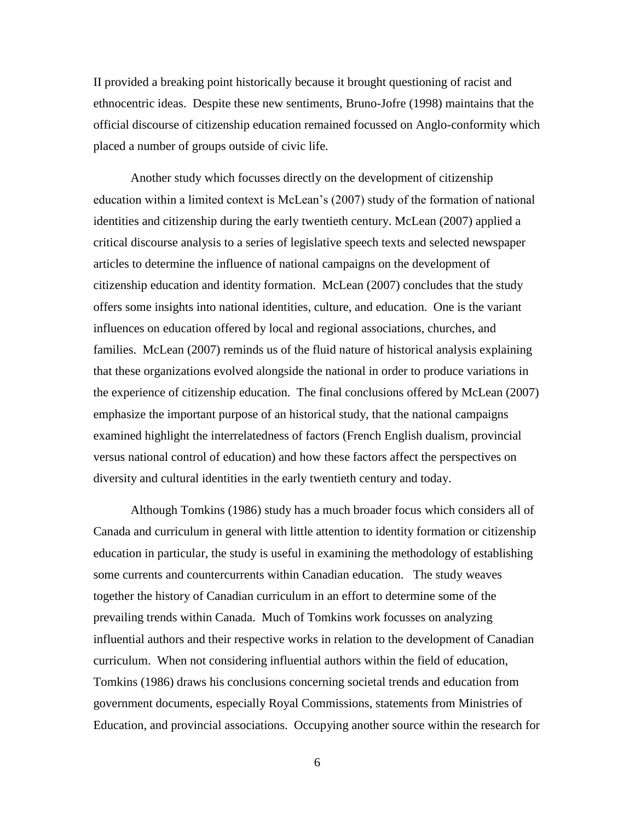II provided a breaking point historically because it brought questioning of racist and ethnocentric ideas. Despite these new sentiments, Bruno-Jofre (1998) maintains that the official discourse of citizenship education remained focussed on Anglo-conformity which placed a number of groups outside of civic life.

Another study which focusses directly on the development of citizenship education within a limited context is McLean's (2007) study of the formation of national identities and citizenship during the early twentieth century. McLean (2007) applied a critical discourse analysis to a series of legislative speech texts and selected newspaper articles to determine the influence of national campaigns on the development of citizenship education and identity formation. McLean (2007) concludes that the study offers some insights into national identities, culture, and education. One is the variant influences on education offered by local and regional associations, churches, and families. McLean (2007) reminds us of the fluid nature of historical analysis explaining that these organizations evolved alongside the national in order to produce variations in the experience of citizenship education. The final conclusions offered by McLean (2007) emphasize the important purpose of an historical study, that the national campaigns examined highlight the interrelatedness of factors (French English dualism, provincial versus national control of education) and how these factors affect the perspectives on diversity and cultural identities in the early twentieth century and today.

Although Tomkins (1986) study has a much broader focus which considers all of Canada and curriculum in general with little attention to identity formation or citizenship education in particular, the study is useful in examining the methodology of establishing some currents and countercurrents within Canadian education. The study weaves together the history of Canadian curriculum in an effort to determine some of the prevailing trends within Canada. Much of Tomkins work focusses on analyzing influential authors and their respective works in relation to the development of Canadian curriculum. When not considering influential authors within the field of education, Tomkins (1986) draws his conclusions concerning societal trends and education from government documents, especially Royal Commissions, statements from Ministries of Education, and provincial associations. Occupying another source within the research for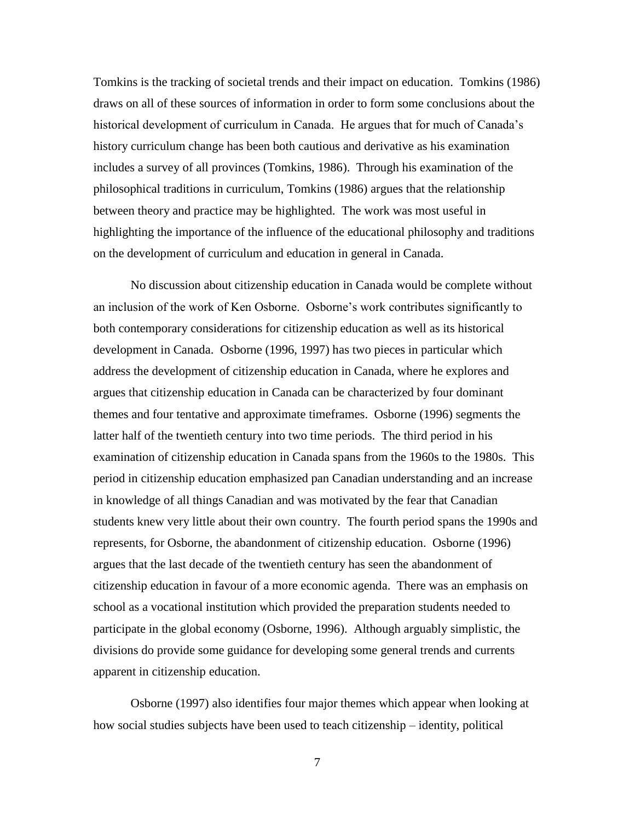Tomkins is the tracking of societal trends and their impact on education. Tomkins (1986) draws on all of these sources of information in order to form some conclusions about the historical development of curriculum in Canada. He argues that for much of Canada's history curriculum change has been both cautious and derivative as his examination includes a survey of all provinces (Tomkins, 1986). Through his examination of the philosophical traditions in curriculum, Tomkins (1986) argues that the relationship between theory and practice may be highlighted. The work was most useful in highlighting the importance of the influence of the educational philosophy and traditions on the development of curriculum and education in general in Canada.

No discussion about citizenship education in Canada would be complete without an inclusion of the work of Ken Osborne. Osborne's work contributes significantly to both contemporary considerations for citizenship education as well as its historical development in Canada. Osborne (1996, 1997) has two pieces in particular which address the development of citizenship education in Canada, where he explores and argues that citizenship education in Canada can be characterized by four dominant themes and four tentative and approximate timeframes. Osborne (1996) segments the latter half of the twentieth century into two time periods. The third period in his examination of citizenship education in Canada spans from the 1960s to the 1980s. This period in citizenship education emphasized pan Canadian understanding and an increase in knowledge of all things Canadian and was motivated by the fear that Canadian students knew very little about their own country. The fourth period spans the 1990s and represents, for Osborne, the abandonment of citizenship education. Osborne (1996) argues that the last decade of the twentieth century has seen the abandonment of citizenship education in favour of a more economic agenda. There was an emphasis on school as a vocational institution which provided the preparation students needed to participate in the global economy (Osborne, 1996). Although arguably simplistic, the divisions do provide some guidance for developing some general trends and currents apparent in citizenship education.

Osborne (1997) also identifies four major themes which appear when looking at how social studies subjects have been used to teach citizenship – identity, political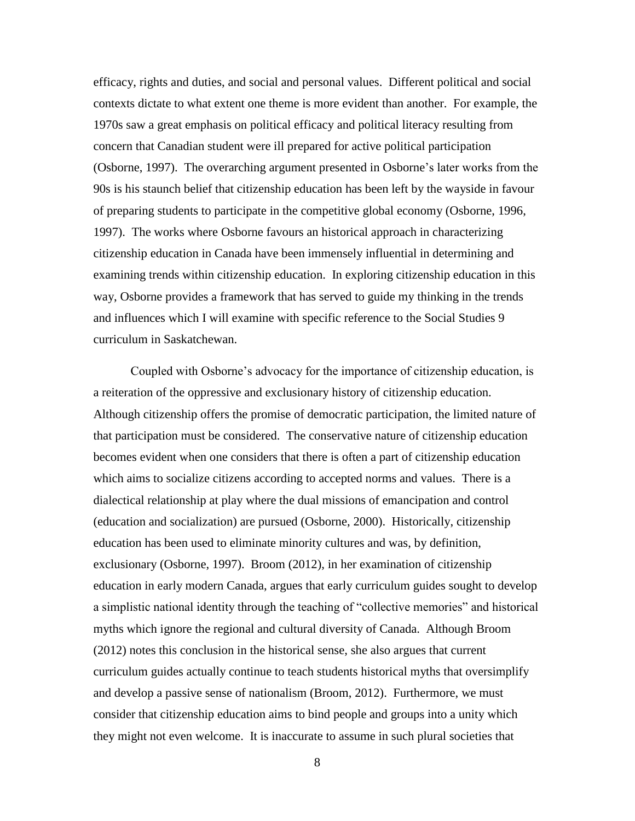efficacy, rights and duties, and social and personal values. Different political and social contexts dictate to what extent one theme is more evident than another. For example, the 1970s saw a great emphasis on political efficacy and political literacy resulting from concern that Canadian student were ill prepared for active political participation (Osborne, 1997). The overarching argument presented in Osborne's later works from the 90s is his staunch belief that citizenship education has been left by the wayside in favour of preparing students to participate in the competitive global economy (Osborne, 1996, 1997). The works where Osborne favours an historical approach in characterizing citizenship education in Canada have been immensely influential in determining and examining trends within citizenship education. In exploring citizenship education in this way, Osborne provides a framework that has served to guide my thinking in the trends and influences which I will examine with specific reference to the Social Studies 9 curriculum in Saskatchewan.

Coupled with Osborne's advocacy for the importance of citizenship education, is a reiteration of the oppressive and exclusionary history of citizenship education. Although citizenship offers the promise of democratic participation, the limited nature of that participation must be considered. The conservative nature of citizenship education becomes evident when one considers that there is often a part of citizenship education which aims to socialize citizens according to accepted norms and values. There is a dialectical relationship at play where the dual missions of emancipation and control (education and socialization) are pursued (Osborne, 2000). Historically, citizenship education has been used to eliminate minority cultures and was, by definition, exclusionary (Osborne, 1997). Broom (2012), in her examination of citizenship education in early modern Canada, argues that early curriculum guides sought to develop a simplistic national identity through the teaching of "collective memories" and historical myths which ignore the regional and cultural diversity of Canada. Although Broom (2012) notes this conclusion in the historical sense, she also argues that current curriculum guides actually continue to teach students historical myths that oversimplify and develop a passive sense of nationalism (Broom, 2012). Furthermore, we must consider that citizenship education aims to bind people and groups into a unity which they might not even welcome. It is inaccurate to assume in such plural societies that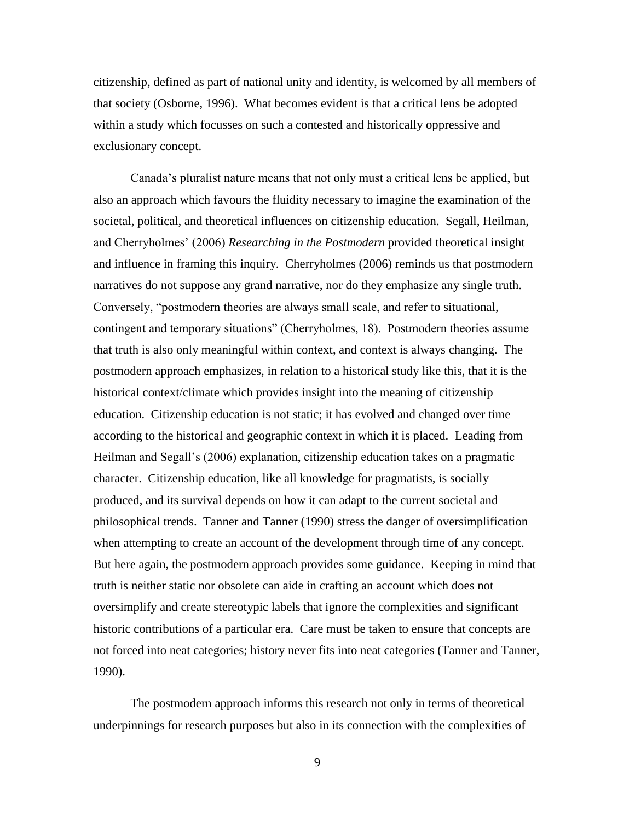citizenship, defined as part of national unity and identity, is welcomed by all members of that society (Osborne, 1996). What becomes evident is that a critical lens be adopted within a study which focusses on such a contested and historically oppressive and exclusionary concept.

Canada's pluralist nature means that not only must a critical lens be applied, but also an approach which favours the fluidity necessary to imagine the examination of the societal, political, and theoretical influences on citizenship education. Segall, Heilman, and Cherryholmes' (2006) *Researching in the Postmodern* provided theoretical insight and influence in framing this inquiry. Cherryholmes (2006) reminds us that postmodern narratives do not suppose any grand narrative, nor do they emphasize any single truth. Conversely, "postmodern theories are always small scale, and refer to situational, contingent and temporary situations" (Cherryholmes, 18). Postmodern theories assume that truth is also only meaningful within context, and context is always changing. The postmodern approach emphasizes, in relation to a historical study like this, that it is the historical context/climate which provides insight into the meaning of citizenship education. Citizenship education is not static; it has evolved and changed over time according to the historical and geographic context in which it is placed. Leading from Heilman and Segall's (2006) explanation, citizenship education takes on a pragmatic character. Citizenship education, like all knowledge for pragmatists, is socially produced, and its survival depends on how it can adapt to the current societal and philosophical trends. Tanner and Tanner (1990) stress the danger of oversimplification when attempting to create an account of the development through time of any concept. But here again, the postmodern approach provides some guidance. Keeping in mind that truth is neither static nor obsolete can aide in crafting an account which does not oversimplify and create stereotypic labels that ignore the complexities and significant historic contributions of a particular era. Care must be taken to ensure that concepts are not forced into neat categories; history never fits into neat categories (Tanner and Tanner, 1990).

The postmodern approach informs this research not only in terms of theoretical underpinnings for research purposes but also in its connection with the complexities of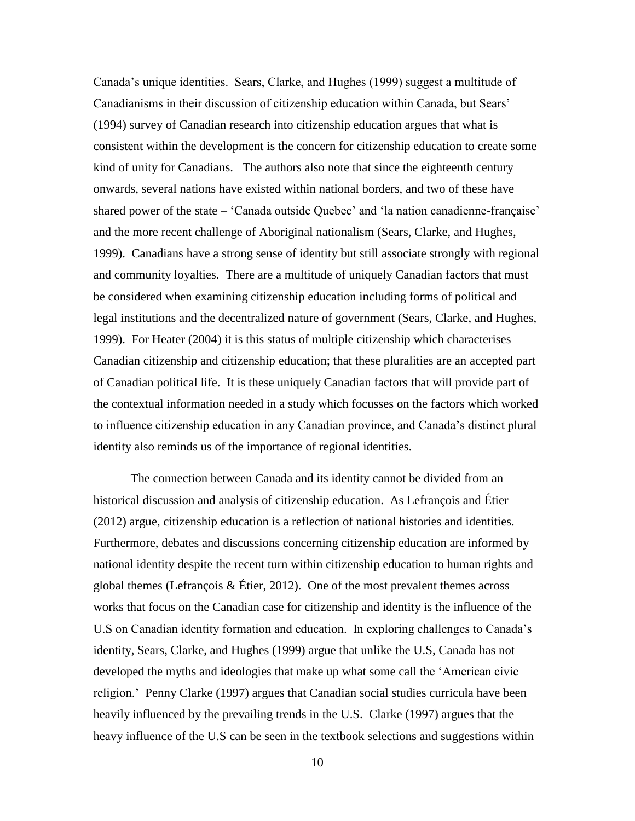Canada's unique identities. Sears, Clarke, and Hughes (1999) suggest a multitude of Canadianisms in their discussion of citizenship education within Canada, but Sears' (1994) survey of Canadian research into citizenship education argues that what is consistent within the development is the concern for citizenship education to create some kind of unity for Canadians. The authors also note that since the eighteenth century onwards, several nations have existed within national borders, and two of these have shared power of the state – 'Canada outside Quebec' and 'la nation canadienne-française' and the more recent challenge of Aboriginal nationalism (Sears, Clarke, and Hughes, 1999). Canadians have a strong sense of identity but still associate strongly with regional and community loyalties. There are a multitude of uniquely Canadian factors that must be considered when examining citizenship education including forms of political and legal institutions and the decentralized nature of government (Sears, Clarke, and Hughes, 1999). For Heater (2004) it is this status of multiple citizenship which characterises Canadian citizenship and citizenship education; that these pluralities are an accepted part of Canadian political life. It is these uniquely Canadian factors that will provide part of the contextual information needed in a study which focusses on the factors which worked to influence citizenship education in any Canadian province, and Canada's distinct plural identity also reminds us of the importance of regional identities.

The connection between Canada and its identity cannot be divided from an historical discussion and analysis of citizenship education. As Lefrançois and Étier (2012) argue, citizenship education is a reflection of national histories and identities. Furthermore, debates and discussions concerning citizenship education are informed by national identity despite the recent turn within citizenship education to human rights and global themes (Lefrançois & Étier, 2012). One of the most prevalent themes across works that focus on the Canadian case for citizenship and identity is the influence of the U.S on Canadian identity formation and education. In exploring challenges to Canada's identity, Sears, Clarke, and Hughes (1999) argue that unlike the U.S, Canada has not developed the myths and ideologies that make up what some call the 'American civic religion.' Penny Clarke (1997) argues that Canadian social studies curricula have been heavily influenced by the prevailing trends in the U.S. Clarke (1997) argues that the heavy influence of the U.S can be seen in the textbook selections and suggestions within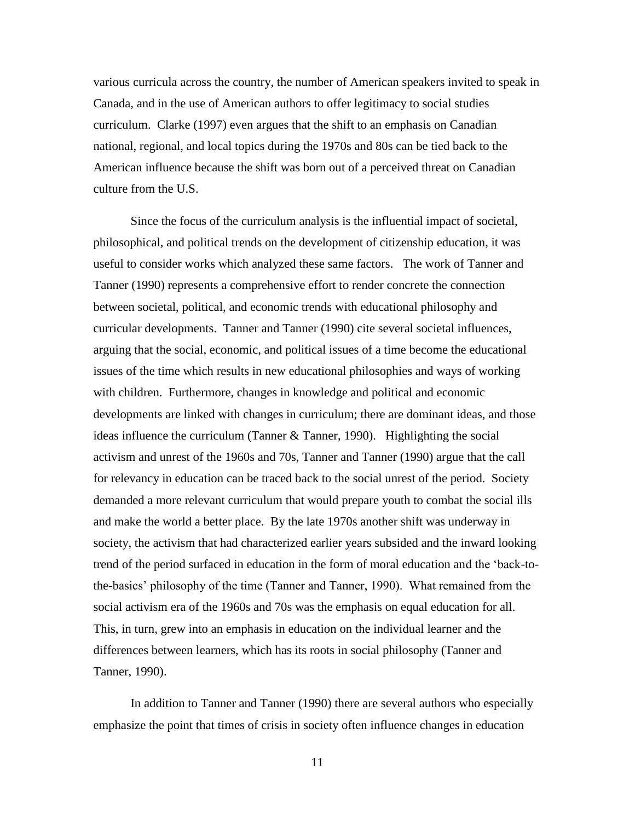various curricula across the country, the number of American speakers invited to speak in Canada, and in the use of American authors to offer legitimacy to social studies curriculum. Clarke (1997) even argues that the shift to an emphasis on Canadian national, regional, and local topics during the 1970s and 80s can be tied back to the American influence because the shift was born out of a perceived threat on Canadian culture from the U.S.

Since the focus of the curriculum analysis is the influential impact of societal, philosophical, and political trends on the development of citizenship education, it was useful to consider works which analyzed these same factors. The work of Tanner and Tanner (1990) represents a comprehensive effort to render concrete the connection between societal, political, and economic trends with educational philosophy and curricular developments. Tanner and Tanner (1990) cite several societal influences, arguing that the social, economic, and political issues of a time become the educational issues of the time which results in new educational philosophies and ways of working with children. Furthermore, changes in knowledge and political and economic developments are linked with changes in curriculum; there are dominant ideas, and those ideas influence the curriculum (Tanner & Tanner, 1990). Highlighting the social activism and unrest of the 1960s and 70s, Tanner and Tanner (1990) argue that the call for relevancy in education can be traced back to the social unrest of the period. Society demanded a more relevant curriculum that would prepare youth to combat the social ills and make the world a better place. By the late 1970s another shift was underway in society, the activism that had characterized earlier years subsided and the inward looking trend of the period surfaced in education in the form of moral education and the 'back-tothe-basics' philosophy of the time (Tanner and Tanner, 1990). What remained from the social activism era of the 1960s and 70s was the emphasis on equal education for all. This, in turn, grew into an emphasis in education on the individual learner and the differences between learners, which has its roots in social philosophy (Tanner and Tanner, 1990).

In addition to Tanner and Tanner (1990) there are several authors who especially emphasize the point that times of crisis in society often influence changes in education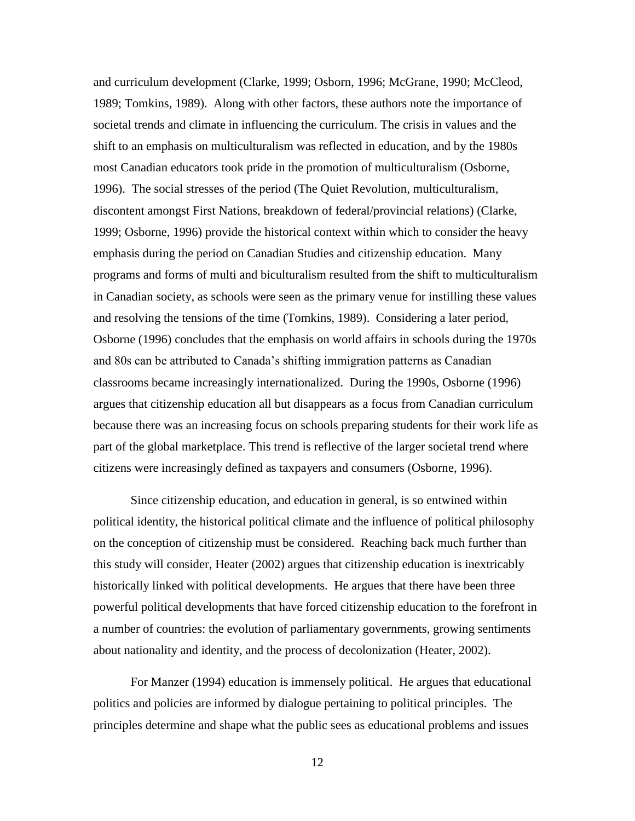and curriculum development (Clarke, 1999; Osborn, 1996; McGrane, 1990; McCleod, 1989; Tomkins, 1989). Along with other factors, these authors note the importance of societal trends and climate in influencing the curriculum. The crisis in values and the shift to an emphasis on multiculturalism was reflected in education, and by the 1980s most Canadian educators took pride in the promotion of multiculturalism (Osborne, 1996). The social stresses of the period (The Quiet Revolution, multiculturalism, discontent amongst First Nations, breakdown of federal/provincial relations) (Clarke, 1999; Osborne, 1996) provide the historical context within which to consider the heavy emphasis during the period on Canadian Studies and citizenship education. Many programs and forms of multi and biculturalism resulted from the shift to multiculturalism in Canadian society, as schools were seen as the primary venue for instilling these values and resolving the tensions of the time (Tomkins, 1989). Considering a later period, Osborne (1996) concludes that the emphasis on world affairs in schools during the 1970s and 80s can be attributed to Canada's shifting immigration patterns as Canadian classrooms became increasingly internationalized. During the 1990s, Osborne (1996) argues that citizenship education all but disappears as a focus from Canadian curriculum because there was an increasing focus on schools preparing students for their work life as part of the global marketplace. This trend is reflective of the larger societal trend where citizens were increasingly defined as taxpayers and consumers (Osborne, 1996).

Since citizenship education, and education in general, is so entwined within political identity, the historical political climate and the influence of political philosophy on the conception of citizenship must be considered. Reaching back much further than this study will consider, Heater (2002) argues that citizenship education is inextricably historically linked with political developments. He argues that there have been three powerful political developments that have forced citizenship education to the forefront in a number of countries: the evolution of parliamentary governments, growing sentiments about nationality and identity, and the process of decolonization (Heater, 2002).

For Manzer (1994) education is immensely political. He argues that educational politics and policies are informed by dialogue pertaining to political principles. The principles determine and shape what the public sees as educational problems and issues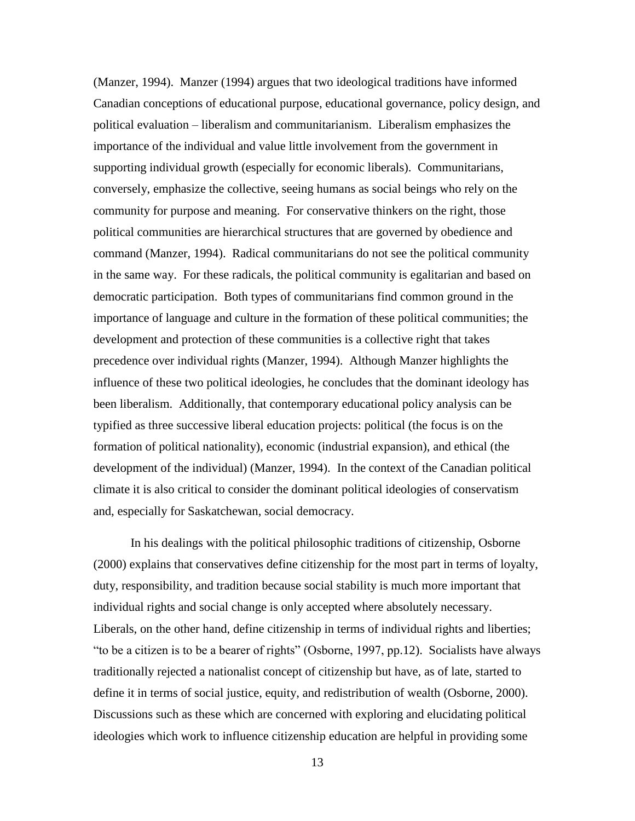(Manzer, 1994). Manzer (1994) argues that two ideological traditions have informed Canadian conceptions of educational purpose, educational governance, policy design, and political evaluation – liberalism and communitarianism. Liberalism emphasizes the importance of the individual and value little involvement from the government in supporting individual growth (especially for economic liberals). Communitarians, conversely, emphasize the collective, seeing humans as social beings who rely on the community for purpose and meaning. For conservative thinkers on the right, those political communities are hierarchical structures that are governed by obedience and command (Manzer, 1994). Radical communitarians do not see the political community in the same way. For these radicals, the political community is egalitarian and based on democratic participation. Both types of communitarians find common ground in the importance of language and culture in the formation of these political communities; the development and protection of these communities is a collective right that takes precedence over individual rights (Manzer, 1994). Although Manzer highlights the influence of these two political ideologies, he concludes that the dominant ideology has been liberalism. Additionally, that contemporary educational policy analysis can be typified as three successive liberal education projects: political (the focus is on the formation of political nationality), economic (industrial expansion), and ethical (the development of the individual) (Manzer, 1994). In the context of the Canadian political climate it is also critical to consider the dominant political ideologies of conservatism and, especially for Saskatchewan, social democracy.

In his dealings with the political philosophic traditions of citizenship, Osborne (2000) explains that conservatives define citizenship for the most part in terms of loyalty, duty, responsibility, and tradition because social stability is much more important that individual rights and social change is only accepted where absolutely necessary. Liberals, on the other hand, define citizenship in terms of individual rights and liberties; "to be a citizen is to be a bearer of rights" (Osborne, 1997, pp.12). Socialists have always traditionally rejected a nationalist concept of citizenship but have, as of late, started to define it in terms of social justice, equity, and redistribution of wealth (Osborne, 2000). Discussions such as these which are concerned with exploring and elucidating political ideologies which work to influence citizenship education are helpful in providing some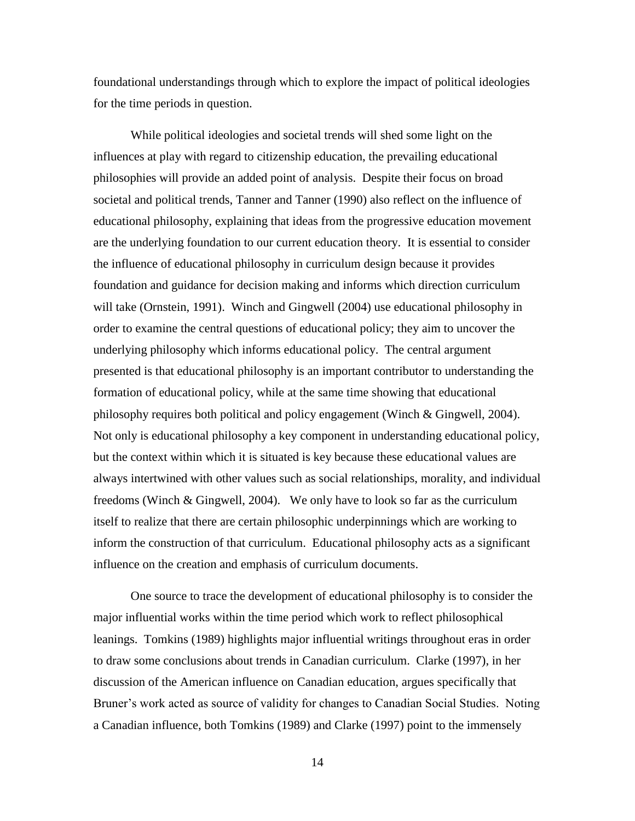foundational understandings through which to explore the impact of political ideologies for the time periods in question.

While political ideologies and societal trends will shed some light on the influences at play with regard to citizenship education, the prevailing educational philosophies will provide an added point of analysis. Despite their focus on broad societal and political trends, Tanner and Tanner (1990) also reflect on the influence of educational philosophy, explaining that ideas from the progressive education movement are the underlying foundation to our current education theory. It is essential to consider the influence of educational philosophy in curriculum design because it provides foundation and guidance for decision making and informs which direction curriculum will take (Ornstein, 1991). Winch and Gingwell (2004) use educational philosophy in order to examine the central questions of educational policy; they aim to uncover the underlying philosophy which informs educational policy. The central argument presented is that educational philosophy is an important contributor to understanding the formation of educational policy, while at the same time showing that educational philosophy requires both political and policy engagement (Winch & Gingwell, 2004). Not only is educational philosophy a key component in understanding educational policy, but the context within which it is situated is key because these educational values are always intertwined with other values such as social relationships, morality, and individual freedoms (Winch & Gingwell, 2004). We only have to look so far as the curriculum itself to realize that there are certain philosophic underpinnings which are working to inform the construction of that curriculum. Educational philosophy acts as a significant influence on the creation and emphasis of curriculum documents.

One source to trace the development of educational philosophy is to consider the major influential works within the time period which work to reflect philosophical leanings. Tomkins (1989) highlights major influential writings throughout eras in order to draw some conclusions about trends in Canadian curriculum. Clarke (1997), in her discussion of the American influence on Canadian education, argues specifically that Bruner's work acted as source of validity for changes to Canadian Social Studies. Noting a Canadian influence, both Tomkins (1989) and Clarke (1997) point to the immensely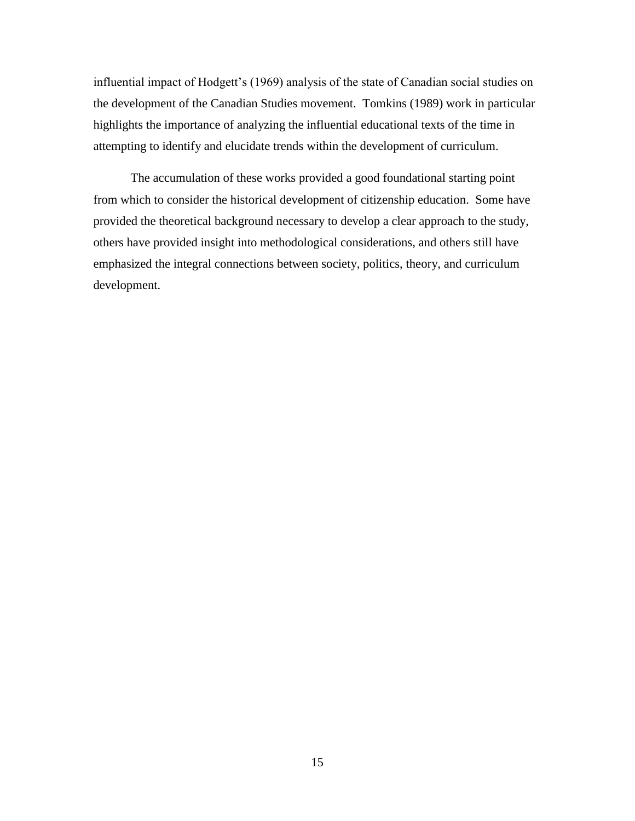influential impact of Hodgett's (1969) analysis of the state of Canadian social studies on the development of the Canadian Studies movement. Tomkins (1989) work in particular highlights the importance of analyzing the influential educational texts of the time in attempting to identify and elucidate trends within the development of curriculum.

The accumulation of these works provided a good foundational starting point from which to consider the historical development of citizenship education. Some have provided the theoretical background necessary to develop a clear approach to the study, others have provided insight into methodological considerations, and others still have emphasized the integral connections between society, politics, theory, and curriculum development.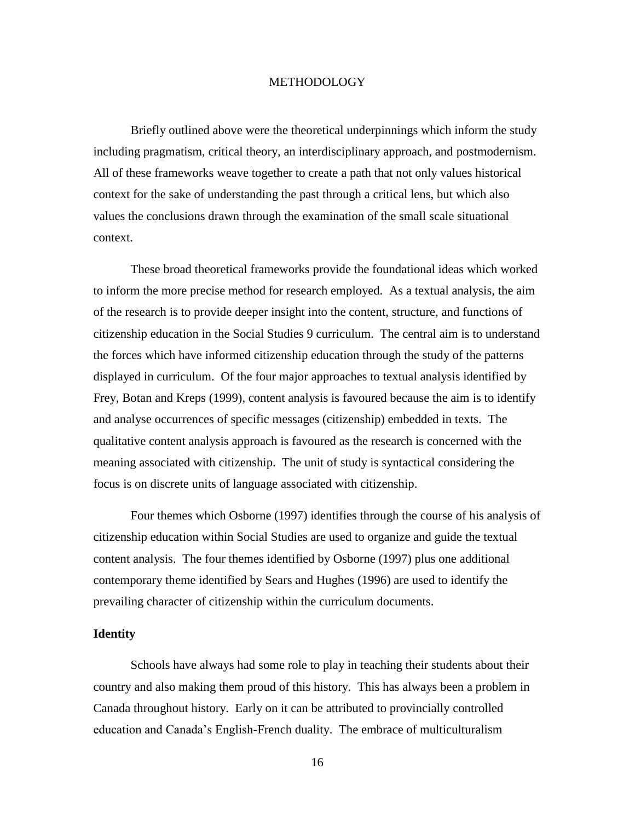### **METHODOLOGY**

<span id="page-20-0"></span>Briefly outlined above were the theoretical underpinnings which inform the study including pragmatism, critical theory, an interdisciplinary approach, and postmodernism. All of these frameworks weave together to create a path that not only values historical context for the sake of understanding the past through a critical lens, but which also values the conclusions drawn through the examination of the small scale situational context.

These broad theoretical frameworks provide the foundational ideas which worked to inform the more precise method for research employed. As a textual analysis, the aim of the research is to provide deeper insight into the content, structure, and functions of citizenship education in the Social Studies 9 curriculum. The central aim is to understand the forces which have informed citizenship education through the study of the patterns displayed in curriculum. Of the four major approaches to textual analysis identified by Frey, Botan and Kreps (1999), content analysis is favoured because the aim is to identify and analyse occurrences of specific messages (citizenship) embedded in texts. The qualitative content analysis approach is favoured as the research is concerned with the meaning associated with citizenship. The unit of study is syntactical considering the focus is on discrete units of language associated with citizenship.

Four themes which Osborne (1997) identifies through the course of his analysis of citizenship education within Social Studies are used to organize and guide the textual content analysis. The four themes identified by Osborne (1997) plus one additional contemporary theme identified by Sears and Hughes (1996) are used to identify the prevailing character of citizenship within the curriculum documents.

### **Identity**

Schools have always had some role to play in teaching their students about their country and also making them proud of this history. This has always been a problem in Canada throughout history. Early on it can be attributed to provincially controlled education and Canada's English-French duality. The embrace of multiculturalism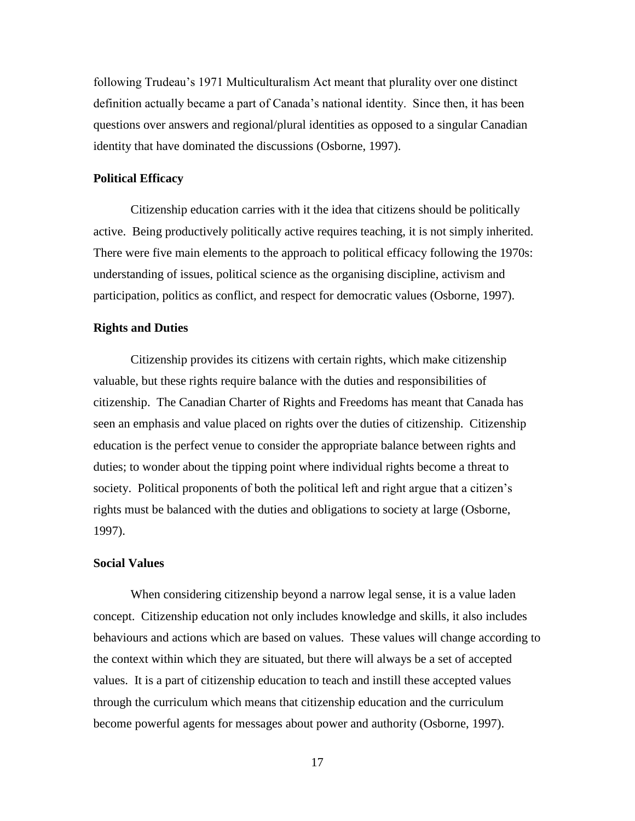following Trudeau's 1971 Multiculturalism Act meant that plurality over one distinct definition actually became a part of Canada's national identity. Since then, it has been questions over answers and regional/plural identities as opposed to a singular Canadian identity that have dominated the discussions (Osborne, 1997).

#### **Political Efficacy**

Citizenship education carries with it the idea that citizens should be politically active. Being productively politically active requires teaching, it is not simply inherited. There were five main elements to the approach to political efficacy following the 1970s: understanding of issues, political science as the organising discipline, activism and participation, politics as conflict, and respect for democratic values (Osborne, 1997).

#### **Rights and Duties**

Citizenship provides its citizens with certain rights, which make citizenship valuable, but these rights require balance with the duties and responsibilities of citizenship. The Canadian Charter of Rights and Freedoms has meant that Canada has seen an emphasis and value placed on rights over the duties of citizenship. Citizenship education is the perfect venue to consider the appropriate balance between rights and duties; to wonder about the tipping point where individual rights become a threat to society. Political proponents of both the political left and right argue that a citizen's rights must be balanced with the duties and obligations to society at large (Osborne, 1997).

#### **Social Values**

When considering citizenship beyond a narrow legal sense, it is a value laden concept. Citizenship education not only includes knowledge and skills, it also includes behaviours and actions which are based on values. These values will change according to the context within which they are situated, but there will always be a set of accepted values. It is a part of citizenship education to teach and instill these accepted values through the curriculum which means that citizenship education and the curriculum become powerful agents for messages about power and authority (Osborne, 1997).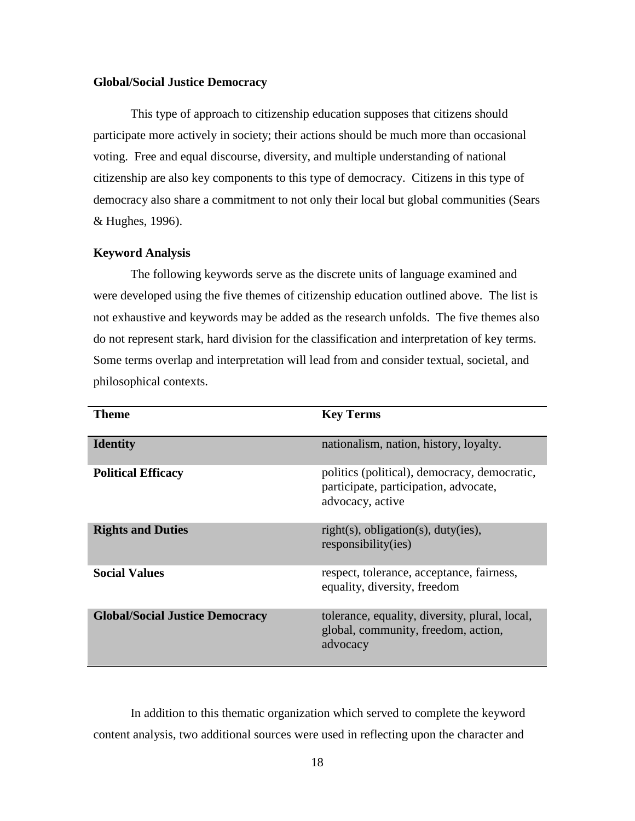## **Global/Social Justice Democracy**

This type of approach to citizenship education supposes that citizens should participate more actively in society; their actions should be much more than occasional voting. Free and equal discourse, diversity, and multiple understanding of national citizenship are also key components to this type of democracy. Citizens in this type of democracy also share a commitment to not only their local but global communities (Sears & Hughes, 1996).

## <span id="page-22-0"></span>**Keyword Analysis**

The following keywords serve as the discrete units of language examined and were developed using the five themes of citizenship education outlined above. The list is not exhaustive and keywords may be added as the research unfolds. The five themes also do not represent stark, hard division for the classification and interpretation of key terms. Some terms overlap and interpretation will lead from and consider textual, societal, and philosophical contexts.

| Theme                                  | <b>Key Terms</b>                                                                                          |
|----------------------------------------|-----------------------------------------------------------------------------------------------------------|
| <b>Identity</b>                        | nationalism, nation, history, loyalty.                                                                    |
| <b>Political Efficacy</b>              | politics (political), democracy, democratic,<br>participate, participation, advocate,<br>advocacy, active |
| <b>Rights and Duties</b>               | $right(s)$ , obligation(s), duty(ies),<br>responsibility(ies)                                             |
| <b>Social Values</b>                   | respect, tolerance, acceptance, fairness,<br>equality, diversity, freedom                                 |
| <b>Global/Social Justice Democracy</b> | tolerance, equality, diversity, plural, local,<br>global, community, freedom, action,<br>advocacy         |

In addition to this thematic organization which served to complete the keyword content analysis, two additional sources were used in reflecting upon the character and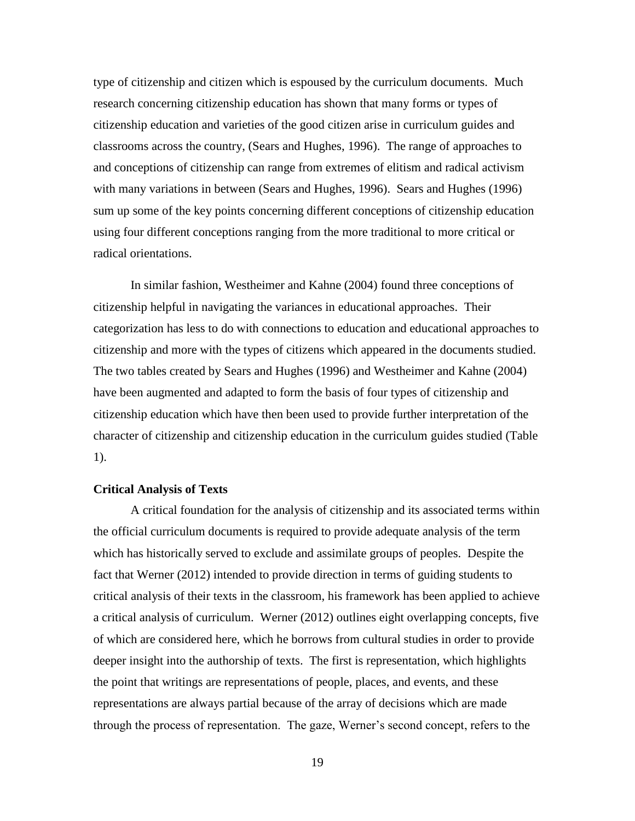type of citizenship and citizen which is espoused by the curriculum documents. Much research concerning citizenship education has shown that many forms or types of citizenship education and varieties of the good citizen arise in curriculum guides and classrooms across the country, (Sears and Hughes, 1996). The range of approaches to and conceptions of citizenship can range from extremes of elitism and radical activism with many variations in between (Sears and Hughes, 1996). Sears and Hughes (1996) sum up some of the key points concerning different conceptions of citizenship education using four different conceptions ranging from the more traditional to more critical or radical orientations.

In similar fashion, Westheimer and Kahne (2004) found three conceptions of citizenship helpful in navigating the variances in educational approaches. Their categorization has less to do with connections to education and educational approaches to citizenship and more with the types of citizens which appeared in the documents studied. The two tables created by Sears and Hughes (1996) and Westheimer and Kahne (2004) have been augmented and adapted to form the basis of four types of citizenship and citizenship education which have then been used to provide further interpretation of the character of citizenship and citizenship education in the curriculum guides studied (Table 1).

#### <span id="page-23-0"></span>**Critical Analysis of Texts**

A critical foundation for the analysis of citizenship and its associated terms within the official curriculum documents is required to provide adequate analysis of the term which has historically served to exclude and assimilate groups of peoples. Despite the fact that Werner (2012) intended to provide direction in terms of guiding students to critical analysis of their texts in the classroom, his framework has been applied to achieve a critical analysis of curriculum. Werner (2012) outlines eight overlapping concepts, five of which are considered here, which he borrows from cultural studies in order to provide deeper insight into the authorship of texts. The first is representation, which highlights the point that writings are representations of people, places, and events, and these representations are always partial because of the array of decisions which are made through the process of representation. The gaze, Werner's second concept, refers to the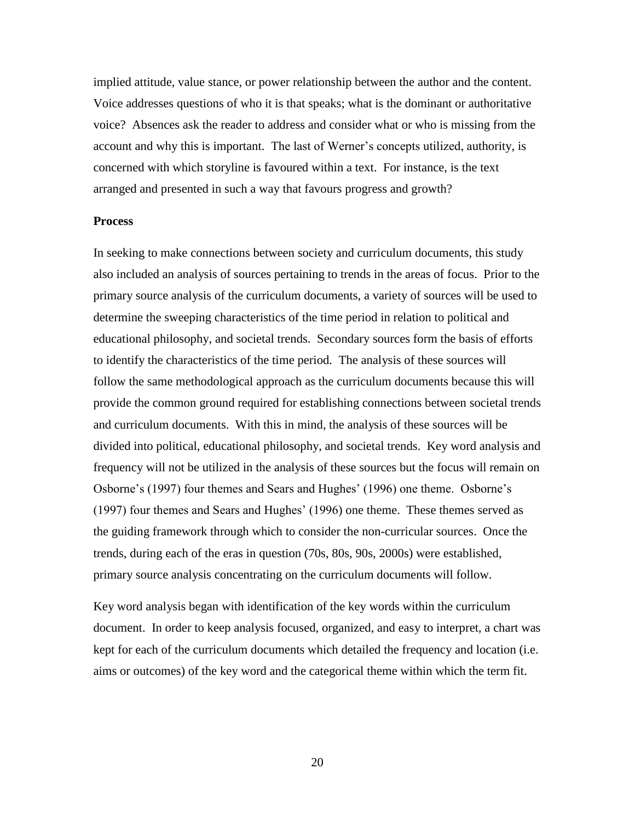implied attitude, value stance, or power relationship between the author and the content. Voice addresses questions of who it is that speaks; what is the dominant or authoritative voice? Absences ask the reader to address and consider what or who is missing from the account and why this is important. The last of Werner's concepts utilized, authority, is concerned with which storyline is favoured within a text. For instance, is the text arranged and presented in such a way that favours progress and growth?

#### **Process**

In seeking to make connections between society and curriculum documents, this study also included an analysis of sources pertaining to trends in the areas of focus. Prior to the primary source analysis of the curriculum documents, a variety of sources will be used to determine the sweeping characteristics of the time period in relation to political and educational philosophy, and societal trends. Secondary sources form the basis of efforts to identify the characteristics of the time period. The analysis of these sources will follow the same methodological approach as the curriculum documents because this will provide the common ground required for establishing connections between societal trends and curriculum documents. With this in mind, the analysis of these sources will be divided into political, educational philosophy, and societal trends. Key word analysis and frequency will not be utilized in the analysis of these sources but the focus will remain on Osborne's (1997) four themes and Sears and Hughes' (1996) one theme. Osborne's (1997) four themes and Sears and Hughes' (1996) one theme. These themes served as the guiding framework through which to consider the non-curricular sources. Once the trends, during each of the eras in question (70s, 80s, 90s, 2000s) were established, primary source analysis concentrating on the curriculum documents will follow.

Key word analysis began with identification of the key words within the curriculum document. In order to keep analysis focused, organized, and easy to interpret, a chart was kept for each of the curriculum documents which detailed the frequency and location (i.e. aims or outcomes) of the key word and the categorical theme within which the term fit.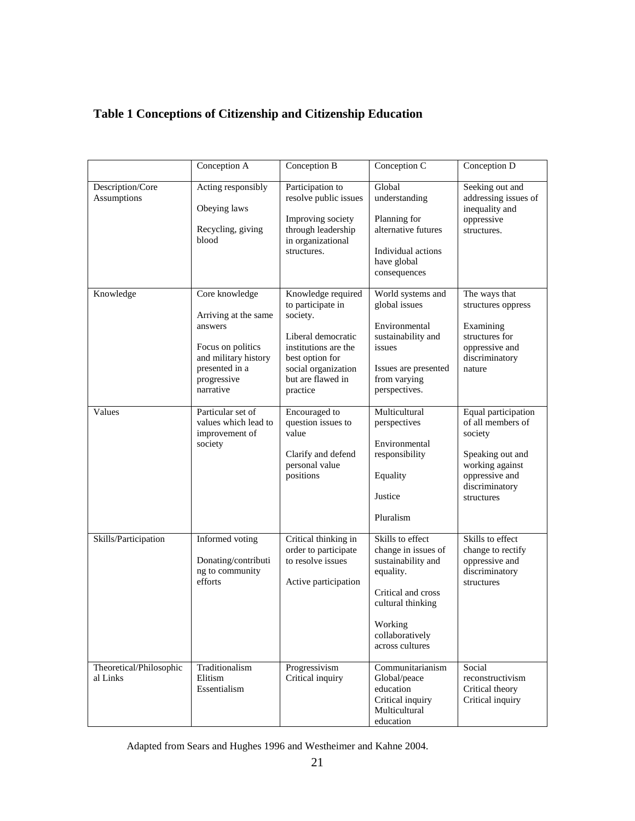# <span id="page-25-0"></span>**Table 1 Conceptions of Citizenship and Citizenship Education**

|                                     | Conception A                                                                                                                                 | Conception B                                                                                                                                                                 | Conception C                                                                                                                                                           | Conception D                                                                                                                                 |
|-------------------------------------|----------------------------------------------------------------------------------------------------------------------------------------------|------------------------------------------------------------------------------------------------------------------------------------------------------------------------------|------------------------------------------------------------------------------------------------------------------------------------------------------------------------|----------------------------------------------------------------------------------------------------------------------------------------------|
| Description/Core<br>Assumptions     | Acting responsibly<br>Obeying laws<br>Recycling, giving<br>blood                                                                             | Participation to<br>resolve public issues<br>Improving society<br>through leadership<br>in organizational<br>structures.                                                     | Global<br>understanding<br>Planning for<br>alternative futures<br>Individual actions<br>have global<br>consequences                                                    | Seeking out and<br>addressing issues of<br>inequality and<br>oppressive<br>structures.                                                       |
| Knowledge                           | Core knowledge<br>Arriving at the same<br>answers<br>Focus on politics<br>and military history<br>presented in a<br>progressive<br>narrative | Knowledge required<br>to participate in<br>society.<br>Liberal democratic<br>institutions are the<br>best option for<br>social organization<br>but are flawed in<br>practice | World systems and<br>global issues<br>Environmental<br>sustainability and<br>issues<br>Issues are presented<br>from varying<br>perspectives.                           | The ways that<br>structures oppress<br>Examining<br>structures for<br>oppressive and<br>discriminatory<br>nature                             |
| Values                              | Particular set of<br>values which lead to<br>improvement of<br>society                                                                       | <b>Encouraged</b> to<br>question issues to<br>value<br>Clarify and defend<br>personal value<br>positions                                                                     | Multicultural<br>perspectives<br>Environmental<br>responsibility<br>Equality<br>Justice<br>Pluralism                                                                   | Equal participation<br>of all members of<br>society<br>Speaking out and<br>working against<br>oppressive and<br>discriminatory<br>structures |
| Skills/Participation                | Informed voting<br>Donating/contributi<br>ng to community<br>efforts                                                                         | Critical thinking in<br>order to participate<br>to resolve issues<br>Active participation                                                                                    | Skills to effect<br>change in issues of<br>sustainability and<br>equality.<br>Critical and cross<br>cultural thinking<br>Working<br>collaboratively<br>across cultures | Skills to effect<br>change to rectify<br>oppressive and<br>discriminatory<br>structures                                                      |
| Theoretical/Philosophic<br>al Links | Traditionalism<br>Elitism<br>Essentialism                                                                                                    | Progressivism<br>Critical inquiry                                                                                                                                            | Communitarianism<br>Global/peace<br>education<br>Critical inquiry<br>Multicultural<br>education                                                                        | Social<br>reconstructivism<br>Critical theory<br>Critical inquiry                                                                            |

Adapted from Sears and Hughes 1996 and Westheimer and Kahne 2004.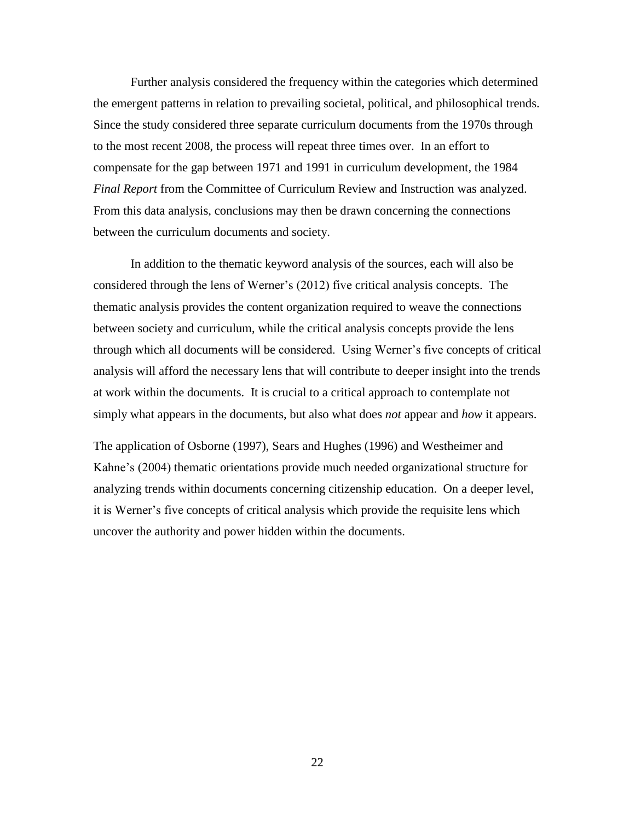Further analysis considered the frequency within the categories which determined the emergent patterns in relation to prevailing societal, political, and philosophical trends. Since the study considered three separate curriculum documents from the 1970s through to the most recent 2008, the process will repeat three times over. In an effort to compensate for the gap between 1971 and 1991 in curriculum development, the 1984 *Final Report* from the Committee of Curriculum Review and Instruction was analyzed. From this data analysis, conclusions may then be drawn concerning the connections between the curriculum documents and society.

In addition to the thematic keyword analysis of the sources, each will also be considered through the lens of Werner's (2012) five critical analysis concepts. The thematic analysis provides the content organization required to weave the connections between society and curriculum, while the critical analysis concepts provide the lens through which all documents will be considered. Using Werner's five concepts of critical analysis will afford the necessary lens that will contribute to deeper insight into the trends at work within the documents. It is crucial to a critical approach to contemplate not simply what appears in the documents, but also what does *not* appear and *how* it appears.

The application of Osborne (1997), Sears and Hughes (1996) and Westheimer and Kahne's (2004) thematic orientations provide much needed organizational structure for analyzing trends within documents concerning citizenship education. On a deeper level, it is Werner's five concepts of critical analysis which provide the requisite lens which uncover the authority and power hidden within the documents.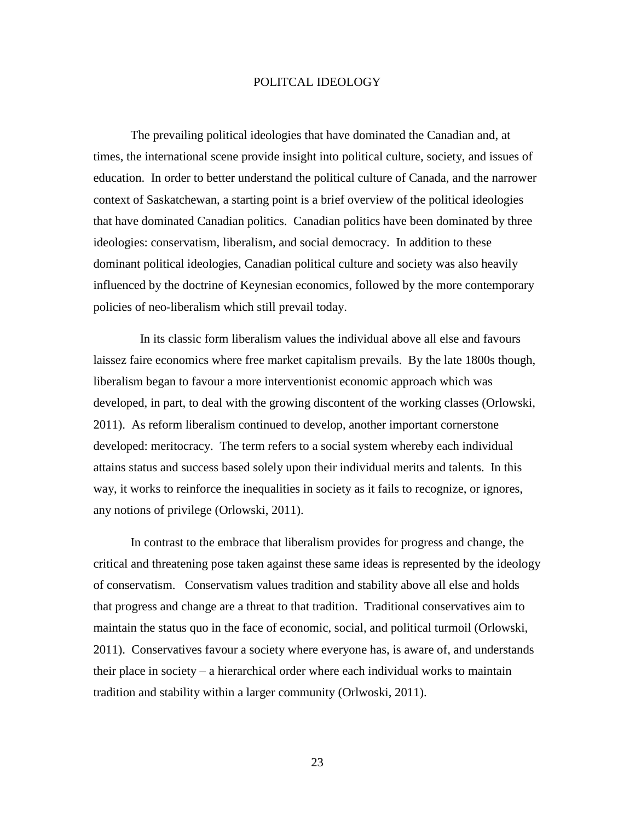#### POLITCAL IDEOLOGY

<span id="page-27-0"></span>The prevailing political ideologies that have dominated the Canadian and, at times, the international scene provide insight into political culture, society, and issues of education. In order to better understand the political culture of Canada, and the narrower context of Saskatchewan, a starting point is a brief overview of the political ideologies that have dominated Canadian politics. Canadian politics have been dominated by three ideologies: conservatism, liberalism, and social democracy. In addition to these dominant political ideologies, Canadian political culture and society was also heavily influenced by the doctrine of Keynesian economics, followed by the more contemporary policies of neo-liberalism which still prevail today.

 In its classic form liberalism values the individual above all else and favours laissez faire economics where free market capitalism prevails. By the late 1800s though, liberalism began to favour a more interventionist economic approach which was developed, in part, to deal with the growing discontent of the working classes (Orlowski, 2011). As reform liberalism continued to develop, another important cornerstone developed: meritocracy. The term refers to a social system whereby each individual attains status and success based solely upon their individual merits and talents. In this way, it works to reinforce the inequalities in society as it fails to recognize, or ignores, any notions of privilege (Orlowski, 2011).

In contrast to the embrace that liberalism provides for progress and change, the critical and threatening pose taken against these same ideas is represented by the ideology of conservatism. Conservatism values tradition and stability above all else and holds that progress and change are a threat to that tradition. Traditional conservatives aim to maintain the status quo in the face of economic, social, and political turmoil (Orlowski, 2011). Conservatives favour a society where everyone has, is aware of, and understands their place in society – a hierarchical order where each individual works to maintain tradition and stability within a larger community (Orlwoski, 2011).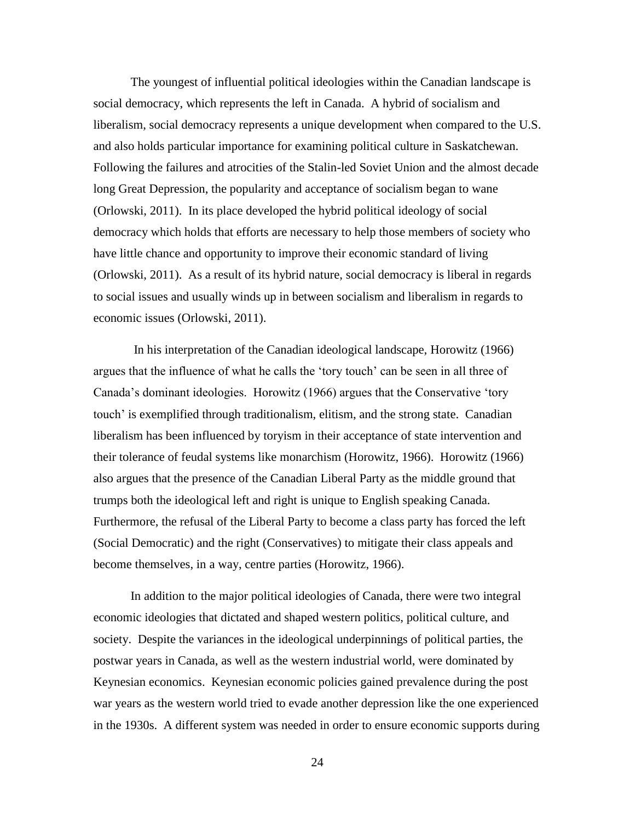The youngest of influential political ideologies within the Canadian landscape is social democracy, which represents the left in Canada. A hybrid of socialism and liberalism, social democracy represents a unique development when compared to the U.S. and also holds particular importance for examining political culture in Saskatchewan. Following the failures and atrocities of the Stalin-led Soviet Union and the almost decade long Great Depression, the popularity and acceptance of socialism began to wane (Orlowski, 2011). In its place developed the hybrid political ideology of social democracy which holds that efforts are necessary to help those members of society who have little chance and opportunity to improve their economic standard of living (Orlowski, 2011). As a result of its hybrid nature, social democracy is liberal in regards to social issues and usually winds up in between socialism and liberalism in regards to economic issues (Orlowski, 2011).

In his interpretation of the Canadian ideological landscape, Horowitz (1966) argues that the influence of what he calls the 'tory touch' can be seen in all three of Canada's dominant ideologies. Horowitz (1966) argues that the Conservative 'tory touch' is exemplified through traditionalism, elitism, and the strong state. Canadian liberalism has been influenced by toryism in their acceptance of state intervention and their tolerance of feudal systems like monarchism (Horowitz, 1966). Horowitz (1966) also argues that the presence of the Canadian Liberal Party as the middle ground that trumps both the ideological left and right is unique to English speaking Canada. Furthermore, the refusal of the Liberal Party to become a class party has forced the left (Social Democratic) and the right (Conservatives) to mitigate their class appeals and become themselves, in a way, centre parties (Horowitz, 1966).

In addition to the major political ideologies of Canada, there were two integral economic ideologies that dictated and shaped western politics, political culture, and society. Despite the variances in the ideological underpinnings of political parties, the postwar years in Canada, as well as the western industrial world, were dominated by Keynesian economics. Keynesian economic policies gained prevalence during the post war years as the western world tried to evade another depression like the one experienced in the 1930s. A different system was needed in order to ensure economic supports during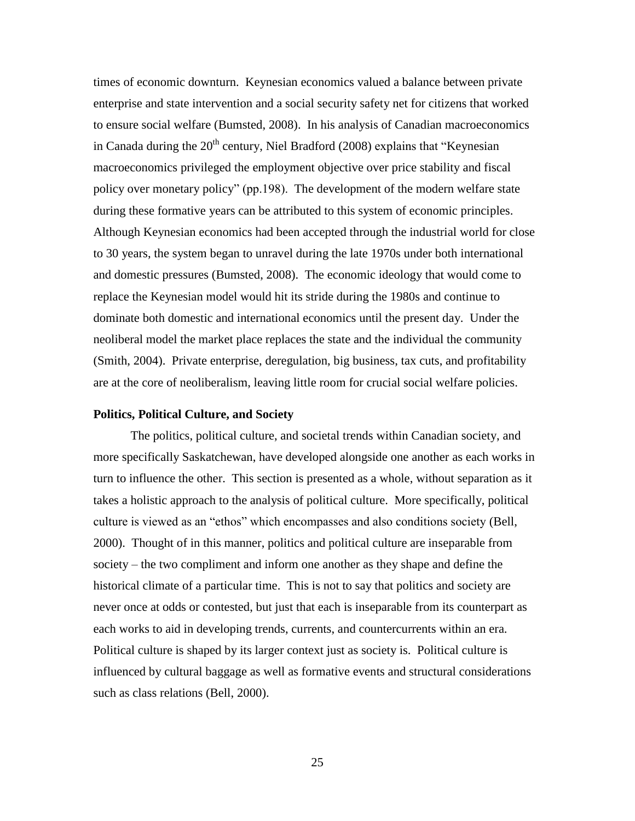times of economic downturn. Keynesian economics valued a balance between private enterprise and state intervention and a social security safety net for citizens that worked to ensure social welfare (Bumsted, 2008). In his analysis of Canadian macroeconomics in Canada during the  $20<sup>th</sup>$  century, Niel Bradford (2008) explains that "Keynesian macroeconomics privileged the employment objective over price stability and fiscal policy over monetary policy" (pp.198). The development of the modern welfare state during these formative years can be attributed to this system of economic principles. Although Keynesian economics had been accepted through the industrial world for close to 30 years, the system began to unravel during the late 1970s under both international and domestic pressures (Bumsted, 2008). The economic ideology that would come to replace the Keynesian model would hit its stride during the 1980s and continue to dominate both domestic and international economics until the present day. Under the neoliberal model the market place replaces the state and the individual the community (Smith, 2004). Private enterprise, deregulation, big business, tax cuts, and profitability are at the core of neoliberalism, leaving little room for crucial social welfare policies.

#### <span id="page-29-0"></span>**Politics, Political Culture, and Society**

The politics, political culture, and societal trends within Canadian society, and more specifically Saskatchewan, have developed alongside one another as each works in turn to influence the other. This section is presented as a whole, without separation as it takes a holistic approach to the analysis of political culture. More specifically, political culture is viewed as an "ethos" which encompasses and also conditions society (Bell, 2000). Thought of in this manner, politics and political culture are inseparable from society – the two compliment and inform one another as they shape and define the historical climate of a particular time. This is not to say that politics and society are never once at odds or contested, but just that each is inseparable from its counterpart as each works to aid in developing trends, currents, and countercurrents within an era. Political culture is shaped by its larger context just as society is. Political culture is influenced by cultural baggage as well as formative events and structural considerations such as class relations (Bell, 2000).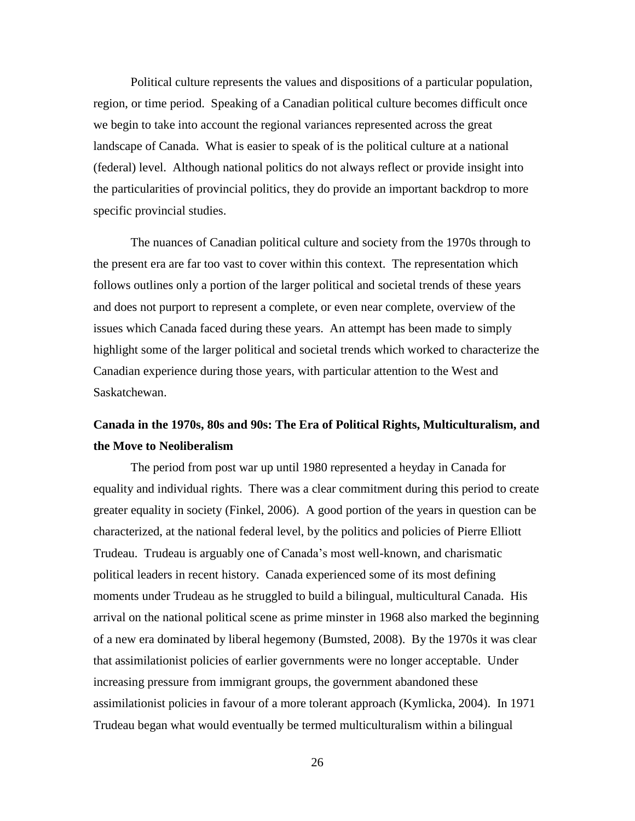Political culture represents the values and dispositions of a particular population, region, or time period. Speaking of a Canadian political culture becomes difficult once we begin to take into account the regional variances represented across the great landscape of Canada. What is easier to speak of is the political culture at a national (federal) level. Although national politics do not always reflect or provide insight into the particularities of provincial politics, they do provide an important backdrop to more specific provincial studies.

The nuances of Canadian political culture and society from the 1970s through to the present era are far too vast to cover within this context. The representation which follows outlines only a portion of the larger political and societal trends of these years and does not purport to represent a complete, or even near complete, overview of the issues which Canada faced during these years. An attempt has been made to simply highlight some of the larger political and societal trends which worked to characterize the Canadian experience during those years, with particular attention to the West and Saskatchewan.

# <span id="page-30-0"></span>**Canada in the 1970s, 80s and 90s: The Era of Political Rights, Multiculturalism, and the Move to Neoliberalism**

The period from post war up until 1980 represented a heyday in Canada for equality and individual rights. There was a clear commitment during this period to create greater equality in society (Finkel, 2006). A good portion of the years in question can be characterized, at the national federal level, by the politics and policies of Pierre Elliott Trudeau. Trudeau is arguably one of Canada's most well-known, and charismatic political leaders in recent history. Canada experienced some of its most defining moments under Trudeau as he struggled to build a bilingual, multicultural Canada. His arrival on the national political scene as prime minster in 1968 also marked the beginning of a new era dominated by liberal hegemony (Bumsted, 2008). By the 1970s it was clear that assimilationist policies of earlier governments were no longer acceptable. Under increasing pressure from immigrant groups, the government abandoned these assimilationist policies in favour of a more tolerant approach (Kymlicka, 2004). In 1971 Trudeau began what would eventually be termed multiculturalism within a bilingual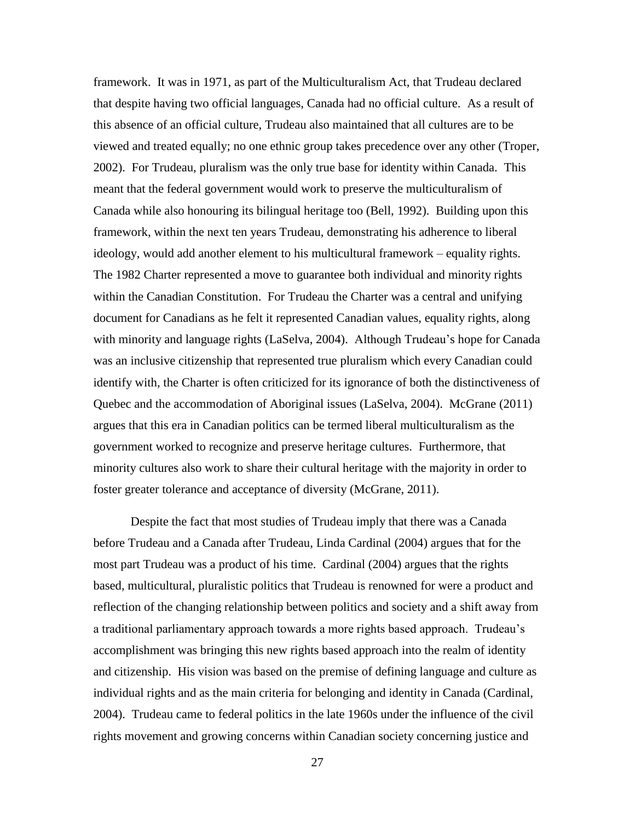framework. It was in 1971, as part of the Multiculturalism Act, that Trudeau declared that despite having two official languages, Canada had no official culture. As a result of this absence of an official culture, Trudeau also maintained that all cultures are to be viewed and treated equally; no one ethnic group takes precedence over any other (Troper, 2002). For Trudeau, pluralism was the only true base for identity within Canada. This meant that the federal government would work to preserve the multiculturalism of Canada while also honouring its bilingual heritage too (Bell, 1992). Building upon this framework, within the next ten years Trudeau, demonstrating his adherence to liberal ideology, would add another element to his multicultural framework – equality rights. The 1982 Charter represented a move to guarantee both individual and minority rights within the Canadian Constitution. For Trudeau the Charter was a central and unifying document for Canadians as he felt it represented Canadian values, equality rights, along with minority and language rights (LaSelva, 2004). Although Trudeau's hope for Canada was an inclusive citizenship that represented true pluralism which every Canadian could identify with, the Charter is often criticized for its ignorance of both the distinctiveness of Quebec and the accommodation of Aboriginal issues (LaSelva, 2004). McGrane (2011) argues that this era in Canadian politics can be termed liberal multiculturalism as the government worked to recognize and preserve heritage cultures. Furthermore, that minority cultures also work to share their cultural heritage with the majority in order to foster greater tolerance and acceptance of diversity (McGrane, 2011).

Despite the fact that most studies of Trudeau imply that there was a Canada before Trudeau and a Canada after Trudeau, Linda Cardinal (2004) argues that for the most part Trudeau was a product of his time. Cardinal (2004) argues that the rights based, multicultural, pluralistic politics that Trudeau is renowned for were a product and reflection of the changing relationship between politics and society and a shift away from a traditional parliamentary approach towards a more rights based approach. Trudeau's accomplishment was bringing this new rights based approach into the realm of identity and citizenship. His vision was based on the premise of defining language and culture as individual rights and as the main criteria for belonging and identity in Canada (Cardinal, 2004). Trudeau came to federal politics in the late 1960s under the influence of the civil rights movement and growing concerns within Canadian society concerning justice and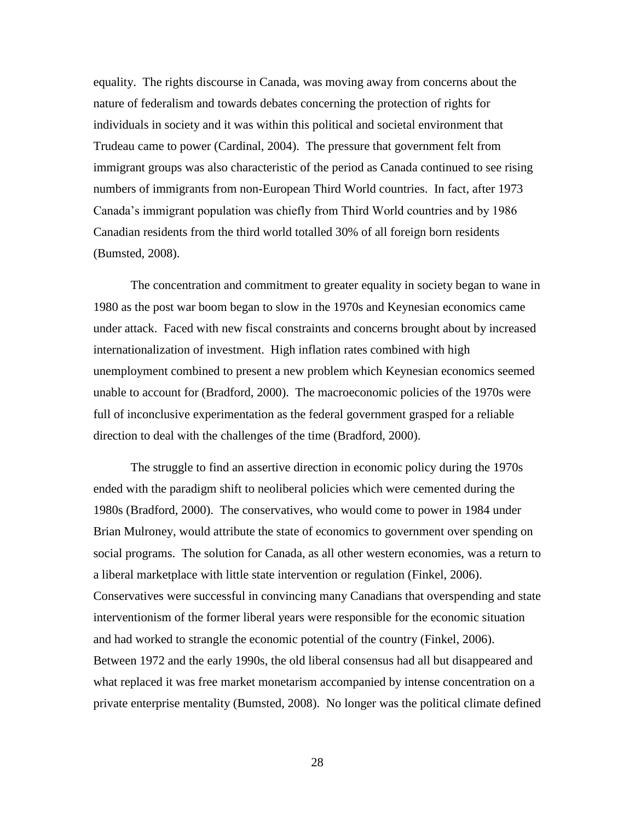equality. The rights discourse in Canada, was moving away from concerns about the nature of federalism and towards debates concerning the protection of rights for individuals in society and it was within this political and societal environment that Trudeau came to power (Cardinal, 2004). The pressure that government felt from immigrant groups was also characteristic of the period as Canada continued to see rising numbers of immigrants from non-European Third World countries. In fact, after 1973 Canada's immigrant population was chiefly from Third World countries and by 1986 Canadian residents from the third world totalled 30% of all foreign born residents (Bumsted, 2008).

The concentration and commitment to greater equality in society began to wane in 1980 as the post war boom began to slow in the 1970s and Keynesian economics came under attack. Faced with new fiscal constraints and concerns brought about by increased internationalization of investment. High inflation rates combined with high unemployment combined to present a new problem which Keynesian economics seemed unable to account for (Bradford, 2000). The macroeconomic policies of the 1970s were full of inconclusive experimentation as the federal government grasped for a reliable direction to deal with the challenges of the time (Bradford, 2000).

The struggle to find an assertive direction in economic policy during the 1970s ended with the paradigm shift to neoliberal policies which were cemented during the 1980s (Bradford, 2000). The conservatives, who would come to power in 1984 under Brian Mulroney, would attribute the state of economics to government over spending on social programs. The solution for Canada, as all other western economies, was a return to a liberal marketplace with little state intervention or regulation (Finkel, 2006). Conservatives were successful in convincing many Canadians that overspending and state interventionism of the former liberal years were responsible for the economic situation and had worked to strangle the economic potential of the country (Finkel, 2006). Between 1972 and the early 1990s, the old liberal consensus had all but disappeared and what replaced it was free market monetarism accompanied by intense concentration on a private enterprise mentality (Bumsted, 2008). No longer was the political climate defined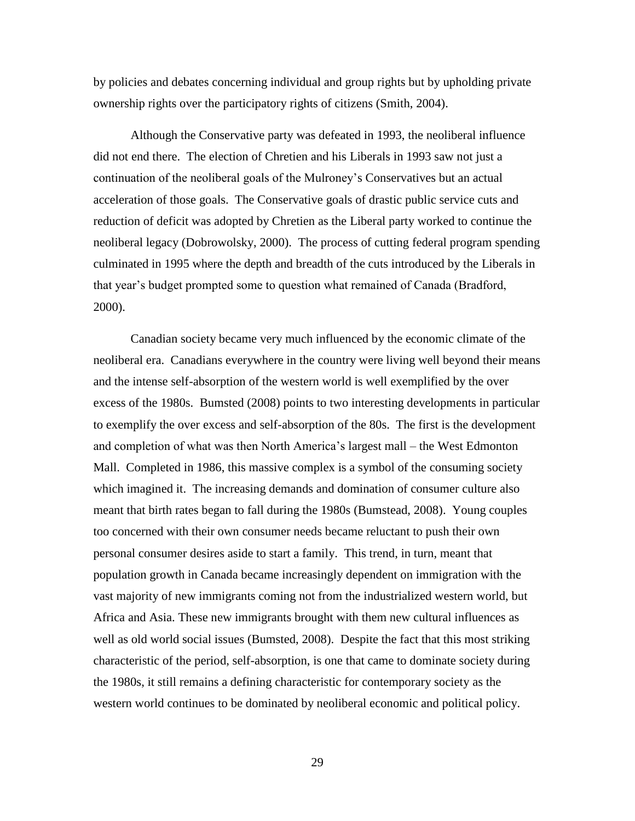by policies and debates concerning individual and group rights but by upholding private ownership rights over the participatory rights of citizens (Smith, 2004).

Although the Conservative party was defeated in 1993, the neoliberal influence did not end there. The election of Chretien and his Liberals in 1993 saw not just a continuation of the neoliberal goals of the Mulroney's Conservatives but an actual acceleration of those goals. The Conservative goals of drastic public service cuts and reduction of deficit was adopted by Chretien as the Liberal party worked to continue the neoliberal legacy (Dobrowolsky, 2000). The process of cutting federal program spending culminated in 1995 where the depth and breadth of the cuts introduced by the Liberals in that year's budget prompted some to question what remained of Canada (Bradford, 2000).

Canadian society became very much influenced by the economic climate of the neoliberal era. Canadians everywhere in the country were living well beyond their means and the intense self-absorption of the western world is well exemplified by the over excess of the 1980s. Bumsted (2008) points to two interesting developments in particular to exemplify the over excess and self-absorption of the 80s. The first is the development and completion of what was then North America's largest mall – the West Edmonton Mall. Completed in 1986, this massive complex is a symbol of the consuming society which imagined it. The increasing demands and domination of consumer culture also meant that birth rates began to fall during the 1980s (Bumstead, 2008). Young couples too concerned with their own consumer needs became reluctant to push their own personal consumer desires aside to start a family. This trend, in turn, meant that population growth in Canada became increasingly dependent on immigration with the vast majority of new immigrants coming not from the industrialized western world, but Africa and Asia. These new immigrants brought with them new cultural influences as well as old world social issues (Bumsted, 2008). Despite the fact that this most striking characteristic of the period, self-absorption, is one that came to dominate society during the 1980s, it still remains a defining characteristic for contemporary society as the western world continues to be dominated by neoliberal economic and political policy.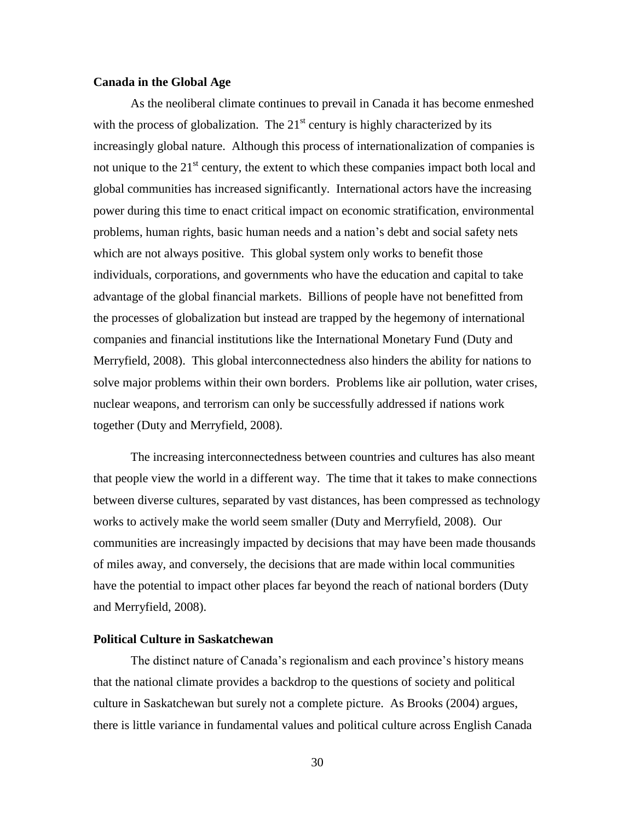#### <span id="page-34-0"></span>**Canada in the Global Age**

As the neoliberal climate continues to prevail in Canada it has become enmeshed with the process of globalization. The  $21<sup>st</sup>$  century is highly characterized by its increasingly global nature. Although this process of internationalization of companies is not unique to the  $21<sup>st</sup>$  century, the extent to which these companies impact both local and global communities has increased significantly. International actors have the increasing power during this time to enact critical impact on economic stratification, environmental problems, human rights, basic human needs and a nation's debt and social safety nets which are not always positive. This global system only works to benefit those individuals, corporations, and governments who have the education and capital to take advantage of the global financial markets. Billions of people have not benefitted from the processes of globalization but instead are trapped by the hegemony of international companies and financial institutions like the International Monetary Fund (Duty and Merryfield, 2008). This global interconnectedness also hinders the ability for nations to solve major problems within their own borders. Problems like air pollution, water crises, nuclear weapons, and terrorism can only be successfully addressed if nations work together (Duty and Merryfield, 2008).

The increasing interconnectedness between countries and cultures has also meant that people view the world in a different way. The time that it takes to make connections between diverse cultures, separated by vast distances, has been compressed as technology works to actively make the world seem smaller (Duty and Merryfield, 2008). Our communities are increasingly impacted by decisions that may have been made thousands of miles away, and conversely, the decisions that are made within local communities have the potential to impact other places far beyond the reach of national borders (Duty and Merryfield, 2008).

## <span id="page-34-1"></span>**Political Culture in Saskatchewan**

The distinct nature of Canada's regionalism and each province's history means that the national climate provides a backdrop to the questions of society and political culture in Saskatchewan but surely not a complete picture. As Brooks (2004) argues, there is little variance in fundamental values and political culture across English Canada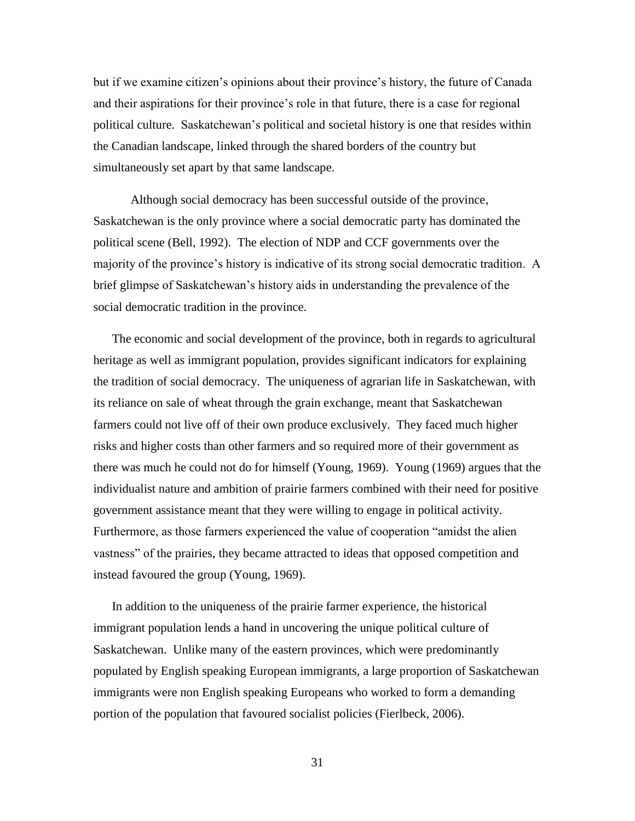but if we examine citizen's opinions about their province's history, the future of Canada and their aspirations for their province's role in that future, there is a case for regional political culture. Saskatchewan's political and societal history is one that resides within the Canadian landscape, linked through the shared borders of the country but simultaneously set apart by that same landscape.

Although social democracy has been successful outside of the province, Saskatchewan is the only province where a social democratic party has dominated the political scene (Bell, 1992). The election of NDP and CCF governments over the majority of the province's history is indicative of its strong social democratic tradition. A brief glimpse of Saskatchewan's history aids in understanding the prevalence of the social democratic tradition in the province.

The economic and social development of the province, both in regards to agricultural heritage as well as immigrant population, provides significant indicators for explaining the tradition of social democracy. The uniqueness of agrarian life in Saskatchewan, with its reliance on sale of wheat through the grain exchange, meant that Saskatchewan farmers could not live off of their own produce exclusively. They faced much higher risks and higher costs than other farmers and so required more of their government as there was much he could not do for himself (Young, 1969). Young (1969) argues that the individualist nature and ambition of prairie farmers combined with their need for positive government assistance meant that they were willing to engage in political activity. Furthermore, as those farmers experienced the value of cooperation "amidst the alien vastness" of the prairies, they became attracted to ideas that opposed competition and instead favoured the group (Young, 1969).

In addition to the uniqueness of the prairie farmer experience, the historical immigrant population lends a hand in uncovering the unique political culture of Saskatchewan. Unlike many of the eastern provinces, which were predominantly populated by English speaking European immigrants, a large proportion of Saskatchewan immigrants were non English speaking Europeans who worked to form a demanding portion of the population that favoured socialist policies (Fierlbeck, 2006).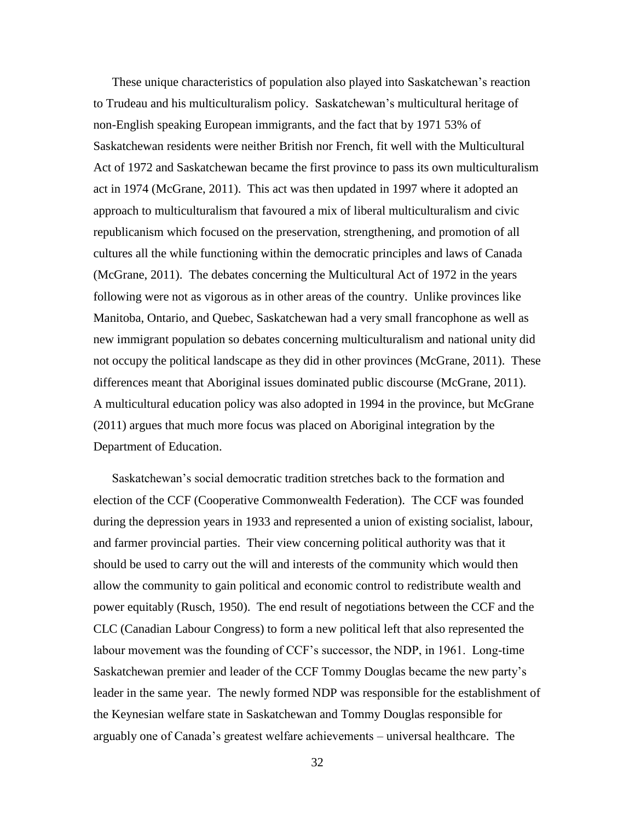These unique characteristics of population also played into Saskatchewan's reaction to Trudeau and his multiculturalism policy. Saskatchewan's multicultural heritage of non-English speaking European immigrants, and the fact that by 1971 53% of Saskatchewan residents were neither British nor French, fit well with the Multicultural Act of 1972 and Saskatchewan became the first province to pass its own multiculturalism act in 1974 (McGrane, 2011). This act was then updated in 1997 where it adopted an approach to multiculturalism that favoured a mix of liberal multiculturalism and civic republicanism which focused on the preservation, strengthening, and promotion of all cultures all the while functioning within the democratic principles and laws of Canada (McGrane, 2011). The debates concerning the Multicultural Act of 1972 in the years following were not as vigorous as in other areas of the country. Unlike provinces like Manitoba, Ontario, and Quebec, Saskatchewan had a very small francophone as well as new immigrant population so debates concerning multiculturalism and national unity did not occupy the political landscape as they did in other provinces (McGrane, 2011). These differences meant that Aboriginal issues dominated public discourse (McGrane, 2011). A multicultural education policy was also adopted in 1994 in the province, but McGrane (2011) argues that much more focus was placed on Aboriginal integration by the Department of Education.

Saskatchewan's social democratic tradition stretches back to the formation and election of the CCF (Cooperative Commonwealth Federation). The CCF was founded during the depression years in 1933 and represented a union of existing socialist, labour, and farmer provincial parties. Their view concerning political authority was that it should be used to carry out the will and interests of the community which would then allow the community to gain political and economic control to redistribute wealth and power equitably (Rusch, 1950). The end result of negotiations between the CCF and the CLC (Canadian Labour Congress) to form a new political left that also represented the labour movement was the founding of CCF's successor, the NDP, in 1961. Long-time Saskatchewan premier and leader of the CCF Tommy Douglas became the new party's leader in the same year. The newly formed NDP was responsible for the establishment of the Keynesian welfare state in Saskatchewan and Tommy Douglas responsible for arguably one of Canada's greatest welfare achievements – universal healthcare. The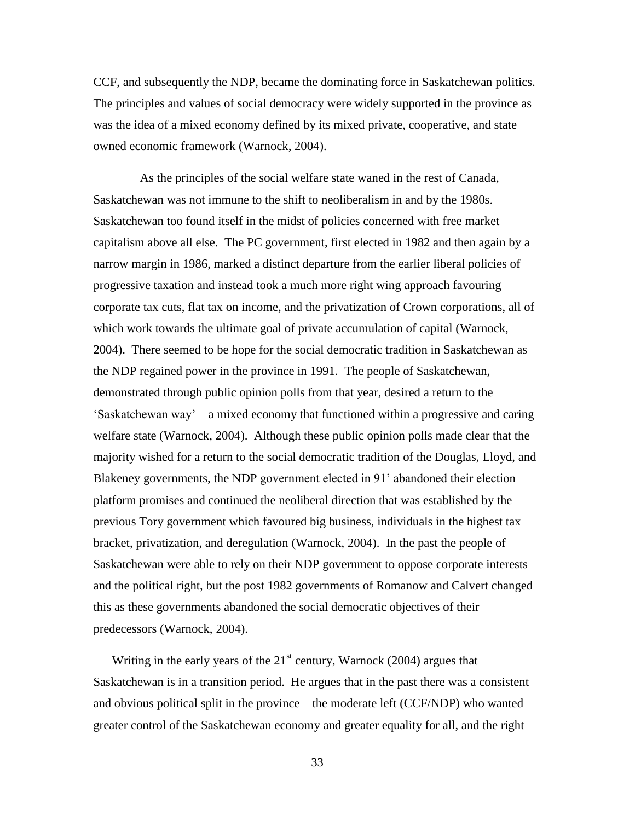CCF, and subsequently the NDP, became the dominating force in Saskatchewan politics. The principles and values of social democracy were widely supported in the province as was the idea of a mixed economy defined by its mixed private, cooperative, and state owned economic framework (Warnock, 2004).

 As the principles of the social welfare state waned in the rest of Canada, Saskatchewan was not immune to the shift to neoliberalism in and by the 1980s. Saskatchewan too found itself in the midst of policies concerned with free market capitalism above all else. The PC government, first elected in 1982 and then again by a narrow margin in 1986, marked a distinct departure from the earlier liberal policies of progressive taxation and instead took a much more right wing approach favouring corporate tax cuts, flat tax on income, and the privatization of Crown corporations, all of which work towards the ultimate goal of private accumulation of capital (Warnock, 2004). There seemed to be hope for the social democratic tradition in Saskatchewan as the NDP regained power in the province in 1991. The people of Saskatchewan, demonstrated through public opinion polls from that year, desired a return to the 'Saskatchewan way' – a mixed economy that functioned within a progressive and caring welfare state (Warnock, 2004). Although these public opinion polls made clear that the majority wished for a return to the social democratic tradition of the Douglas, Lloyd, and Blakeney governments, the NDP government elected in 91' abandoned their election platform promises and continued the neoliberal direction that was established by the previous Tory government which favoured big business, individuals in the highest tax bracket, privatization, and deregulation (Warnock, 2004). In the past the people of Saskatchewan were able to rely on their NDP government to oppose corporate interests and the political right, but the post 1982 governments of Romanow and Calvert changed this as these governments abandoned the social democratic objectives of their predecessors (Warnock, 2004).

Writing in the early years of the  $21<sup>st</sup>$  century, Warnock (2004) argues that Saskatchewan is in a transition period. He argues that in the past there was a consistent and obvious political split in the province – the moderate left (CCF/NDP) who wanted greater control of the Saskatchewan economy and greater equality for all, and the right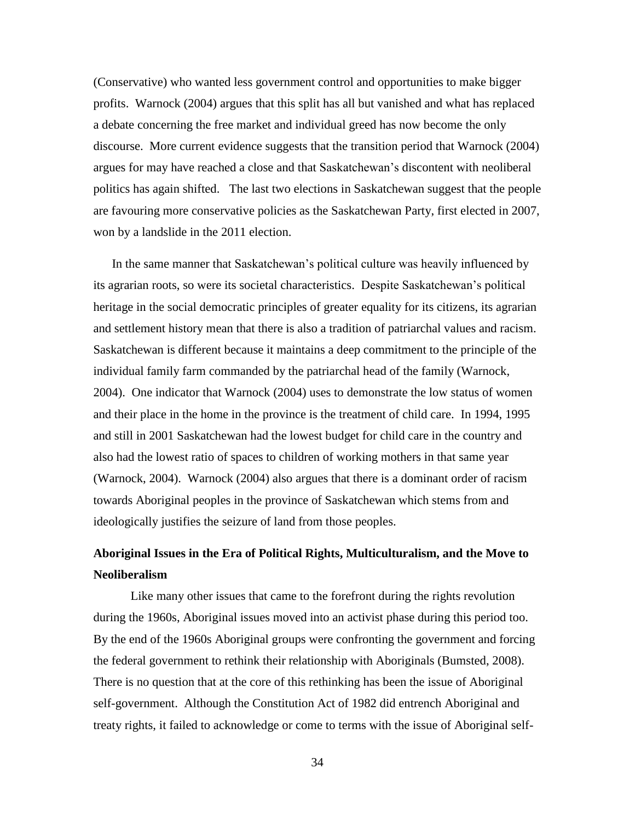(Conservative) who wanted less government control and opportunities to make bigger profits. Warnock (2004) argues that this split has all but vanished and what has replaced a debate concerning the free market and individual greed has now become the only discourse. More current evidence suggests that the transition period that Warnock (2004) argues for may have reached a close and that Saskatchewan's discontent with neoliberal politics has again shifted. The last two elections in Saskatchewan suggest that the people are favouring more conservative policies as the Saskatchewan Party, first elected in 2007, won by a landslide in the 2011 election.

In the same manner that Saskatchewan's political culture was heavily influenced by its agrarian roots, so were its societal characteristics. Despite Saskatchewan's political heritage in the social democratic principles of greater equality for its citizens, its agrarian and settlement history mean that there is also a tradition of patriarchal values and racism. Saskatchewan is different because it maintains a deep commitment to the principle of the individual family farm commanded by the patriarchal head of the family (Warnock, 2004). One indicator that Warnock (2004) uses to demonstrate the low status of women and their place in the home in the province is the treatment of child care. In 1994, 1995 and still in 2001 Saskatchewan had the lowest budget for child care in the country and also had the lowest ratio of spaces to children of working mothers in that same year (Warnock, 2004). Warnock (2004) also argues that there is a dominant order of racism towards Aboriginal peoples in the province of Saskatchewan which stems from and ideologically justifies the seizure of land from those peoples.

# **Aboriginal Issues in the Era of Political Rights, Multiculturalism, and the Move to Neoliberalism**

Like many other issues that came to the forefront during the rights revolution during the 1960s, Aboriginal issues moved into an activist phase during this period too. By the end of the 1960s Aboriginal groups were confronting the government and forcing the federal government to rethink their relationship with Aboriginals (Bumsted, 2008). There is no question that at the core of this rethinking has been the issue of Aboriginal self-government. Although the Constitution Act of 1982 did entrench Aboriginal and treaty rights, it failed to acknowledge or come to terms with the issue of Aboriginal self-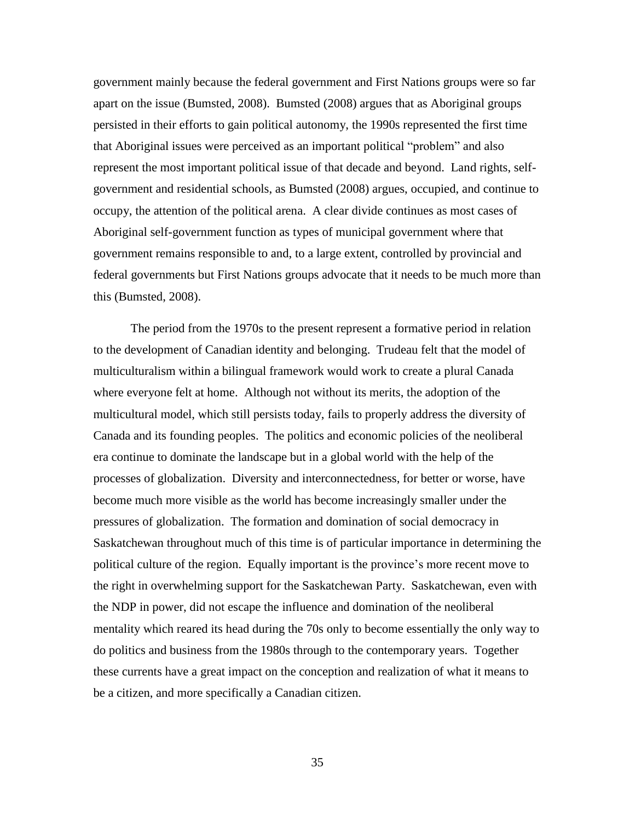government mainly because the federal government and First Nations groups were so far apart on the issue (Bumsted, 2008). Bumsted (2008) argues that as Aboriginal groups persisted in their efforts to gain political autonomy, the 1990s represented the first time that Aboriginal issues were perceived as an important political "problem" and also represent the most important political issue of that decade and beyond. Land rights, selfgovernment and residential schools, as Bumsted (2008) argues, occupied, and continue to occupy, the attention of the political arena. A clear divide continues as most cases of Aboriginal self-government function as types of municipal government where that government remains responsible to and, to a large extent, controlled by provincial and federal governments but First Nations groups advocate that it needs to be much more than this (Bumsted, 2008).

The period from the 1970s to the present represent a formative period in relation to the development of Canadian identity and belonging. Trudeau felt that the model of multiculturalism within a bilingual framework would work to create a plural Canada where everyone felt at home. Although not without its merits, the adoption of the multicultural model, which still persists today, fails to properly address the diversity of Canada and its founding peoples. The politics and economic policies of the neoliberal era continue to dominate the landscape but in a global world with the help of the processes of globalization. Diversity and interconnectedness, for better or worse, have become much more visible as the world has become increasingly smaller under the pressures of globalization. The formation and domination of social democracy in Saskatchewan throughout much of this time is of particular importance in determining the political culture of the region. Equally important is the province's more recent move to the right in overwhelming support for the Saskatchewan Party. Saskatchewan, even with the NDP in power, did not escape the influence and domination of the neoliberal mentality which reared its head during the 70s only to become essentially the only way to do politics and business from the 1980s through to the contemporary years. Together these currents have a great impact on the conception and realization of what it means to be a citizen, and more specifically a Canadian citizen.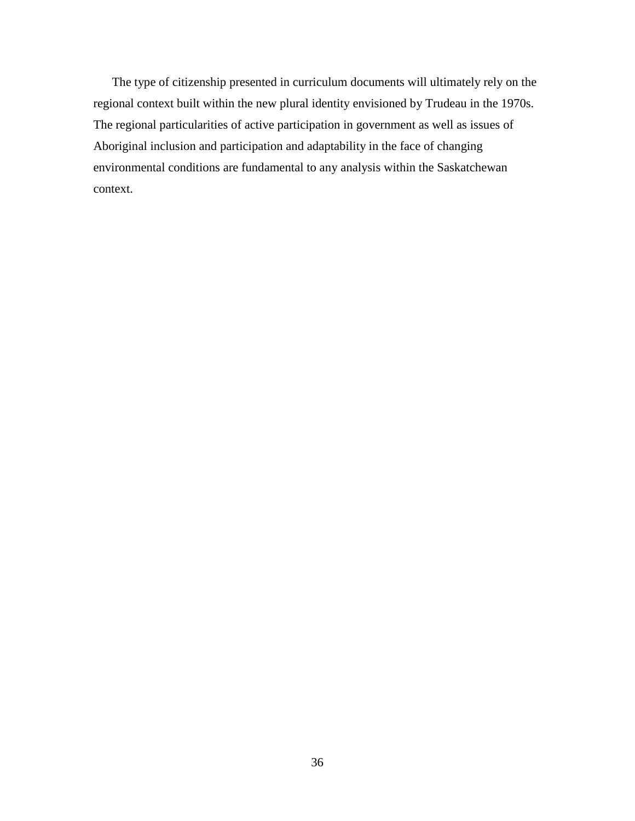The type of citizenship presented in curriculum documents will ultimately rely on the regional context built within the new plural identity envisioned by Trudeau in the 1970s. The regional particularities of active participation in government as well as issues of Aboriginal inclusion and participation and adaptability in the face of changing environmental conditions are fundamental to any analysis within the Saskatchewan context.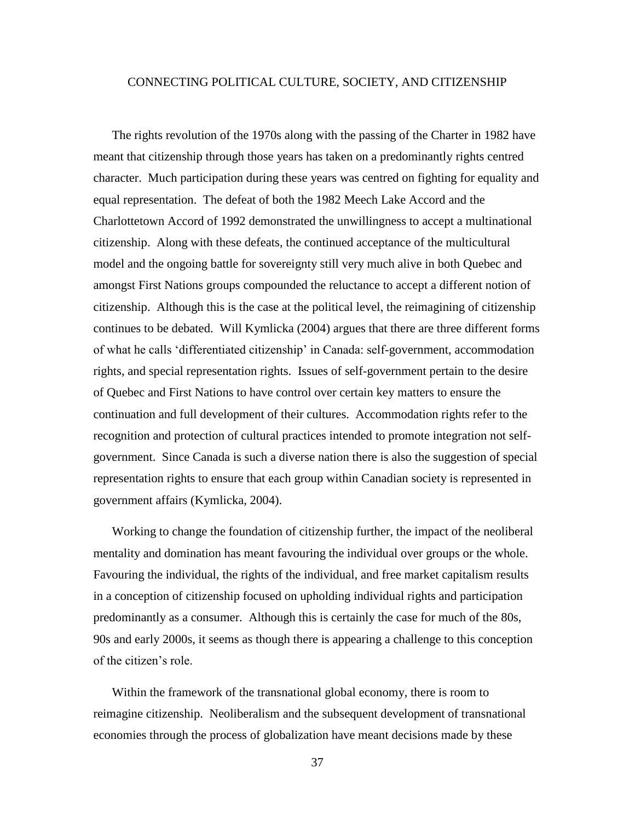# CONNECTING POLITICAL CULTURE, SOCIETY, AND CITIZENSHIP

The rights revolution of the 1970s along with the passing of the Charter in 1982 have meant that citizenship through those years has taken on a predominantly rights centred character. Much participation during these years was centred on fighting for equality and equal representation. The defeat of both the 1982 Meech Lake Accord and the Charlottetown Accord of 1992 demonstrated the unwillingness to accept a multinational citizenship. Along with these defeats, the continued acceptance of the multicultural model and the ongoing battle for sovereignty still very much alive in both Quebec and amongst First Nations groups compounded the reluctance to accept a different notion of citizenship. Although this is the case at the political level, the reimagining of citizenship continues to be debated. Will Kymlicka (2004) argues that there are three different forms of what he calls 'differentiated citizenship' in Canada: self-government, accommodation rights, and special representation rights. Issues of self-government pertain to the desire of Quebec and First Nations to have control over certain key matters to ensure the continuation and full development of their cultures. Accommodation rights refer to the recognition and protection of cultural practices intended to promote integration not selfgovernment. Since Canada is such a diverse nation there is also the suggestion of special representation rights to ensure that each group within Canadian society is represented in government affairs (Kymlicka, 2004).

Working to change the foundation of citizenship further, the impact of the neoliberal mentality and domination has meant favouring the individual over groups or the whole. Favouring the individual, the rights of the individual, and free market capitalism results in a conception of citizenship focused on upholding individual rights and participation predominantly as a consumer. Although this is certainly the case for much of the 80s, 90s and early 2000s, it seems as though there is appearing a challenge to this conception of the citizen's role.

Within the framework of the transnational global economy, there is room to reimagine citizenship.Neoliberalism and the subsequent development of transnational economies through the process of globalization have meant decisions made by these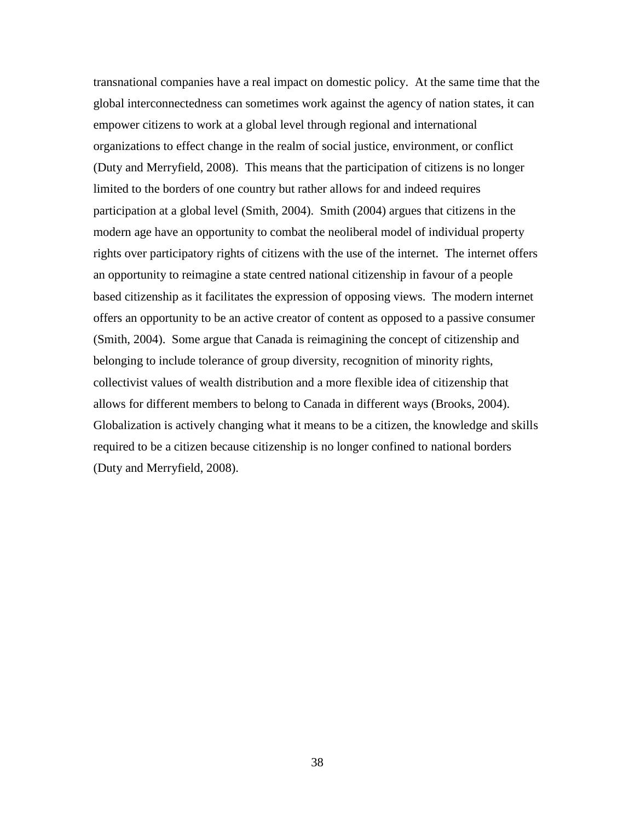transnational companies have a real impact on domestic policy. At the same time that the global interconnectedness can sometimes work against the agency of nation states, it can empower citizens to work at a global level through regional and international organizations to effect change in the realm of social justice, environment, or conflict (Duty and Merryfield, 2008). This means that the participation of citizens is no longer limited to the borders of one country but rather allows for and indeed requires participation at a global level (Smith, 2004). Smith (2004) argues that citizens in the modern age have an opportunity to combat the neoliberal model of individual property rights over participatory rights of citizens with the use of the internet. The internet offers an opportunity to reimagine a state centred national citizenship in favour of a people based citizenship as it facilitates the expression of opposing views. The modern internet offers an opportunity to be an active creator of content as opposed to a passive consumer (Smith, 2004). Some argue that Canada is reimagining the concept of citizenship and belonging to include tolerance of group diversity, recognition of minority rights, collectivist values of wealth distribution and a more flexible idea of citizenship that allows for different members to belong to Canada in different ways (Brooks, 2004). Globalization is actively changing what it means to be a citizen, the knowledge and skills required to be a citizen because citizenship is no longer confined to national borders (Duty and Merryfield, 2008).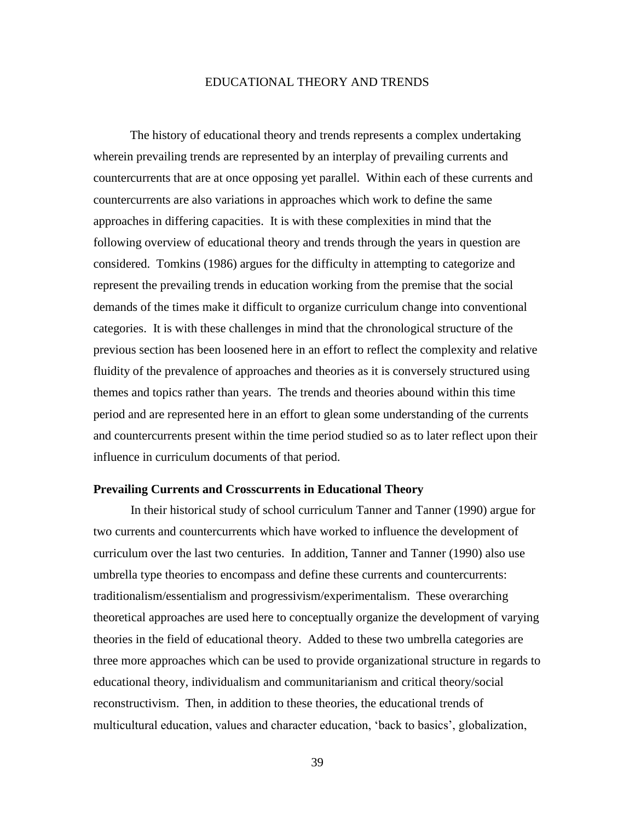## EDUCATIONAL THEORY AND TRENDS

The history of educational theory and trends represents a complex undertaking wherein prevailing trends are represented by an interplay of prevailing currents and countercurrents that are at once opposing yet parallel. Within each of these currents and countercurrents are also variations in approaches which work to define the same approaches in differing capacities. It is with these complexities in mind that the following overview of educational theory and trends through the years in question are considered. Tomkins (1986) argues for the difficulty in attempting to categorize and represent the prevailing trends in education working from the premise that the social demands of the times make it difficult to organize curriculum change into conventional categories. It is with these challenges in mind that the chronological structure of the previous section has been loosened here in an effort to reflect the complexity and relative fluidity of the prevalence of approaches and theories as it is conversely structured using themes and topics rather than years. The trends and theories abound within this time period and are represented here in an effort to glean some understanding of the currents and countercurrents present within the time period studied so as to later reflect upon their influence in curriculum documents of that period.

#### **Prevailing Currents and Crosscurrents in Educational Theory**

In their historical study of school curriculum Tanner and Tanner (1990) argue for two currents and countercurrents which have worked to influence the development of curriculum over the last two centuries. In addition, Tanner and Tanner (1990) also use umbrella type theories to encompass and define these currents and countercurrents: traditionalism/essentialism and progressivism/experimentalism. These overarching theoretical approaches are used here to conceptually organize the development of varying theories in the field of educational theory. Added to these two umbrella categories are three more approaches which can be used to provide organizational structure in regards to educational theory, individualism and communitarianism and critical theory/social reconstructivism. Then, in addition to these theories, the educational trends of multicultural education, values and character education, 'back to basics', globalization,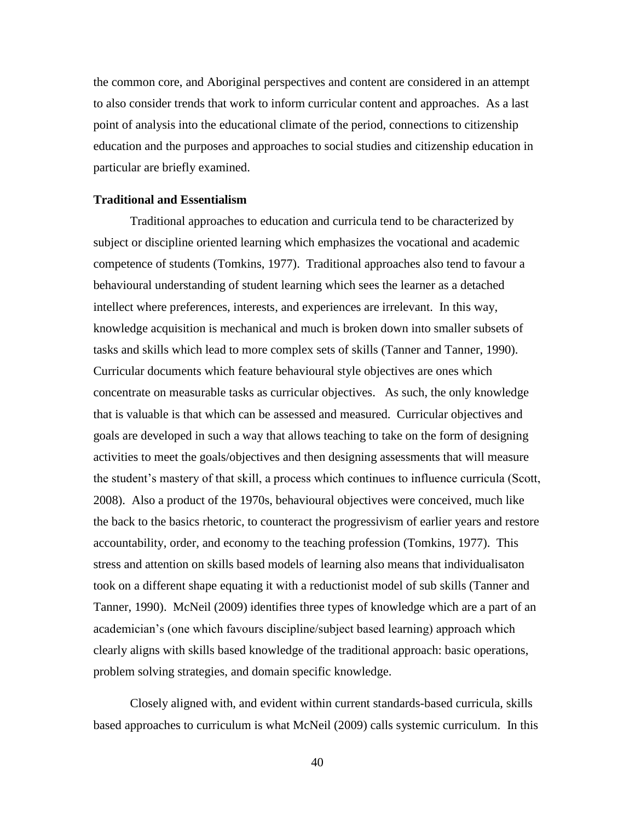the common core, and Aboriginal perspectives and content are considered in an attempt to also consider trends that work to inform curricular content and approaches. As a last point of analysis into the educational climate of the period, connections to citizenship education and the purposes and approaches to social studies and citizenship education in particular are briefly examined.

#### **Traditional and Essentialism**

Traditional approaches to education and curricula tend to be characterized by subject or discipline oriented learning which emphasizes the vocational and academic competence of students (Tomkins, 1977). Traditional approaches also tend to favour a behavioural understanding of student learning which sees the learner as a detached intellect where preferences, interests, and experiences are irrelevant. In this way, knowledge acquisition is mechanical and much is broken down into smaller subsets of tasks and skills which lead to more complex sets of skills (Tanner and Tanner, 1990). Curricular documents which feature behavioural style objectives are ones which concentrate on measurable tasks as curricular objectives. As such, the only knowledge that is valuable is that which can be assessed and measured. Curricular objectives and goals are developed in such a way that allows teaching to take on the form of designing activities to meet the goals/objectives and then designing assessments that will measure the student's mastery of that skill, a process which continues to influence curricula (Scott, 2008). Also a product of the 1970s, behavioural objectives were conceived, much like the back to the basics rhetoric, to counteract the progressivism of earlier years and restore accountability, order, and economy to the teaching profession (Tomkins, 1977). This stress and attention on skills based models of learning also means that individualisaton took on a different shape equating it with a reductionist model of sub skills (Tanner and Tanner, 1990). McNeil (2009) identifies three types of knowledge which are a part of an academician's (one which favours discipline/subject based learning) approach which clearly aligns with skills based knowledge of the traditional approach: basic operations, problem solving strategies, and domain specific knowledge.

Closely aligned with, and evident within current standards-based curricula, skills based approaches to curriculum is what McNeil (2009) calls systemic curriculum. In this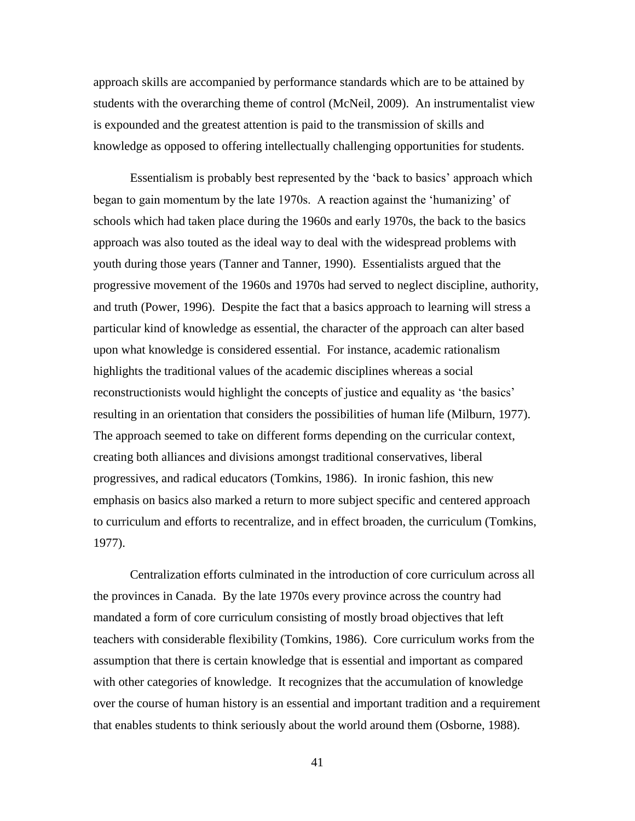approach skills are accompanied by performance standards which are to be attained by students with the overarching theme of control (McNeil, 2009). An instrumentalist view is expounded and the greatest attention is paid to the transmission of skills and knowledge as opposed to offering intellectually challenging opportunities for students.

Essentialism is probably best represented by the 'back to basics' approach which began to gain momentum by the late 1970s. A reaction against the 'humanizing' of schools which had taken place during the 1960s and early 1970s, the back to the basics approach was also touted as the ideal way to deal with the widespread problems with youth during those years (Tanner and Tanner, 1990). Essentialists argued that the progressive movement of the 1960s and 1970s had served to neglect discipline, authority, and truth (Power, 1996). Despite the fact that a basics approach to learning will stress a particular kind of knowledge as essential, the character of the approach can alter based upon what knowledge is considered essential. For instance, academic rationalism highlights the traditional values of the academic disciplines whereas a social reconstructionists would highlight the concepts of justice and equality as 'the basics' resulting in an orientation that considers the possibilities of human life (Milburn, 1977). The approach seemed to take on different forms depending on the curricular context, creating both alliances and divisions amongst traditional conservatives, liberal progressives, and radical educators (Tomkins, 1986). In ironic fashion, this new emphasis on basics also marked a return to more subject specific and centered approach to curriculum and efforts to recentralize, and in effect broaden, the curriculum (Tomkins, 1977).

Centralization efforts culminated in the introduction of core curriculum across all the provinces in Canada. By the late 1970s every province across the country had mandated a form of core curriculum consisting of mostly broad objectives that left teachers with considerable flexibility (Tomkins, 1986). Core curriculum works from the assumption that there is certain knowledge that is essential and important as compared with other categories of knowledge. It recognizes that the accumulation of knowledge over the course of human history is an essential and important tradition and a requirement that enables students to think seriously about the world around them (Osborne, 1988).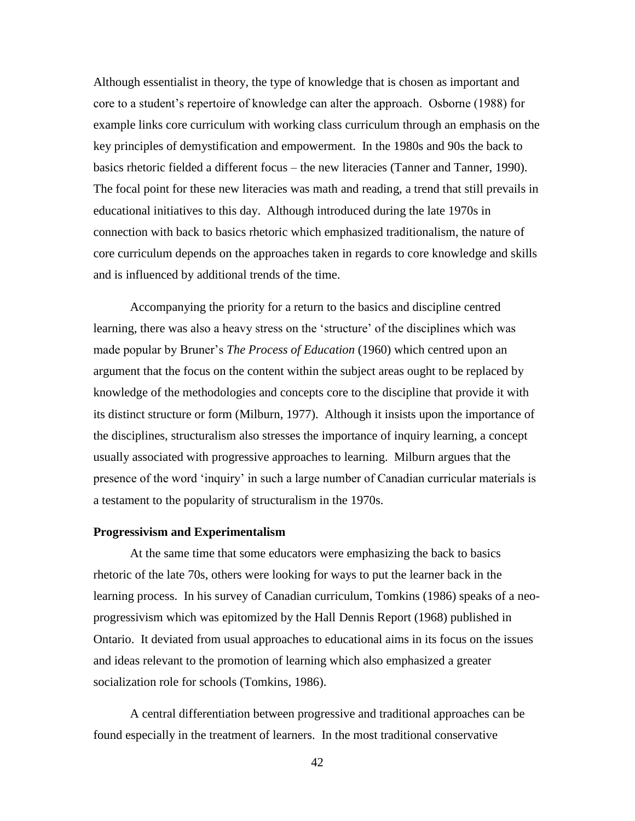Although essentialist in theory, the type of knowledge that is chosen as important and core to a student's repertoire of knowledge can alter the approach. Osborne (1988) for example links core curriculum with working class curriculum through an emphasis on the key principles of demystification and empowerment. In the 1980s and 90s the back to basics rhetoric fielded a different focus – the new literacies (Tanner and Tanner, 1990). The focal point for these new literacies was math and reading, a trend that still prevails in educational initiatives to this day. Although introduced during the late 1970s in connection with back to basics rhetoric which emphasized traditionalism, the nature of core curriculum depends on the approaches taken in regards to core knowledge and skills and is influenced by additional trends of the time.

Accompanying the priority for a return to the basics and discipline centred learning, there was also a heavy stress on the 'structure' of the disciplines which was made popular by Bruner's *The Process of Education* (1960) which centred upon an argument that the focus on the content within the subject areas ought to be replaced by knowledge of the methodologies and concepts core to the discipline that provide it with its distinct structure or form (Milburn, 1977). Although it insists upon the importance of the disciplines, structuralism also stresses the importance of inquiry learning, a concept usually associated with progressive approaches to learning. Milburn argues that the presence of the word 'inquiry' in such a large number of Canadian curricular materials is a testament to the popularity of structuralism in the 1970s.

# **Progressivism and Experimentalism**

At the same time that some educators were emphasizing the back to basics rhetoric of the late 70s, others were looking for ways to put the learner back in the learning process. In his survey of Canadian curriculum, Tomkins (1986) speaks of a neoprogressivism which was epitomized by the Hall Dennis Report (1968) published in Ontario. It deviated from usual approaches to educational aims in its focus on the issues and ideas relevant to the promotion of learning which also emphasized a greater socialization role for schools (Tomkins, 1986).

A central differentiation between progressive and traditional approaches can be found especially in the treatment of learners. In the most traditional conservative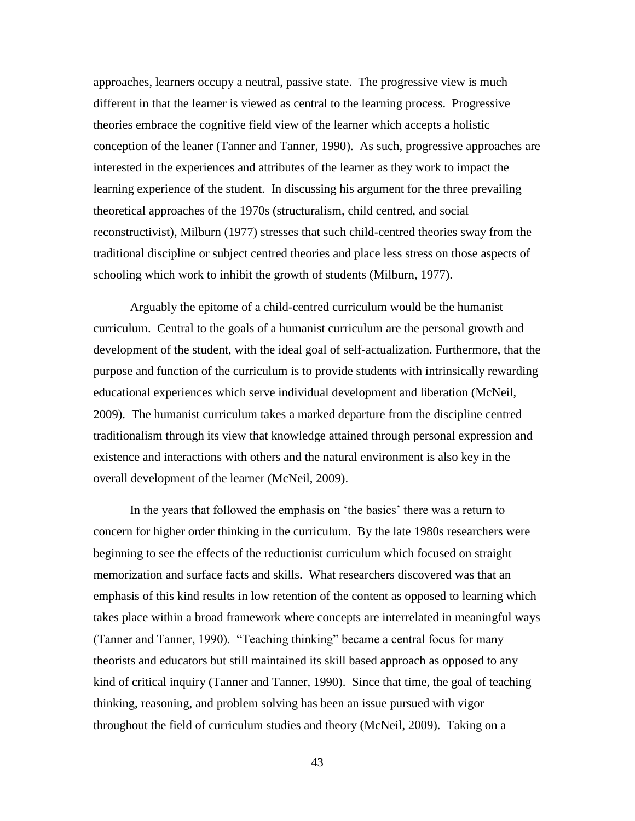approaches, learners occupy a neutral, passive state. The progressive view is much different in that the learner is viewed as central to the learning process. Progressive theories embrace the cognitive field view of the learner which accepts a holistic conception of the leaner (Tanner and Tanner, 1990). As such, progressive approaches are interested in the experiences and attributes of the learner as they work to impact the learning experience of the student. In discussing his argument for the three prevailing theoretical approaches of the 1970s (structuralism, child centred, and social reconstructivist), Milburn (1977) stresses that such child-centred theories sway from the traditional discipline or subject centred theories and place less stress on those aspects of schooling which work to inhibit the growth of students (Milburn, 1977).

Arguably the epitome of a child-centred curriculum would be the humanist curriculum. Central to the goals of a humanist curriculum are the personal growth and development of the student, with the ideal goal of self-actualization. Furthermore, that the purpose and function of the curriculum is to provide students with intrinsically rewarding educational experiences which serve individual development and liberation (McNeil, 2009). The humanist curriculum takes a marked departure from the discipline centred traditionalism through its view that knowledge attained through personal expression and existence and interactions with others and the natural environment is also key in the overall development of the learner (McNeil, 2009).

In the years that followed the emphasis on 'the basics' there was a return to concern for higher order thinking in the curriculum. By the late 1980s researchers were beginning to see the effects of the reductionist curriculum which focused on straight memorization and surface facts and skills. What researchers discovered was that an emphasis of this kind results in low retention of the content as opposed to learning which takes place within a broad framework where concepts are interrelated in meaningful ways (Tanner and Tanner, 1990). "Teaching thinking" became a central focus for many theorists and educators but still maintained its skill based approach as opposed to any kind of critical inquiry (Tanner and Tanner, 1990). Since that time, the goal of teaching thinking, reasoning, and problem solving has been an issue pursued with vigor throughout the field of curriculum studies and theory (McNeil, 2009). Taking on a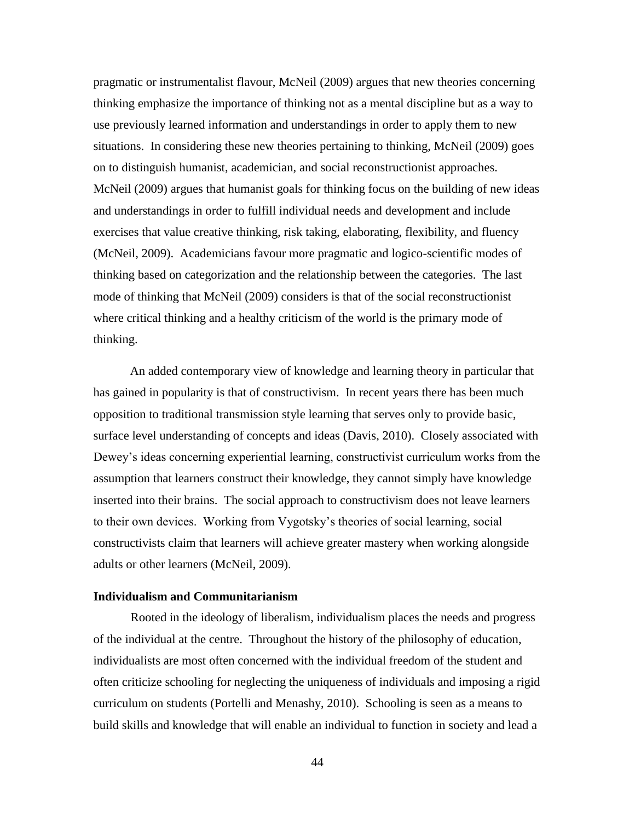pragmatic or instrumentalist flavour, McNeil (2009) argues that new theories concerning thinking emphasize the importance of thinking not as a mental discipline but as a way to use previously learned information and understandings in order to apply them to new situations. In considering these new theories pertaining to thinking, McNeil (2009) goes on to distinguish humanist, academician, and social reconstructionist approaches. McNeil (2009) argues that humanist goals for thinking focus on the building of new ideas and understandings in order to fulfill individual needs and development and include exercises that value creative thinking, risk taking, elaborating, flexibility, and fluency (McNeil, 2009). Academicians favour more pragmatic and logico-scientific modes of thinking based on categorization and the relationship between the categories. The last mode of thinking that McNeil (2009) considers is that of the social reconstructionist where critical thinking and a healthy criticism of the world is the primary mode of thinking.

An added contemporary view of knowledge and learning theory in particular that has gained in popularity is that of constructivism. In recent years there has been much opposition to traditional transmission style learning that serves only to provide basic, surface level understanding of concepts and ideas (Davis, 2010). Closely associated with Dewey's ideas concerning experiential learning, constructivist curriculum works from the assumption that learners construct their knowledge, they cannot simply have knowledge inserted into their brains. The social approach to constructivism does not leave learners to their own devices. Working from Vygotsky's theories of social learning, social constructivists claim that learners will achieve greater mastery when working alongside adults or other learners (McNeil, 2009).

# **Individualism and Communitarianism**

Rooted in the ideology of liberalism, individualism places the needs and progress of the individual at the centre. Throughout the history of the philosophy of education, individualists are most often concerned with the individual freedom of the student and often criticize schooling for neglecting the uniqueness of individuals and imposing a rigid curriculum on students (Portelli and Menashy, 2010). Schooling is seen as a means to build skills and knowledge that will enable an individual to function in society and lead a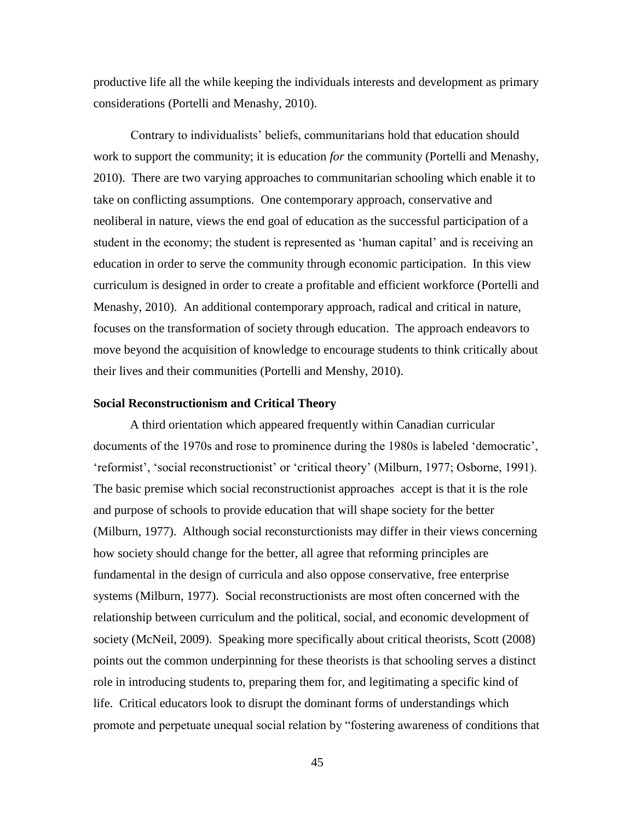productive life all the while keeping the individuals interests and development as primary considerations (Portelli and Menashy, 2010).

Contrary to individualists' beliefs, communitarians hold that education should work to support the community; it is education *for* the community (Portelli and Menashy, 2010). There are two varying approaches to communitarian schooling which enable it to take on conflicting assumptions. One contemporary approach, conservative and neoliberal in nature, views the end goal of education as the successful participation of a student in the economy; the student is represented as 'human capital' and is receiving an education in order to serve the community through economic participation. In this view curriculum is designed in order to create a profitable and efficient workforce (Portelli and Menashy, 2010). An additional contemporary approach, radical and critical in nature, focuses on the transformation of society through education. The approach endeavors to move beyond the acquisition of knowledge to encourage students to think critically about their lives and their communities (Portelli and Menshy, 2010).

#### **Social Reconstructionism and Critical Theory**

A third orientation which appeared frequently within Canadian curricular documents of the 1970s and rose to prominence during the 1980s is labeled 'democratic', 'reformist', 'social reconstructionist' or 'critical theory' (Milburn, 1977; Osborne, 1991). The basic premise which social reconstructionist approaches accept is that it is the role and purpose of schools to provide education that will shape society for the better (Milburn, 1977). Although social reconsturctionists may differ in their views concerning how society should change for the better, all agree that reforming principles are fundamental in the design of curricula and also oppose conservative, free enterprise systems (Milburn, 1977). Social reconstructionists are most often concerned with the relationship between curriculum and the political, social, and economic development of society (McNeil, 2009). Speaking more specifically about critical theorists, Scott (2008) points out the common underpinning for these theorists is that schooling serves a distinct role in introducing students to, preparing them for, and legitimating a specific kind of life. Critical educators look to disrupt the dominant forms of understandings which promote and perpetuate unequal social relation by "fostering awareness of conditions that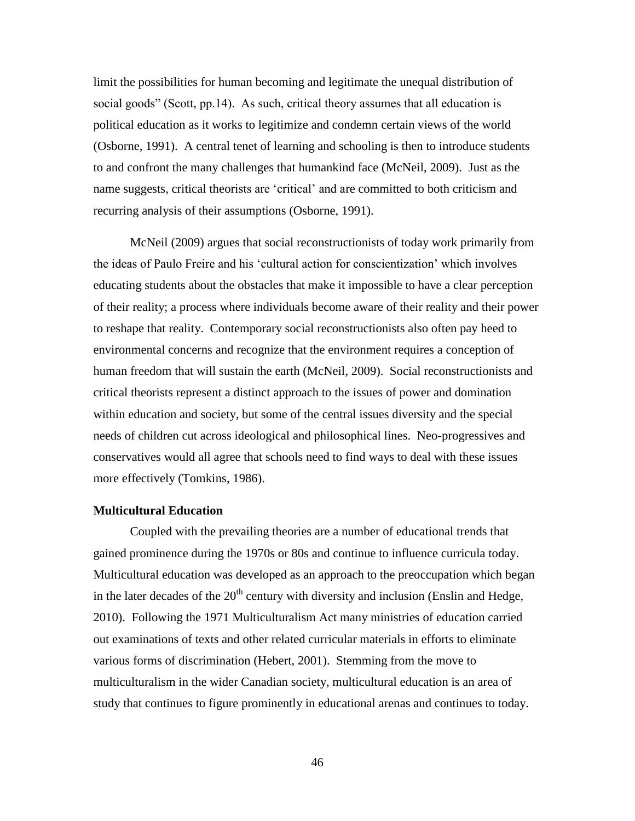limit the possibilities for human becoming and legitimate the unequal distribution of social goods" (Scott, pp.14). As such, critical theory assumes that all education is political education as it works to legitimize and condemn certain views of the world (Osborne, 1991). A central tenet of learning and schooling is then to introduce students to and confront the many challenges that humankind face (McNeil, 2009). Just as the name suggests, critical theorists are 'critical' and are committed to both criticism and recurring analysis of their assumptions (Osborne, 1991).

McNeil (2009) argues that social reconstructionists of today work primarily from the ideas of Paulo Freire and his 'cultural action for conscientization' which involves educating students about the obstacles that make it impossible to have a clear perception of their reality; a process where individuals become aware of their reality and their power to reshape that reality. Contemporary social reconstructionists also often pay heed to environmental concerns and recognize that the environment requires a conception of human freedom that will sustain the earth (McNeil, 2009). Social reconstructionists and critical theorists represent a distinct approach to the issues of power and domination within education and society, but some of the central issues diversity and the special needs of children cut across ideological and philosophical lines. Neo-progressives and conservatives would all agree that schools need to find ways to deal with these issues more effectively (Tomkins, 1986).

#### **Multicultural Education**

Coupled with the prevailing theories are a number of educational trends that gained prominence during the 1970s or 80s and continue to influence curricula today. Multicultural education was developed as an approach to the preoccupation which began in the later decades of the  $20<sup>th</sup>$  century with diversity and inclusion (Enslin and Hedge, 2010). Following the 1971 Multiculturalism Act many ministries of education carried out examinations of texts and other related curricular materials in efforts to eliminate various forms of discrimination (Hebert, 2001). Stemming from the move to multiculturalism in the wider Canadian society, multicultural education is an area of study that continues to figure prominently in educational arenas and continues to today.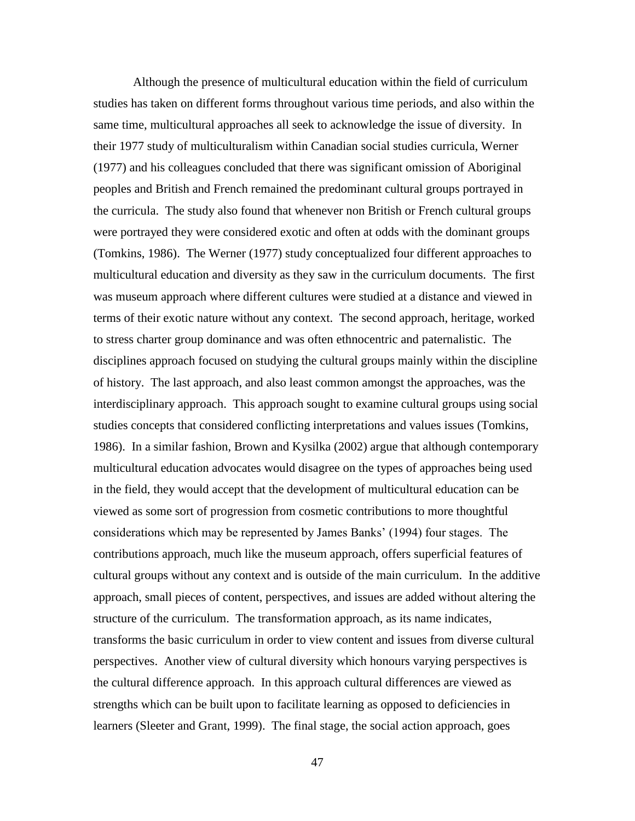Although the presence of multicultural education within the field of curriculum studies has taken on different forms throughout various time periods, and also within the same time, multicultural approaches all seek to acknowledge the issue of diversity. In their 1977 study of multiculturalism within Canadian social studies curricula, Werner (1977) and his colleagues concluded that there was significant omission of Aboriginal peoples and British and French remained the predominant cultural groups portrayed in the curricula. The study also found that whenever non British or French cultural groups were portrayed they were considered exotic and often at odds with the dominant groups (Tomkins, 1986). The Werner (1977) study conceptualized four different approaches to multicultural education and diversity as they saw in the curriculum documents. The first was museum approach where different cultures were studied at a distance and viewed in terms of their exotic nature without any context. The second approach, heritage, worked to stress charter group dominance and was often ethnocentric and paternalistic. The disciplines approach focused on studying the cultural groups mainly within the discipline of history. The last approach, and also least common amongst the approaches, was the interdisciplinary approach. This approach sought to examine cultural groups using social studies concepts that considered conflicting interpretations and values issues (Tomkins, 1986). In a similar fashion, Brown and Kysilka (2002) argue that although contemporary multicultural education advocates would disagree on the types of approaches being used in the field, they would accept that the development of multicultural education can be viewed as some sort of progression from cosmetic contributions to more thoughtful considerations which may be represented by James Banks' (1994) four stages. The contributions approach, much like the museum approach, offers superficial features of cultural groups without any context and is outside of the main curriculum. In the additive approach, small pieces of content, perspectives, and issues are added without altering the structure of the curriculum. The transformation approach, as its name indicates, transforms the basic curriculum in order to view content and issues from diverse cultural perspectives. Another view of cultural diversity which honours varying perspectives is the cultural difference approach. In this approach cultural differences are viewed as strengths which can be built upon to facilitate learning as opposed to deficiencies in learners (Sleeter and Grant, 1999). The final stage, the social action approach, goes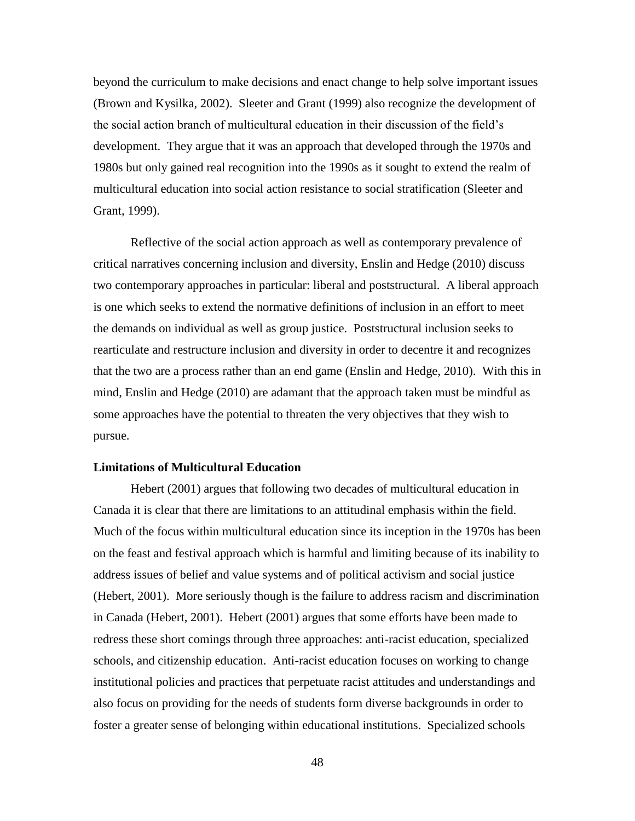beyond the curriculum to make decisions and enact change to help solve important issues (Brown and Kysilka, 2002). Sleeter and Grant (1999) also recognize the development of the social action branch of multicultural education in their discussion of the field's development. They argue that it was an approach that developed through the 1970s and 1980s but only gained real recognition into the 1990s as it sought to extend the realm of multicultural education into social action resistance to social stratification (Sleeter and Grant, 1999).

Reflective of the social action approach as well as contemporary prevalence of critical narratives concerning inclusion and diversity, Enslin and Hedge (2010) discuss two contemporary approaches in particular: liberal and poststructural. A liberal approach is one which seeks to extend the normative definitions of inclusion in an effort to meet the demands on individual as well as group justice. Poststructural inclusion seeks to rearticulate and restructure inclusion and diversity in order to decentre it and recognizes that the two are a process rather than an end game (Enslin and Hedge, 2010). With this in mind, Enslin and Hedge (2010) are adamant that the approach taken must be mindful as some approaches have the potential to threaten the very objectives that they wish to pursue.

# **Limitations of Multicultural Education**

Hebert (2001) argues that following two decades of multicultural education in Canada it is clear that there are limitations to an attitudinal emphasis within the field. Much of the focus within multicultural education since its inception in the 1970s has been on the feast and festival approach which is harmful and limiting because of its inability to address issues of belief and value systems and of political activism and social justice (Hebert, 2001). More seriously though is the failure to address racism and discrimination in Canada (Hebert, 2001). Hebert (2001) argues that some efforts have been made to redress these short comings through three approaches: anti-racist education, specialized schools, and citizenship education. Anti-racist education focuses on working to change institutional policies and practices that perpetuate racist attitudes and understandings and also focus on providing for the needs of students form diverse backgrounds in order to foster a greater sense of belonging within educational institutions. Specialized schools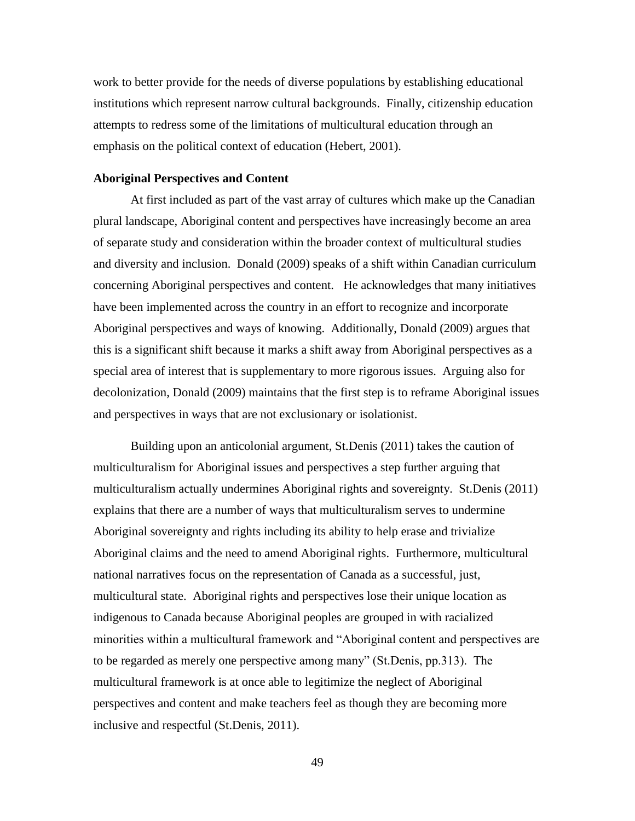work to better provide for the needs of diverse populations by establishing educational institutions which represent narrow cultural backgrounds. Finally, citizenship education attempts to redress some of the limitations of multicultural education through an emphasis on the political context of education (Hebert, 2001).

## **Aboriginal Perspectives and Content**

At first included as part of the vast array of cultures which make up the Canadian plural landscape, Aboriginal content and perspectives have increasingly become an area of separate study and consideration within the broader context of multicultural studies and diversity and inclusion. Donald (2009) speaks of a shift within Canadian curriculum concerning Aboriginal perspectives and content. He acknowledges that many initiatives have been implemented across the country in an effort to recognize and incorporate Aboriginal perspectives and ways of knowing. Additionally, Donald (2009) argues that this is a significant shift because it marks a shift away from Aboriginal perspectives as a special area of interest that is supplementary to more rigorous issues. Arguing also for decolonization, Donald (2009) maintains that the first step is to reframe Aboriginal issues and perspectives in ways that are not exclusionary or isolationist.

Building upon an anticolonial argument, St.Denis (2011) takes the caution of multiculturalism for Aboriginal issues and perspectives a step further arguing that multiculturalism actually undermines Aboriginal rights and sovereignty. St.Denis (2011) explains that there are a number of ways that multiculturalism serves to undermine Aboriginal sovereignty and rights including its ability to help erase and trivialize Aboriginal claims and the need to amend Aboriginal rights. Furthermore, multicultural national narratives focus on the representation of Canada as a successful, just, multicultural state. Aboriginal rights and perspectives lose their unique location as indigenous to Canada because Aboriginal peoples are grouped in with racialized minorities within a multicultural framework and "Aboriginal content and perspectives are to be regarded as merely one perspective among many" (St.Denis, pp.313). The multicultural framework is at once able to legitimize the neglect of Aboriginal perspectives and content and make teachers feel as though they are becoming more inclusive and respectful (St.Denis, 2011).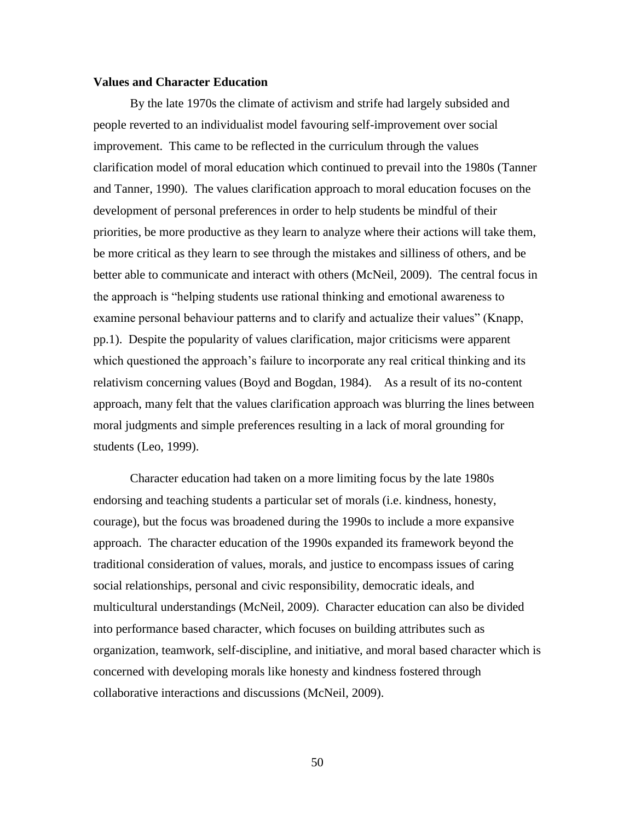### **Values and Character Education**

By the late 1970s the climate of activism and strife had largely subsided and people reverted to an individualist model favouring self-improvement over social improvement. This came to be reflected in the curriculum through the values clarification model of moral education which continued to prevail into the 1980s (Tanner and Tanner, 1990). The values clarification approach to moral education focuses on the development of personal preferences in order to help students be mindful of their priorities, be more productive as they learn to analyze where their actions will take them, be more critical as they learn to see through the mistakes and silliness of others, and be better able to communicate and interact with others (McNeil, 2009). The central focus in the approach is "helping students use rational thinking and emotional awareness to examine personal behaviour patterns and to clarify and actualize their values" (Knapp, pp.1). Despite the popularity of values clarification, major criticisms were apparent which questioned the approach's failure to incorporate any real critical thinking and its relativism concerning values (Boyd and Bogdan, 1984). As a result of its no-content approach, many felt that the values clarification approach was blurring the lines between moral judgments and simple preferences resulting in a lack of moral grounding for students (Leo, 1999).

Character education had taken on a more limiting focus by the late 1980s endorsing and teaching students a particular set of morals (i.e. kindness, honesty, courage), but the focus was broadened during the 1990s to include a more expansive approach. The character education of the 1990s expanded its framework beyond the traditional consideration of values, morals, and justice to encompass issues of caring social relationships, personal and civic responsibility, democratic ideals, and multicultural understandings (McNeil, 2009). Character education can also be divided into performance based character, which focuses on building attributes such as organization, teamwork, self-discipline, and initiative, and moral based character which is concerned with developing morals like honesty and kindness fostered through collaborative interactions and discussions (McNeil, 2009).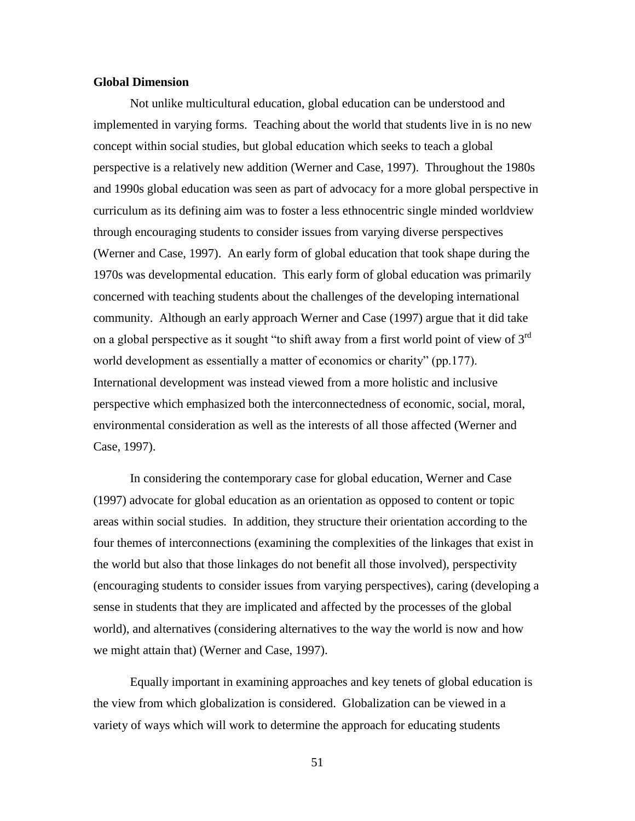# **Global Dimension**

Not unlike multicultural education, global education can be understood and implemented in varying forms. Teaching about the world that students live in is no new concept within social studies, but global education which seeks to teach a global perspective is a relatively new addition (Werner and Case, 1997). Throughout the 1980s and 1990s global education was seen as part of advocacy for a more global perspective in curriculum as its defining aim was to foster a less ethnocentric single minded worldview through encouraging students to consider issues from varying diverse perspectives (Werner and Case, 1997). An early form of global education that took shape during the 1970s was developmental education. This early form of global education was primarily concerned with teaching students about the challenges of the developing international community. Although an early approach Werner and Case (1997) argue that it did take on a global perspective as it sought "to shift away from a first world point of view of  $3<sup>rd</sup>$ world development as essentially a matter of economics or charity" (pp.177). International development was instead viewed from a more holistic and inclusive perspective which emphasized both the interconnectedness of economic, social, moral, environmental consideration as well as the interests of all those affected (Werner and Case, 1997).

In considering the contemporary case for global education, Werner and Case (1997) advocate for global education as an orientation as opposed to content or topic areas within social studies. In addition, they structure their orientation according to the four themes of interconnections (examining the complexities of the linkages that exist in the world but also that those linkages do not benefit all those involved), perspectivity (encouraging students to consider issues from varying perspectives), caring (developing a sense in students that they are implicated and affected by the processes of the global world), and alternatives (considering alternatives to the way the world is now and how we might attain that) (Werner and Case, 1997).

Equally important in examining approaches and key tenets of global education is the view from which globalization is considered. Globalization can be viewed in a variety of ways which will work to determine the approach for educating students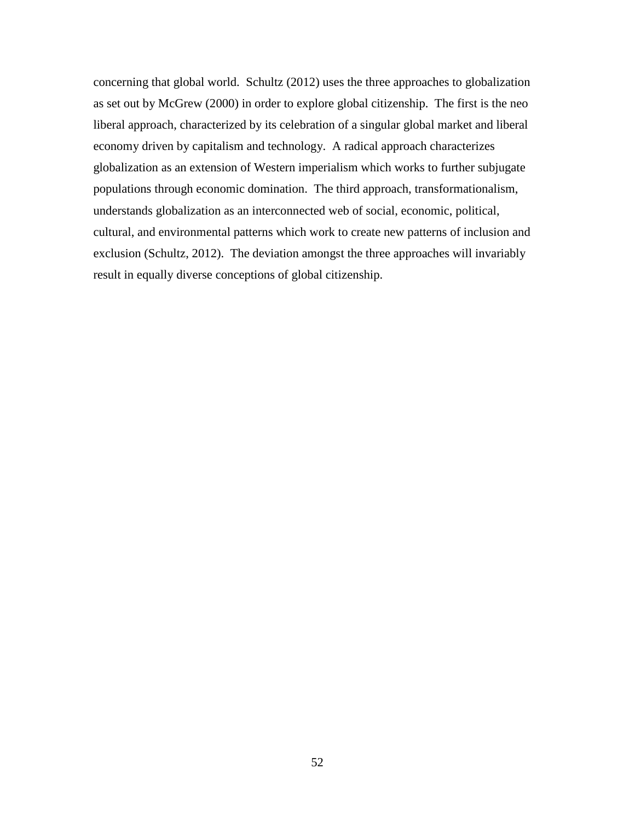concerning that global world. Schultz (2012) uses the three approaches to globalization as set out by McGrew (2000) in order to explore global citizenship. The first is the neo liberal approach, characterized by its celebration of a singular global market and liberal economy driven by capitalism and technology. A radical approach characterizes globalization as an extension of Western imperialism which works to further subjugate populations through economic domination. The third approach, transformationalism, understands globalization as an interconnected web of social, economic, political, cultural, and environmental patterns which work to create new patterns of inclusion and exclusion (Schultz, 2012). The deviation amongst the three approaches will invariably result in equally diverse conceptions of global citizenship.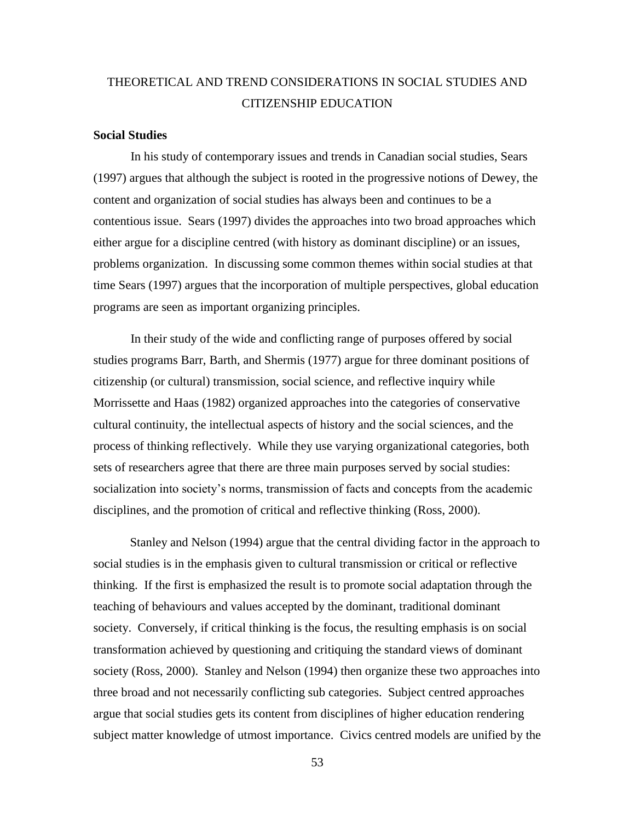# THEORETICAL AND TREND CONSIDERATIONS IN SOCIAL STUDIES AND CITIZENSHIP EDUCATION

#### **Social Studies**

In his study of contemporary issues and trends in Canadian social studies, Sears (1997) argues that although the subject is rooted in the progressive notions of Dewey, the content and organization of social studies has always been and continues to be a contentious issue. Sears (1997) divides the approaches into two broad approaches which either argue for a discipline centred (with history as dominant discipline) or an issues, problems organization. In discussing some common themes within social studies at that time Sears (1997) argues that the incorporation of multiple perspectives, global education programs are seen as important organizing principles.

In their study of the wide and conflicting range of purposes offered by social studies programs Barr, Barth, and Shermis (1977) argue for three dominant positions of citizenship (or cultural) transmission, social science, and reflective inquiry while Morrissette and Haas (1982) organized approaches into the categories of conservative cultural continuity, the intellectual aspects of history and the social sciences, and the process of thinking reflectively. While they use varying organizational categories, both sets of researchers agree that there are three main purposes served by social studies: socialization into society's norms, transmission of facts and concepts from the academic disciplines, and the promotion of critical and reflective thinking (Ross, 2000).

Stanley and Nelson (1994) argue that the central dividing factor in the approach to social studies is in the emphasis given to cultural transmission or critical or reflective thinking. If the first is emphasized the result is to promote social adaptation through the teaching of behaviours and values accepted by the dominant, traditional dominant society. Conversely, if critical thinking is the focus, the resulting emphasis is on social transformation achieved by questioning and critiquing the standard views of dominant society (Ross, 2000). Stanley and Nelson (1994) then organize these two approaches into three broad and not necessarily conflicting sub categories. Subject centred approaches argue that social studies gets its content from disciplines of higher education rendering subject matter knowledge of utmost importance. Civics centred models are unified by the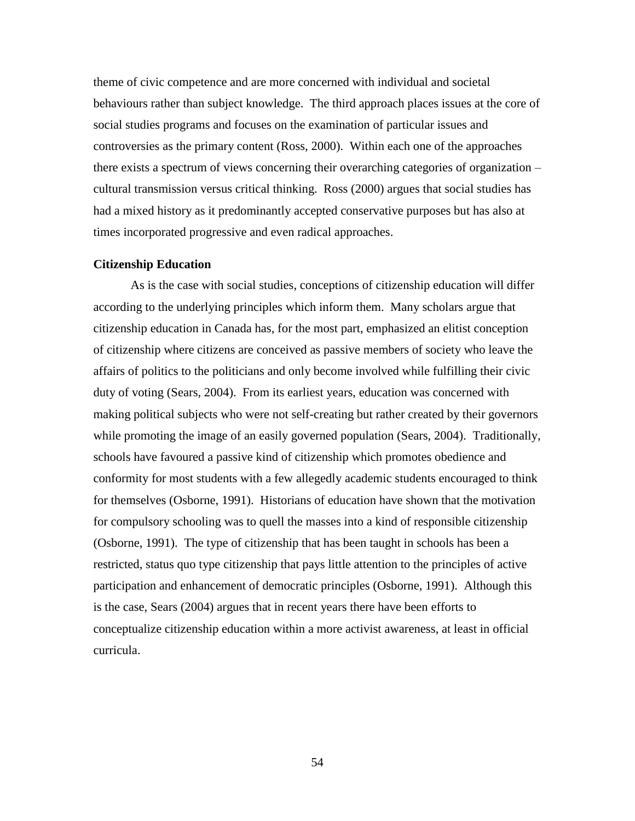theme of civic competence and are more concerned with individual and societal behaviours rather than subject knowledge. The third approach places issues at the core of social studies programs and focuses on the examination of particular issues and controversies as the primary content (Ross, 2000). Within each one of the approaches there exists a spectrum of views concerning their overarching categories of organization – cultural transmission versus critical thinking. Ross (2000) argues that social studies has had a mixed history as it predominantly accepted conservative purposes but has also at times incorporated progressive and even radical approaches.

#### **Citizenship Education**

As is the case with social studies, conceptions of citizenship education will differ according to the underlying principles which inform them. Many scholars argue that citizenship education in Canada has, for the most part, emphasized an elitist conception of citizenship where citizens are conceived as passive members of society who leave the affairs of politics to the politicians and only become involved while fulfilling their civic duty of voting (Sears, 2004). From its earliest years, education was concerned with making political subjects who were not self-creating but rather created by their governors while promoting the image of an easily governed population (Sears, 2004). Traditionally, schools have favoured a passive kind of citizenship which promotes obedience and conformity for most students with a few allegedly academic students encouraged to think for themselves (Osborne, 1991). Historians of education have shown that the motivation for compulsory schooling was to quell the masses into a kind of responsible citizenship (Osborne, 1991). The type of citizenship that has been taught in schools has been a restricted, status quo type citizenship that pays little attention to the principles of active participation and enhancement of democratic principles (Osborne, 1991). Although this is the case, Sears (2004) argues that in recent years there have been efforts to conceptualize citizenship education within a more activist awareness, at least in official curricula.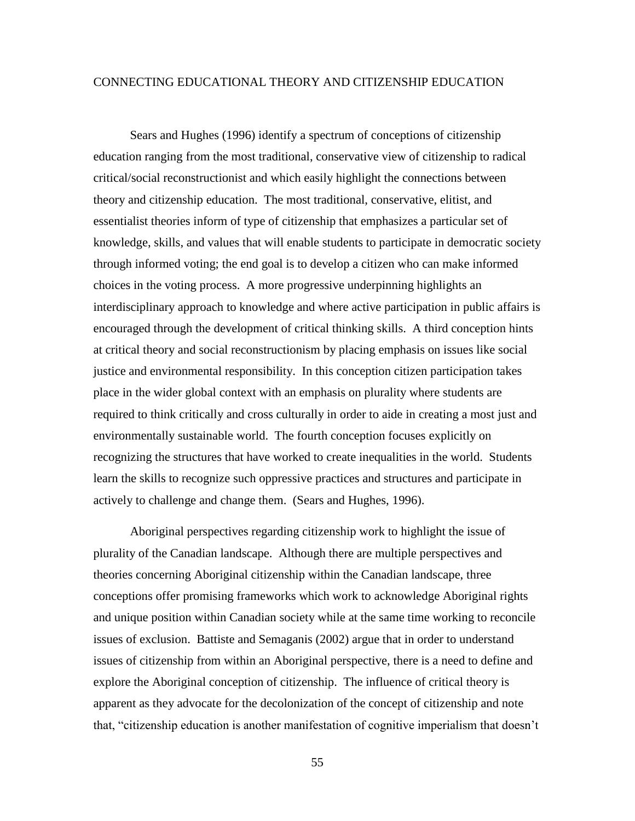# CONNECTING EDUCATIONAL THEORY AND CITIZENSHIP EDUCATION

Sears and Hughes (1996) identify a spectrum of conceptions of citizenship education ranging from the most traditional, conservative view of citizenship to radical critical/social reconstructionist and which easily highlight the connections between theory and citizenship education. The most traditional, conservative, elitist, and essentialist theories inform of type of citizenship that emphasizes a particular set of knowledge, skills, and values that will enable students to participate in democratic society through informed voting; the end goal is to develop a citizen who can make informed choices in the voting process. A more progressive underpinning highlights an interdisciplinary approach to knowledge and where active participation in public affairs is encouraged through the development of critical thinking skills. A third conception hints at critical theory and social reconstructionism by placing emphasis on issues like social justice and environmental responsibility. In this conception citizen participation takes place in the wider global context with an emphasis on plurality where students are required to think critically and cross culturally in order to aide in creating a most just and environmentally sustainable world. The fourth conception focuses explicitly on recognizing the structures that have worked to create inequalities in the world. Students learn the skills to recognize such oppressive practices and structures and participate in actively to challenge and change them. (Sears and Hughes, 1996).

Aboriginal perspectives regarding citizenship work to highlight the issue of plurality of the Canadian landscape. Although there are multiple perspectives and theories concerning Aboriginal citizenship within the Canadian landscape, three conceptions offer promising frameworks which work to acknowledge Aboriginal rights and unique position within Canadian society while at the same time working to reconcile issues of exclusion. Battiste and Semaganis (2002) argue that in order to understand issues of citizenship from within an Aboriginal perspective, there is a need to define and explore the Aboriginal conception of citizenship. The influence of critical theory is apparent as they advocate for the decolonization of the concept of citizenship and note that, "citizenship education is another manifestation of cognitive imperialism that doesn't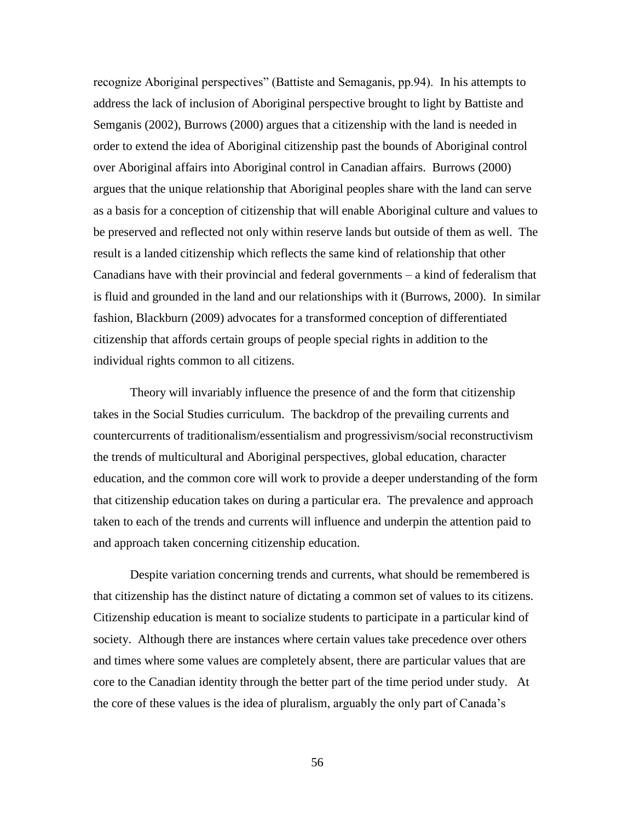recognize Aboriginal perspectives" (Battiste and Semaganis, pp.94). In his attempts to address the lack of inclusion of Aboriginal perspective brought to light by Battiste and Semganis (2002), Burrows (2000) argues that a citizenship with the land is needed in order to extend the idea of Aboriginal citizenship past the bounds of Aboriginal control over Aboriginal affairs into Aboriginal control in Canadian affairs. Burrows (2000) argues that the unique relationship that Aboriginal peoples share with the land can serve as a basis for a conception of citizenship that will enable Aboriginal culture and values to be preserved and reflected not only within reserve lands but outside of them as well. The result is a landed citizenship which reflects the same kind of relationship that other Canadians have with their provincial and federal governments – a kind of federalism that is fluid and grounded in the land and our relationships with it (Burrows, 2000). In similar fashion, Blackburn (2009) advocates for a transformed conception of differentiated citizenship that affords certain groups of people special rights in addition to the individual rights common to all citizens.

Theory will invariably influence the presence of and the form that citizenship takes in the Social Studies curriculum. The backdrop of the prevailing currents and countercurrents of traditionalism/essentialism and progressivism/social reconstructivism the trends of multicultural and Aboriginal perspectives, global education, character education, and the common core will work to provide a deeper understanding of the form that citizenship education takes on during a particular era. The prevalence and approach taken to each of the trends and currents will influence and underpin the attention paid to and approach taken concerning citizenship education.

Despite variation concerning trends and currents, what should be remembered is that citizenship has the distinct nature of dictating a common set of values to its citizens. Citizenship education is meant to socialize students to participate in a particular kind of society. Although there are instances where certain values take precedence over others and times where some values are completely absent, there are particular values that are core to the Canadian identity through the better part of the time period under study. At the core of these values is the idea of pluralism, arguably the only part of Canada's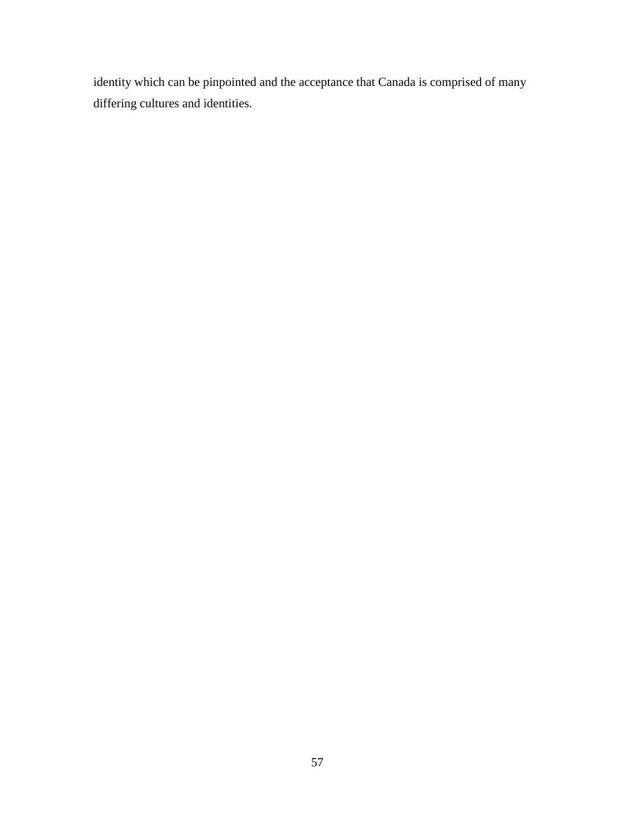identity which can be pinpointed and the acceptance that Canada is comprised of many differing cultures and identities.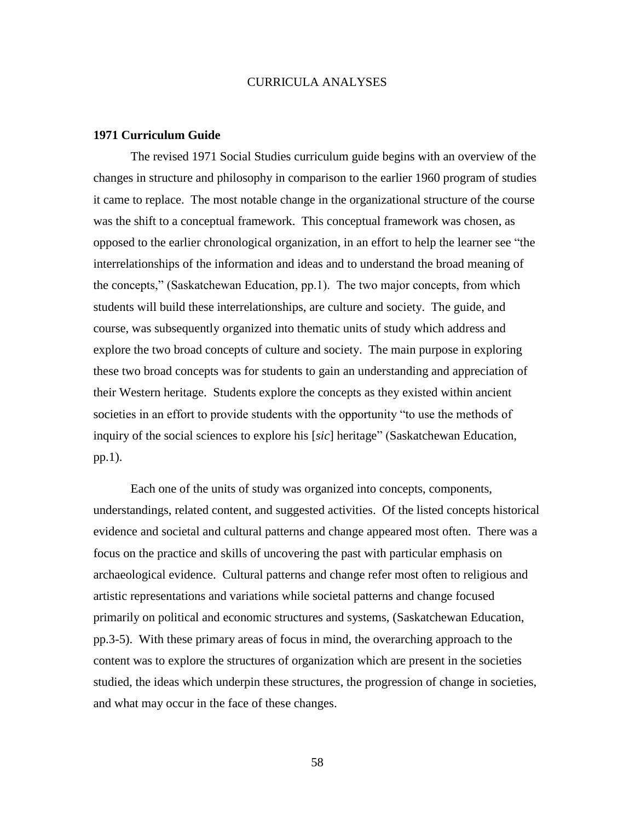#### CURRICULA ANALYSES

#### **1971 Curriculum Guide**

The revised 1971 Social Studies curriculum guide begins with an overview of the changes in structure and philosophy in comparison to the earlier 1960 program of studies it came to replace. The most notable change in the organizational structure of the course was the shift to a conceptual framework. This conceptual framework was chosen, as opposed to the earlier chronological organization, in an effort to help the learner see "the interrelationships of the information and ideas and to understand the broad meaning of the concepts," (Saskatchewan Education, pp.1). The two major concepts, from which students will build these interrelationships, are culture and society. The guide, and course, was subsequently organized into thematic units of study which address and explore the two broad concepts of culture and society. The main purpose in exploring these two broad concepts was for students to gain an understanding and appreciation of their Western heritage. Students explore the concepts as they existed within ancient societies in an effort to provide students with the opportunity "to use the methods of inquiry of the social sciences to explore his [*sic*] heritage" (Saskatchewan Education, pp.1).

Each one of the units of study was organized into concepts, components, understandings, related content, and suggested activities. Of the listed concepts historical evidence and societal and cultural patterns and change appeared most often. There was a focus on the practice and skills of uncovering the past with particular emphasis on archaeological evidence. Cultural patterns and change refer most often to religious and artistic representations and variations while societal patterns and change focused primarily on political and economic structures and systems, (Saskatchewan Education, pp.3-5). With these primary areas of focus in mind, the overarching approach to the content was to explore the structures of organization which are present in the societies studied, the ideas which underpin these structures, the progression of change in societies, and what may occur in the face of these changes.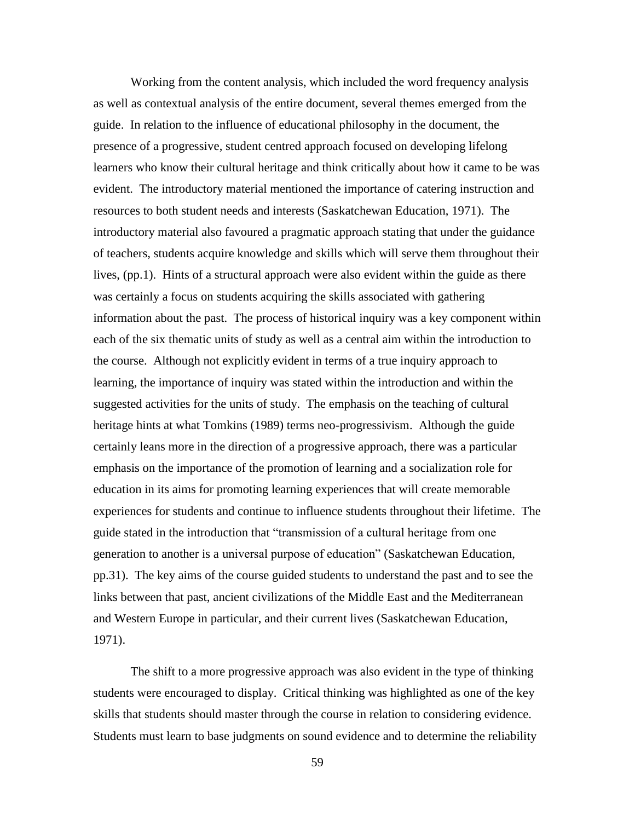Working from the content analysis, which included the word frequency analysis as well as contextual analysis of the entire document, several themes emerged from the guide. In relation to the influence of educational philosophy in the document, the presence of a progressive, student centred approach focused on developing lifelong learners who know their cultural heritage and think critically about how it came to be was evident. The introductory material mentioned the importance of catering instruction and resources to both student needs and interests (Saskatchewan Education, 1971). The introductory material also favoured a pragmatic approach stating that under the guidance of teachers, students acquire knowledge and skills which will serve them throughout their lives, (pp.1). Hints of a structural approach were also evident within the guide as there was certainly a focus on students acquiring the skills associated with gathering information about the past. The process of historical inquiry was a key component within each of the six thematic units of study as well as a central aim within the introduction to the course. Although not explicitly evident in terms of a true inquiry approach to learning, the importance of inquiry was stated within the introduction and within the suggested activities for the units of study. The emphasis on the teaching of cultural heritage hints at what Tomkins (1989) terms neo-progressivism. Although the guide certainly leans more in the direction of a progressive approach, there was a particular emphasis on the importance of the promotion of learning and a socialization role for education in its aims for promoting learning experiences that will create memorable experiences for students and continue to influence students throughout their lifetime. The guide stated in the introduction that "transmission of a cultural heritage from one generation to another is a universal purpose of education" (Saskatchewan Education, pp.31). The key aims of the course guided students to understand the past and to see the links between that past, ancient civilizations of the Middle East and the Mediterranean and Western Europe in particular, and their current lives (Saskatchewan Education, 1971).

The shift to a more progressive approach was also evident in the type of thinking students were encouraged to display. Critical thinking was highlighted as one of the key skills that students should master through the course in relation to considering evidence. Students must learn to base judgments on sound evidence and to determine the reliability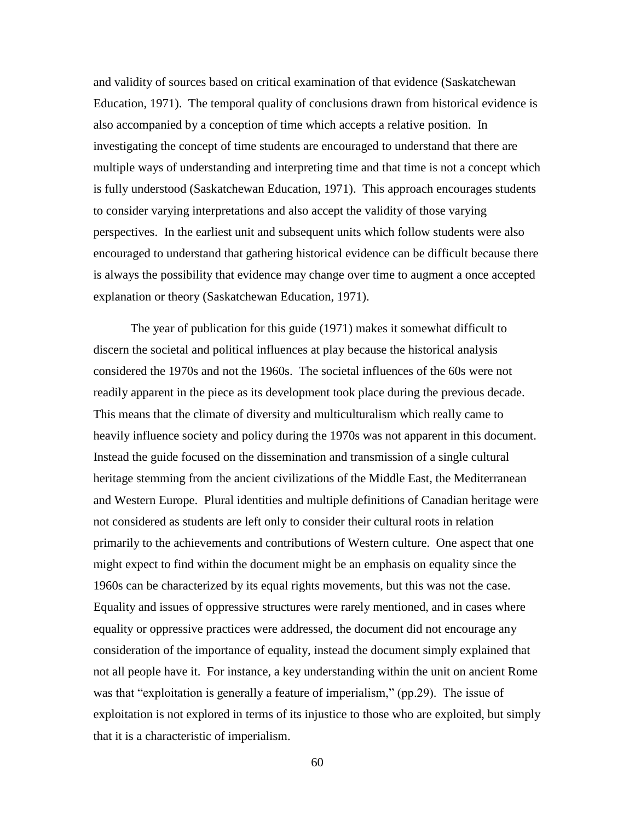and validity of sources based on critical examination of that evidence (Saskatchewan Education, 1971). The temporal quality of conclusions drawn from historical evidence is also accompanied by a conception of time which accepts a relative position. In investigating the concept of time students are encouraged to understand that there are multiple ways of understanding and interpreting time and that time is not a concept which is fully understood (Saskatchewan Education, 1971). This approach encourages students to consider varying interpretations and also accept the validity of those varying perspectives. In the earliest unit and subsequent units which follow students were also encouraged to understand that gathering historical evidence can be difficult because there is always the possibility that evidence may change over time to augment a once accepted explanation or theory (Saskatchewan Education, 1971).

The year of publication for this guide (1971) makes it somewhat difficult to discern the societal and political influences at play because the historical analysis considered the 1970s and not the 1960s. The societal influences of the 60s were not readily apparent in the piece as its development took place during the previous decade. This means that the climate of diversity and multiculturalism which really came to heavily influence society and policy during the 1970s was not apparent in this document. Instead the guide focused on the dissemination and transmission of a single cultural heritage stemming from the ancient civilizations of the Middle East, the Mediterranean and Western Europe. Plural identities and multiple definitions of Canadian heritage were not considered as students are left only to consider their cultural roots in relation primarily to the achievements and contributions of Western culture. One aspect that one might expect to find within the document might be an emphasis on equality since the 1960s can be characterized by its equal rights movements, but this was not the case. Equality and issues of oppressive structures were rarely mentioned, and in cases where equality or oppressive practices were addressed, the document did not encourage any consideration of the importance of equality, instead the document simply explained that not all people have it. For instance, a key understanding within the unit on ancient Rome was that "exploitation is generally a feature of imperialism," (pp.29). The issue of exploitation is not explored in terms of its injustice to those who are exploited, but simply that it is a characteristic of imperialism.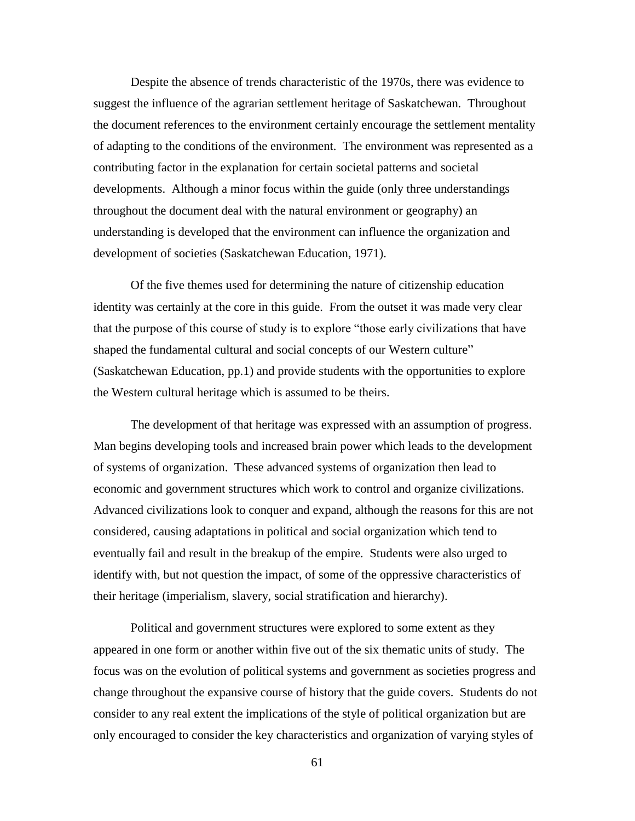Despite the absence of trends characteristic of the 1970s, there was evidence to suggest the influence of the agrarian settlement heritage of Saskatchewan. Throughout the document references to the environment certainly encourage the settlement mentality of adapting to the conditions of the environment. The environment was represented as a contributing factor in the explanation for certain societal patterns and societal developments. Although a minor focus within the guide (only three understandings throughout the document deal with the natural environment or geography) an understanding is developed that the environment can influence the organization and development of societies (Saskatchewan Education, 1971).

Of the five themes used for determining the nature of citizenship education identity was certainly at the core in this guide. From the outset it was made very clear that the purpose of this course of study is to explore "those early civilizations that have shaped the fundamental cultural and social concepts of our Western culture" (Saskatchewan Education, pp.1) and provide students with the opportunities to explore the Western cultural heritage which is assumed to be theirs.

The development of that heritage was expressed with an assumption of progress. Man begins developing tools and increased brain power which leads to the development of systems of organization. These advanced systems of organization then lead to economic and government structures which work to control and organize civilizations. Advanced civilizations look to conquer and expand, although the reasons for this are not considered, causing adaptations in political and social organization which tend to eventually fail and result in the breakup of the empire. Students were also urged to identify with, but not question the impact, of some of the oppressive characteristics of their heritage (imperialism, slavery, social stratification and hierarchy).

Political and government structures were explored to some extent as they appeared in one form or another within five out of the six thematic units of study. The focus was on the evolution of political systems and government as societies progress and change throughout the expansive course of history that the guide covers. Students do not consider to any real extent the implications of the style of political organization but are only encouraged to consider the key characteristics and organization of varying styles of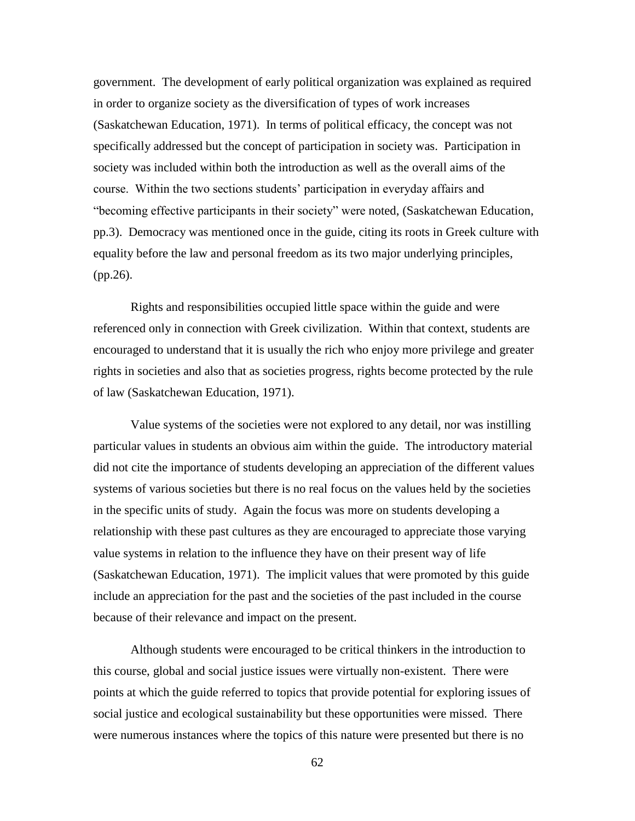government. The development of early political organization was explained as required in order to organize society as the diversification of types of work increases (Saskatchewan Education, 1971). In terms of political efficacy, the concept was not specifically addressed but the concept of participation in society was. Participation in society was included within both the introduction as well as the overall aims of the course. Within the two sections students' participation in everyday affairs and "becoming effective participants in their society" were noted, (Saskatchewan Education, pp.3). Democracy was mentioned once in the guide, citing its roots in Greek culture with equality before the law and personal freedom as its two major underlying principles, (pp.26).

Rights and responsibilities occupied little space within the guide and were referenced only in connection with Greek civilization. Within that context, students are encouraged to understand that it is usually the rich who enjoy more privilege and greater rights in societies and also that as societies progress, rights become protected by the rule of law (Saskatchewan Education, 1971).

Value systems of the societies were not explored to any detail, nor was instilling particular values in students an obvious aim within the guide. The introductory material did not cite the importance of students developing an appreciation of the different values systems of various societies but there is no real focus on the values held by the societies in the specific units of study. Again the focus was more on students developing a relationship with these past cultures as they are encouraged to appreciate those varying value systems in relation to the influence they have on their present way of life (Saskatchewan Education, 1971). The implicit values that were promoted by this guide include an appreciation for the past and the societies of the past included in the course because of their relevance and impact on the present.

Although students were encouraged to be critical thinkers in the introduction to this course, global and social justice issues were virtually non-existent. There were points at which the guide referred to topics that provide potential for exploring issues of social justice and ecological sustainability but these opportunities were missed. There were numerous instances where the topics of this nature were presented but there is no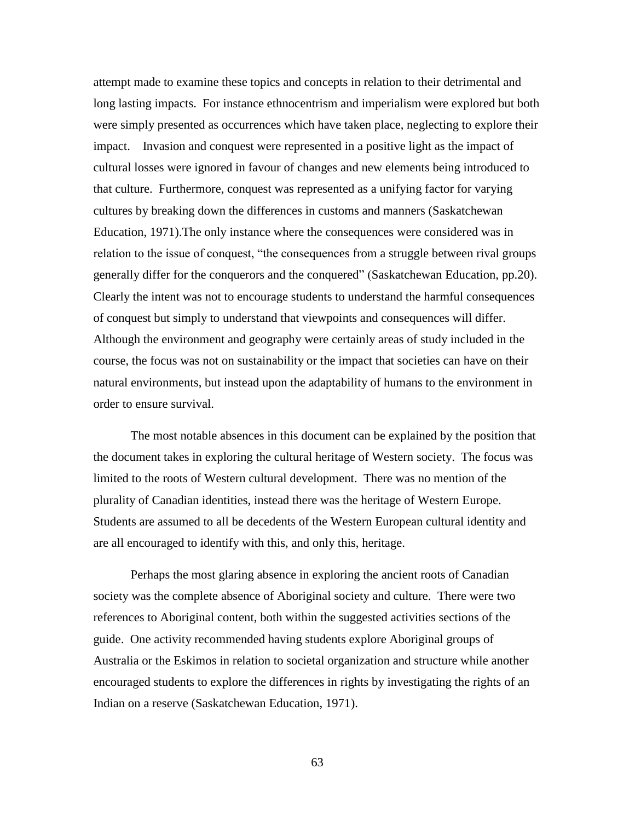attempt made to examine these topics and concepts in relation to their detrimental and long lasting impacts. For instance ethnocentrism and imperialism were explored but both were simply presented as occurrences which have taken place, neglecting to explore their impact. Invasion and conquest were represented in a positive light as the impact of cultural losses were ignored in favour of changes and new elements being introduced to that culture. Furthermore, conquest was represented as a unifying factor for varying cultures by breaking down the differences in customs and manners (Saskatchewan Education, 1971).The only instance where the consequences were considered was in relation to the issue of conquest, "the consequences from a struggle between rival groups generally differ for the conquerors and the conquered" (Saskatchewan Education, pp.20). Clearly the intent was not to encourage students to understand the harmful consequences of conquest but simply to understand that viewpoints and consequences will differ. Although the environment and geography were certainly areas of study included in the course, the focus was not on sustainability or the impact that societies can have on their natural environments, but instead upon the adaptability of humans to the environment in order to ensure survival.

The most notable absences in this document can be explained by the position that the document takes in exploring the cultural heritage of Western society. The focus was limited to the roots of Western cultural development. There was no mention of the plurality of Canadian identities, instead there was the heritage of Western Europe. Students are assumed to all be decedents of the Western European cultural identity and are all encouraged to identify with this, and only this, heritage.

Perhaps the most glaring absence in exploring the ancient roots of Canadian society was the complete absence of Aboriginal society and culture. There were two references to Aboriginal content, both within the suggested activities sections of the guide. One activity recommended having students explore Aboriginal groups of Australia or the Eskimos in relation to societal organization and structure while another encouraged students to explore the differences in rights by investigating the rights of an Indian on a reserve (Saskatchewan Education, 1971).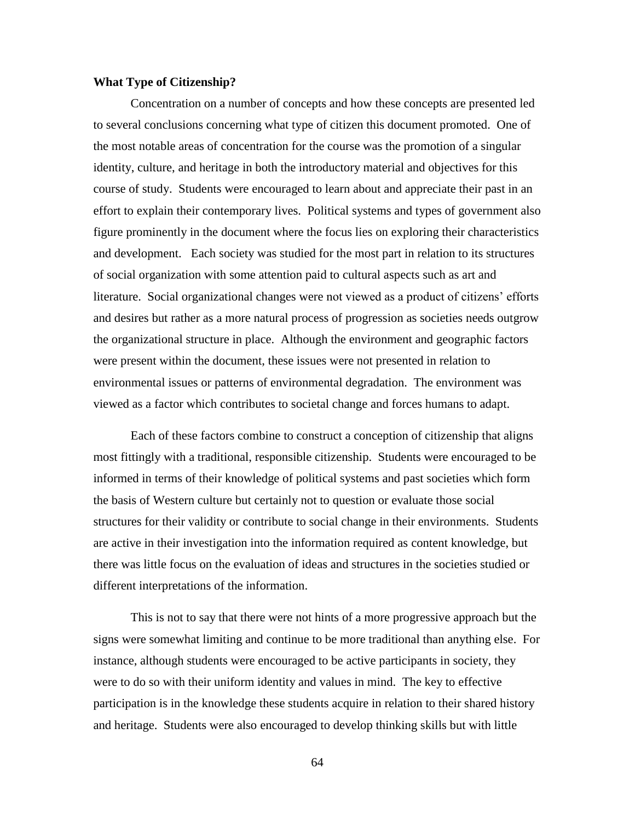# **What Type of Citizenship?**

Concentration on a number of concepts and how these concepts are presented led to several conclusions concerning what type of citizen this document promoted. One of the most notable areas of concentration for the course was the promotion of a singular identity, culture, and heritage in both the introductory material and objectives for this course of study. Students were encouraged to learn about and appreciate their past in an effort to explain their contemporary lives. Political systems and types of government also figure prominently in the document where the focus lies on exploring their characteristics and development. Each society was studied for the most part in relation to its structures of social organization with some attention paid to cultural aspects such as art and literature. Social organizational changes were not viewed as a product of citizens' efforts and desires but rather as a more natural process of progression as societies needs outgrow the organizational structure in place. Although the environment and geographic factors were present within the document, these issues were not presented in relation to environmental issues or patterns of environmental degradation. The environment was viewed as a factor which contributes to societal change and forces humans to adapt.

Each of these factors combine to construct a conception of citizenship that aligns most fittingly with a traditional, responsible citizenship. Students were encouraged to be informed in terms of their knowledge of political systems and past societies which form the basis of Western culture but certainly not to question or evaluate those social structures for their validity or contribute to social change in their environments. Students are active in their investigation into the information required as content knowledge, but there was little focus on the evaluation of ideas and structures in the societies studied or different interpretations of the information.

This is not to say that there were not hints of a more progressive approach but the signs were somewhat limiting and continue to be more traditional than anything else. For instance, although students were encouraged to be active participants in society, they were to do so with their uniform identity and values in mind. The key to effective participation is in the knowledge these students acquire in relation to their shared history and heritage. Students were also encouraged to develop thinking skills but with little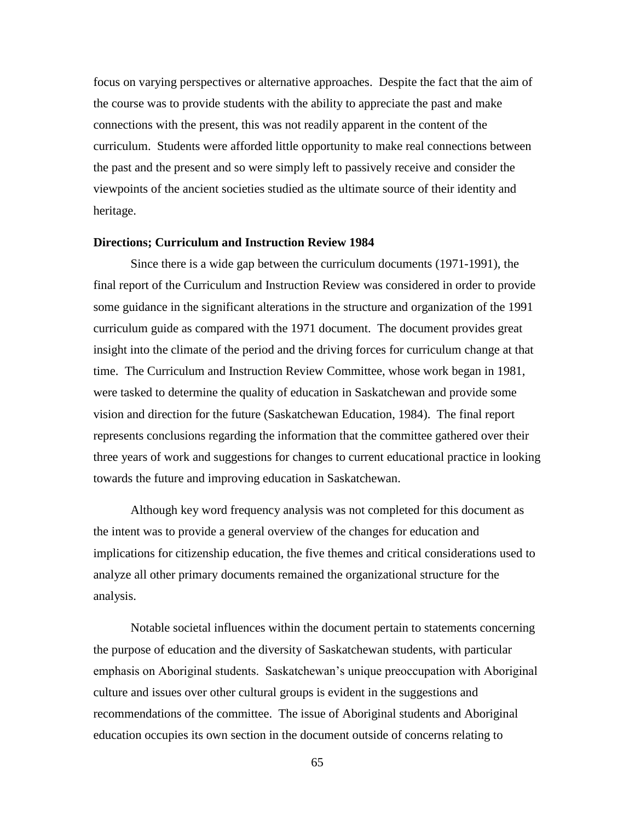focus on varying perspectives or alternative approaches. Despite the fact that the aim of the course was to provide students with the ability to appreciate the past and make connections with the present, this was not readily apparent in the content of the curriculum. Students were afforded little opportunity to make real connections between the past and the present and so were simply left to passively receive and consider the viewpoints of the ancient societies studied as the ultimate source of their identity and heritage.

#### **Directions; Curriculum and Instruction Review 1984**

Since there is a wide gap between the curriculum documents (1971-1991), the final report of the Curriculum and Instruction Review was considered in order to provide some guidance in the significant alterations in the structure and organization of the 1991 curriculum guide as compared with the 1971 document. The document provides great insight into the climate of the period and the driving forces for curriculum change at that time. The Curriculum and Instruction Review Committee, whose work began in 1981, were tasked to determine the quality of education in Saskatchewan and provide some vision and direction for the future (Saskatchewan Education, 1984). The final report represents conclusions regarding the information that the committee gathered over their three years of work and suggestions for changes to current educational practice in looking towards the future and improving education in Saskatchewan.

Although key word frequency analysis was not completed for this document as the intent was to provide a general overview of the changes for education and implications for citizenship education, the five themes and critical considerations used to analyze all other primary documents remained the organizational structure for the analysis.

Notable societal influences within the document pertain to statements concerning the purpose of education and the diversity of Saskatchewan students, with particular emphasis on Aboriginal students. Saskatchewan's unique preoccupation with Aboriginal culture and issues over other cultural groups is evident in the suggestions and recommendations of the committee. The issue of Aboriginal students and Aboriginal education occupies its own section in the document outside of concerns relating to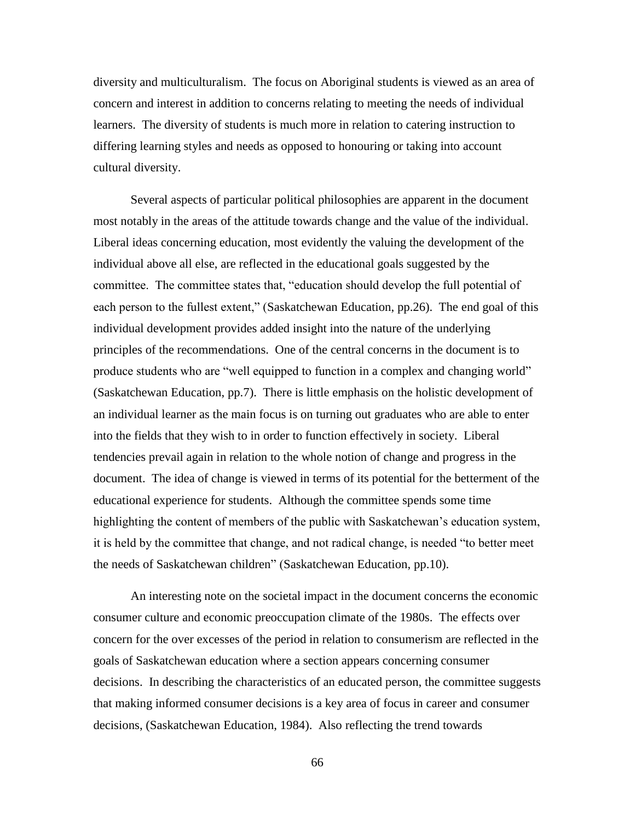diversity and multiculturalism. The focus on Aboriginal students is viewed as an area of concern and interest in addition to concerns relating to meeting the needs of individual learners. The diversity of students is much more in relation to catering instruction to differing learning styles and needs as opposed to honouring or taking into account cultural diversity.

Several aspects of particular political philosophies are apparent in the document most notably in the areas of the attitude towards change and the value of the individual. Liberal ideas concerning education, most evidently the valuing the development of the individual above all else, are reflected in the educational goals suggested by the committee. The committee states that, "education should develop the full potential of each person to the fullest extent," (Saskatchewan Education, pp.26). The end goal of this individual development provides added insight into the nature of the underlying principles of the recommendations. One of the central concerns in the document is to produce students who are "well equipped to function in a complex and changing world" (Saskatchewan Education, pp.7). There is little emphasis on the holistic development of an individual learner as the main focus is on turning out graduates who are able to enter into the fields that they wish to in order to function effectively in society. Liberal tendencies prevail again in relation to the whole notion of change and progress in the document. The idea of change is viewed in terms of its potential for the betterment of the educational experience for students. Although the committee spends some time highlighting the content of members of the public with Saskatchewan's education system, it is held by the committee that change, and not radical change, is needed "to better meet the needs of Saskatchewan children" (Saskatchewan Education, pp.10).

An interesting note on the societal impact in the document concerns the economic consumer culture and economic preoccupation climate of the 1980s. The effects over concern for the over excesses of the period in relation to consumerism are reflected in the goals of Saskatchewan education where a section appears concerning consumer decisions. In describing the characteristics of an educated person, the committee suggests that making informed consumer decisions is a key area of focus in career and consumer decisions, (Saskatchewan Education, 1984). Also reflecting the trend towards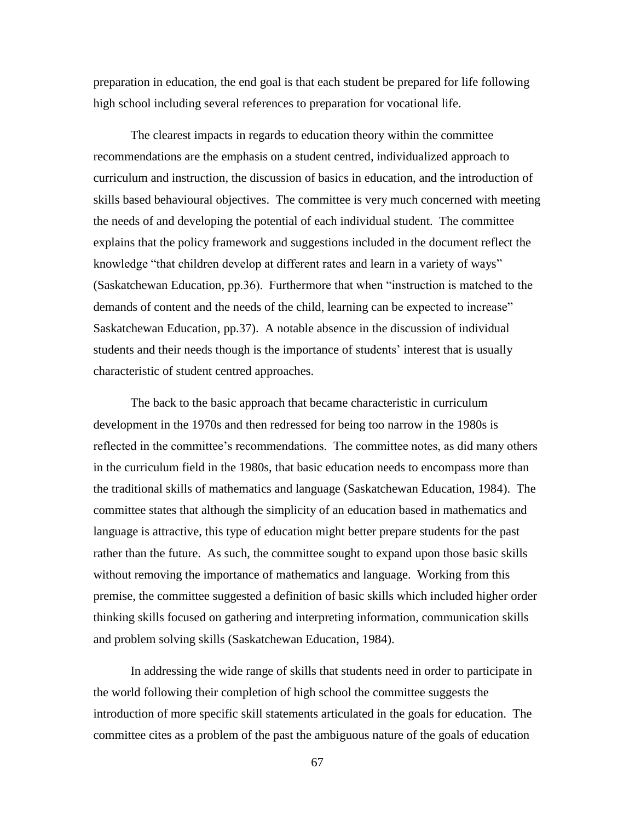preparation in education, the end goal is that each student be prepared for life following high school including several references to preparation for vocational life.

The clearest impacts in regards to education theory within the committee recommendations are the emphasis on a student centred, individualized approach to curriculum and instruction, the discussion of basics in education, and the introduction of skills based behavioural objectives. The committee is very much concerned with meeting the needs of and developing the potential of each individual student. The committee explains that the policy framework and suggestions included in the document reflect the knowledge "that children develop at different rates and learn in a variety of ways" (Saskatchewan Education, pp.36). Furthermore that when "instruction is matched to the demands of content and the needs of the child, learning can be expected to increase" Saskatchewan Education, pp.37). A notable absence in the discussion of individual students and their needs though is the importance of students' interest that is usually characteristic of student centred approaches.

The back to the basic approach that became characteristic in curriculum development in the 1970s and then redressed for being too narrow in the 1980s is reflected in the committee's recommendations. The committee notes, as did many others in the curriculum field in the 1980s, that basic education needs to encompass more than the traditional skills of mathematics and language (Saskatchewan Education, 1984). The committee states that although the simplicity of an education based in mathematics and language is attractive, this type of education might better prepare students for the past rather than the future. As such, the committee sought to expand upon those basic skills without removing the importance of mathematics and language. Working from this premise, the committee suggested a definition of basic skills which included higher order thinking skills focused on gathering and interpreting information, communication skills and problem solving skills (Saskatchewan Education, 1984).

In addressing the wide range of skills that students need in order to participate in the world following their completion of high school the committee suggests the introduction of more specific skill statements articulated in the goals for education. The committee cites as a problem of the past the ambiguous nature of the goals of education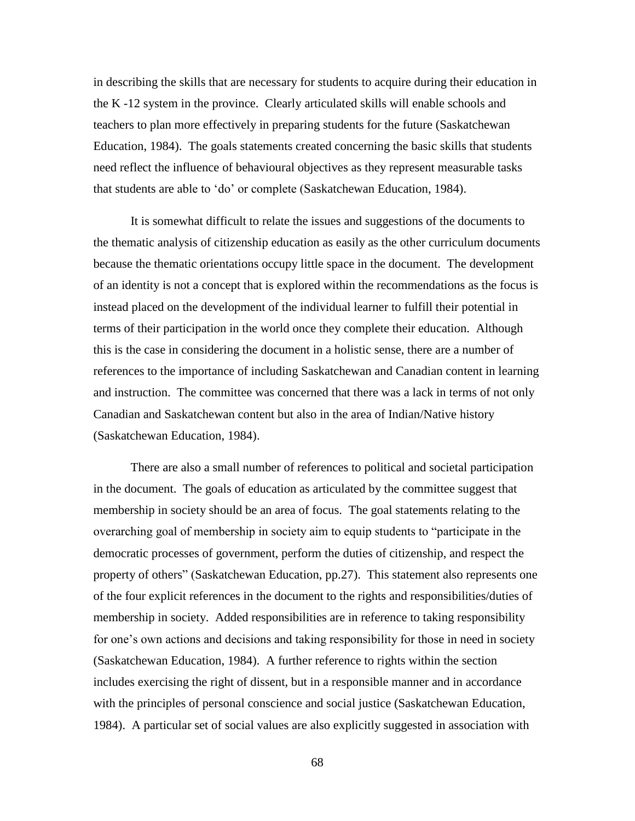in describing the skills that are necessary for students to acquire during their education in the K -12 system in the province. Clearly articulated skills will enable schools and teachers to plan more effectively in preparing students for the future (Saskatchewan Education, 1984). The goals statements created concerning the basic skills that students need reflect the influence of behavioural objectives as they represent measurable tasks that students are able to 'do' or complete (Saskatchewan Education, 1984).

It is somewhat difficult to relate the issues and suggestions of the documents to the thematic analysis of citizenship education as easily as the other curriculum documents because the thematic orientations occupy little space in the document. The development of an identity is not a concept that is explored within the recommendations as the focus is instead placed on the development of the individual learner to fulfill their potential in terms of their participation in the world once they complete their education. Although this is the case in considering the document in a holistic sense, there are a number of references to the importance of including Saskatchewan and Canadian content in learning and instruction. The committee was concerned that there was a lack in terms of not only Canadian and Saskatchewan content but also in the area of Indian/Native history (Saskatchewan Education, 1984).

There are also a small number of references to political and societal participation in the document. The goals of education as articulated by the committee suggest that membership in society should be an area of focus. The goal statements relating to the overarching goal of membership in society aim to equip students to "participate in the democratic processes of government, perform the duties of citizenship, and respect the property of others" (Saskatchewan Education, pp.27). This statement also represents one of the four explicit references in the document to the rights and responsibilities/duties of membership in society. Added responsibilities are in reference to taking responsibility for one's own actions and decisions and taking responsibility for those in need in society (Saskatchewan Education, 1984). A further reference to rights within the section includes exercising the right of dissent, but in a responsible manner and in accordance with the principles of personal conscience and social justice (Saskatchewan Education, 1984). A particular set of social values are also explicitly suggested in association with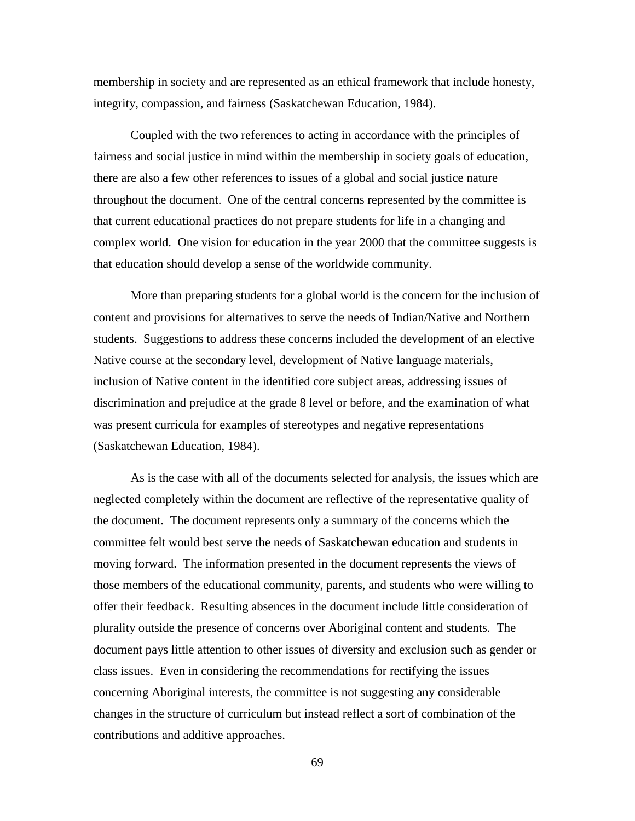membership in society and are represented as an ethical framework that include honesty, integrity, compassion, and fairness (Saskatchewan Education, 1984).

Coupled with the two references to acting in accordance with the principles of fairness and social justice in mind within the membership in society goals of education, there are also a few other references to issues of a global and social justice nature throughout the document. One of the central concerns represented by the committee is that current educational practices do not prepare students for life in a changing and complex world. One vision for education in the year 2000 that the committee suggests is that education should develop a sense of the worldwide community.

More than preparing students for a global world is the concern for the inclusion of content and provisions for alternatives to serve the needs of Indian/Native and Northern students. Suggestions to address these concerns included the development of an elective Native course at the secondary level, development of Native language materials, inclusion of Native content in the identified core subject areas, addressing issues of discrimination and prejudice at the grade 8 level or before, and the examination of what was present curricula for examples of stereotypes and negative representations (Saskatchewan Education, 1984).

As is the case with all of the documents selected for analysis, the issues which are neglected completely within the document are reflective of the representative quality of the document. The document represents only a summary of the concerns which the committee felt would best serve the needs of Saskatchewan education and students in moving forward. The information presented in the document represents the views of those members of the educational community, parents, and students who were willing to offer their feedback. Resulting absences in the document include little consideration of plurality outside the presence of concerns over Aboriginal content and students. The document pays little attention to other issues of diversity and exclusion such as gender or class issues. Even in considering the recommendations for rectifying the issues concerning Aboriginal interests, the committee is not suggesting any considerable changes in the structure of curriculum but instead reflect a sort of combination of the contributions and additive approaches.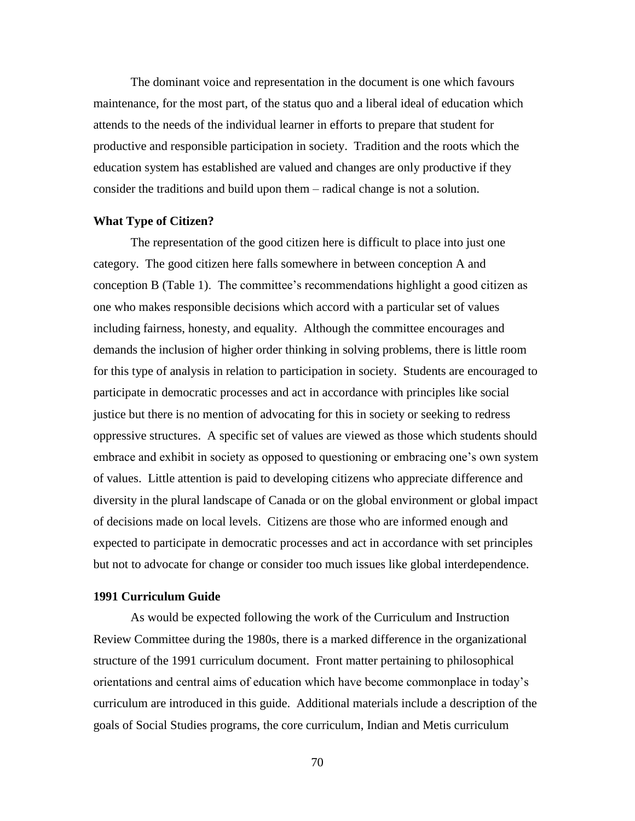The dominant voice and representation in the document is one which favours maintenance, for the most part, of the status quo and a liberal ideal of education which attends to the needs of the individual learner in efforts to prepare that student for productive and responsible participation in society. Tradition and the roots which the education system has established are valued and changes are only productive if they consider the traditions and build upon them – radical change is not a solution.

### **What Type of Citizen?**

The representation of the good citizen here is difficult to place into just one category. The good citizen here falls somewhere in between conception A and conception B (Table 1). The committee's recommendations highlight a good citizen as one who makes responsible decisions which accord with a particular set of values including fairness, honesty, and equality. Although the committee encourages and demands the inclusion of higher order thinking in solving problems, there is little room for this type of analysis in relation to participation in society. Students are encouraged to participate in democratic processes and act in accordance with principles like social justice but there is no mention of advocating for this in society or seeking to redress oppressive structures. A specific set of values are viewed as those which students should embrace and exhibit in society as opposed to questioning or embracing one's own system of values. Little attention is paid to developing citizens who appreciate difference and diversity in the plural landscape of Canada or on the global environment or global impact of decisions made on local levels. Citizens are those who are informed enough and expected to participate in democratic processes and act in accordance with set principles but not to advocate for change or consider too much issues like global interdependence.

### **1991 Curriculum Guide**

As would be expected following the work of the Curriculum and Instruction Review Committee during the 1980s, there is a marked difference in the organizational structure of the 1991 curriculum document. Front matter pertaining to philosophical orientations and central aims of education which have become commonplace in today's curriculum are introduced in this guide. Additional materials include a description of the goals of Social Studies programs, the core curriculum, Indian and Metis curriculum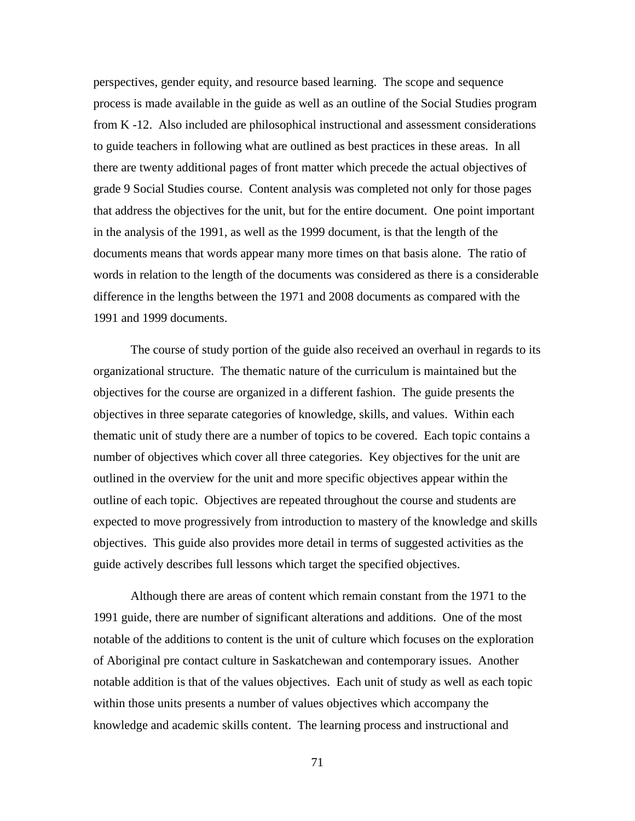perspectives, gender equity, and resource based learning. The scope and sequence process is made available in the guide as well as an outline of the Social Studies program from K -12. Also included are philosophical instructional and assessment considerations to guide teachers in following what are outlined as best practices in these areas. In all there are twenty additional pages of front matter which precede the actual objectives of grade 9 Social Studies course. Content analysis was completed not only for those pages that address the objectives for the unit, but for the entire document. One point important in the analysis of the 1991, as well as the 1999 document, is that the length of the documents means that words appear many more times on that basis alone. The ratio of words in relation to the length of the documents was considered as there is a considerable difference in the lengths between the 1971 and 2008 documents as compared with the 1991 and 1999 documents.

The course of study portion of the guide also received an overhaul in regards to its organizational structure. The thematic nature of the curriculum is maintained but the objectives for the course are organized in a different fashion. The guide presents the objectives in three separate categories of knowledge, skills, and values. Within each thematic unit of study there are a number of topics to be covered. Each topic contains a number of objectives which cover all three categories. Key objectives for the unit are outlined in the overview for the unit and more specific objectives appear within the outline of each topic. Objectives are repeated throughout the course and students are expected to move progressively from introduction to mastery of the knowledge and skills objectives. This guide also provides more detail in terms of suggested activities as the guide actively describes full lessons which target the specified objectives.

Although there are areas of content which remain constant from the 1971 to the 1991 guide, there are number of significant alterations and additions. One of the most notable of the additions to content is the unit of culture which focuses on the exploration of Aboriginal pre contact culture in Saskatchewan and contemporary issues. Another notable addition is that of the values objectives. Each unit of study as well as each topic within those units presents a number of values objectives which accompany the knowledge and academic skills content. The learning process and instructional and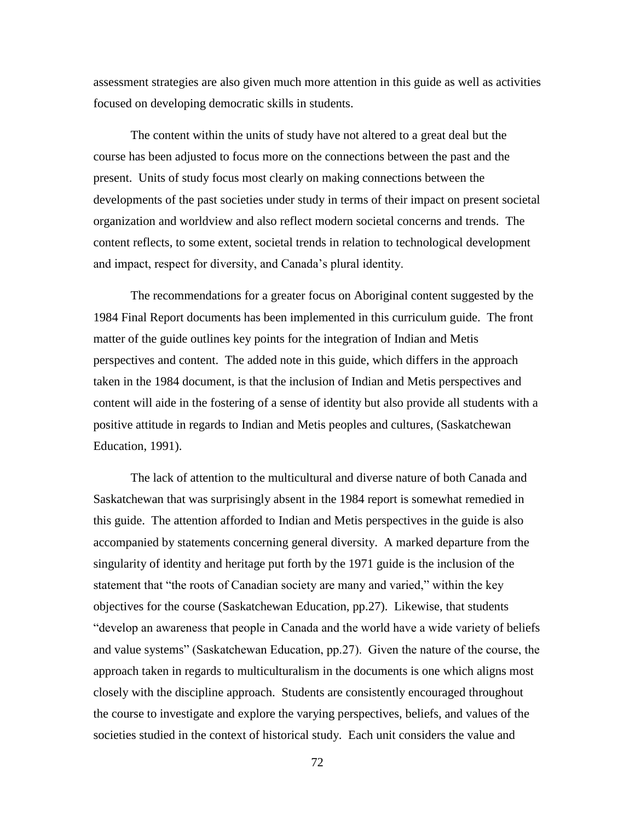assessment strategies are also given much more attention in this guide as well as activities focused on developing democratic skills in students.

The content within the units of study have not altered to a great deal but the course has been adjusted to focus more on the connections between the past and the present. Units of study focus most clearly on making connections between the developments of the past societies under study in terms of their impact on present societal organization and worldview and also reflect modern societal concerns and trends. The content reflects, to some extent, societal trends in relation to technological development and impact, respect for diversity, and Canada's plural identity.

The recommendations for a greater focus on Aboriginal content suggested by the 1984 Final Report documents has been implemented in this curriculum guide. The front matter of the guide outlines key points for the integration of Indian and Metis perspectives and content. The added note in this guide, which differs in the approach taken in the 1984 document, is that the inclusion of Indian and Metis perspectives and content will aide in the fostering of a sense of identity but also provide all students with a positive attitude in regards to Indian and Metis peoples and cultures, (Saskatchewan Education, 1991).

The lack of attention to the multicultural and diverse nature of both Canada and Saskatchewan that was surprisingly absent in the 1984 report is somewhat remedied in this guide. The attention afforded to Indian and Metis perspectives in the guide is also accompanied by statements concerning general diversity. A marked departure from the singularity of identity and heritage put forth by the 1971 guide is the inclusion of the statement that "the roots of Canadian society are many and varied," within the key objectives for the course (Saskatchewan Education, pp.27). Likewise, that students "develop an awareness that people in Canada and the world have a wide variety of beliefs and value systems" (Saskatchewan Education, pp.27). Given the nature of the course, the approach taken in regards to multiculturalism in the documents is one which aligns most closely with the discipline approach. Students are consistently encouraged throughout the course to investigate and explore the varying perspectives, beliefs, and values of the societies studied in the context of historical study. Each unit considers the value and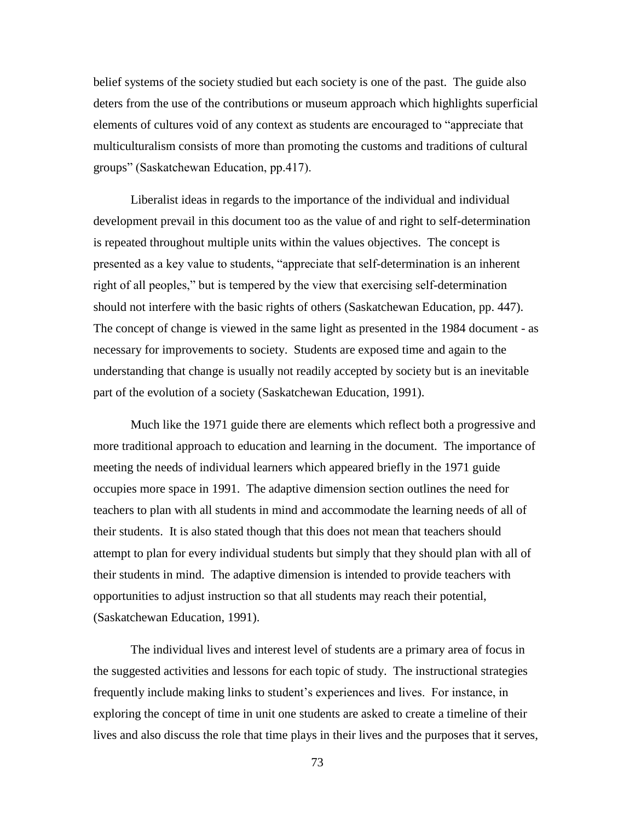belief systems of the society studied but each society is one of the past. The guide also deters from the use of the contributions or museum approach which highlights superficial elements of cultures void of any context as students are encouraged to "appreciate that multiculturalism consists of more than promoting the customs and traditions of cultural groups" (Saskatchewan Education, pp.417).

Liberalist ideas in regards to the importance of the individual and individual development prevail in this document too as the value of and right to self-determination is repeated throughout multiple units within the values objectives. The concept is presented as a key value to students, "appreciate that self-determination is an inherent right of all peoples," but is tempered by the view that exercising self-determination should not interfere with the basic rights of others (Saskatchewan Education, pp. 447). The concept of change is viewed in the same light as presented in the 1984 document - as necessary for improvements to society. Students are exposed time and again to the understanding that change is usually not readily accepted by society but is an inevitable part of the evolution of a society (Saskatchewan Education, 1991).

Much like the 1971 guide there are elements which reflect both a progressive and more traditional approach to education and learning in the document. The importance of meeting the needs of individual learners which appeared briefly in the 1971 guide occupies more space in 1991. The adaptive dimension section outlines the need for teachers to plan with all students in mind and accommodate the learning needs of all of their students. It is also stated though that this does not mean that teachers should attempt to plan for every individual students but simply that they should plan with all of their students in mind. The adaptive dimension is intended to provide teachers with opportunities to adjust instruction so that all students may reach their potential, (Saskatchewan Education, 1991).

The individual lives and interest level of students are a primary area of focus in the suggested activities and lessons for each topic of study. The instructional strategies frequently include making links to student's experiences and lives. For instance, in exploring the concept of time in unit one students are asked to create a timeline of their lives and also discuss the role that time plays in their lives and the purposes that it serves,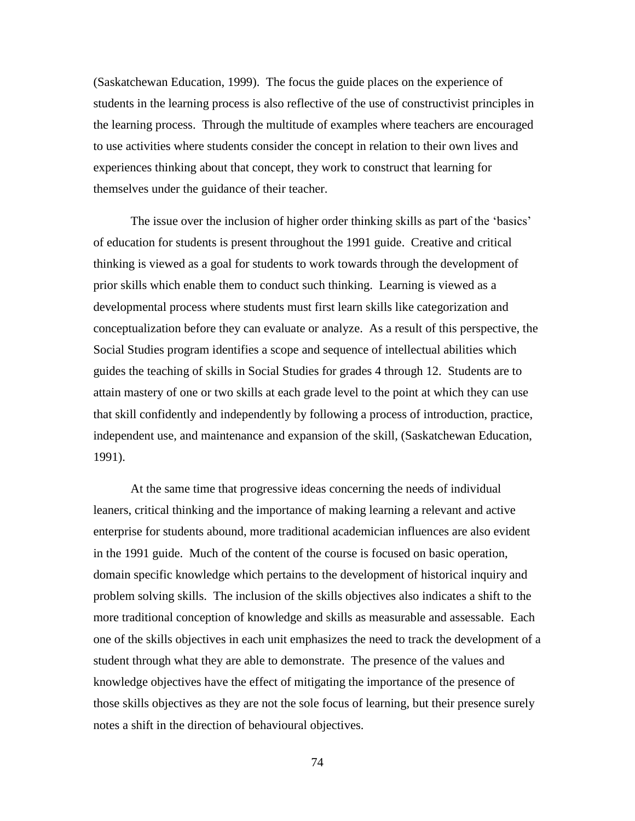(Saskatchewan Education, 1999). The focus the guide places on the experience of students in the learning process is also reflective of the use of constructivist principles in the learning process. Through the multitude of examples where teachers are encouraged to use activities where students consider the concept in relation to their own lives and experiences thinking about that concept, they work to construct that learning for themselves under the guidance of their teacher.

The issue over the inclusion of higher order thinking skills as part of the 'basics' of education for students is present throughout the 1991 guide. Creative and critical thinking is viewed as a goal for students to work towards through the development of prior skills which enable them to conduct such thinking. Learning is viewed as a developmental process where students must first learn skills like categorization and conceptualization before they can evaluate or analyze. As a result of this perspective, the Social Studies program identifies a scope and sequence of intellectual abilities which guides the teaching of skills in Social Studies for grades 4 through 12. Students are to attain mastery of one or two skills at each grade level to the point at which they can use that skill confidently and independently by following a process of introduction, practice, independent use, and maintenance and expansion of the skill, (Saskatchewan Education, 1991).

At the same time that progressive ideas concerning the needs of individual leaners, critical thinking and the importance of making learning a relevant and active enterprise for students abound, more traditional academician influences are also evident in the 1991 guide. Much of the content of the course is focused on basic operation, domain specific knowledge which pertains to the development of historical inquiry and problem solving skills. The inclusion of the skills objectives also indicates a shift to the more traditional conception of knowledge and skills as measurable and assessable. Each one of the skills objectives in each unit emphasizes the need to track the development of a student through what they are able to demonstrate. The presence of the values and knowledge objectives have the effect of mitigating the importance of the presence of those skills objectives as they are not the sole focus of learning, but their presence surely notes a shift in the direction of behavioural objectives.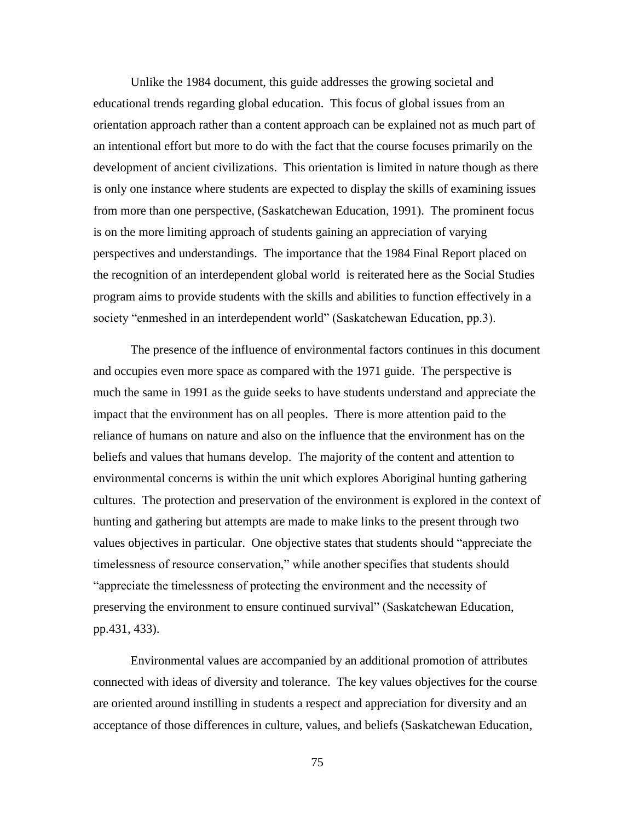Unlike the 1984 document, this guide addresses the growing societal and educational trends regarding global education. This focus of global issues from an orientation approach rather than a content approach can be explained not as much part of an intentional effort but more to do with the fact that the course focuses primarily on the development of ancient civilizations. This orientation is limited in nature though as there is only one instance where students are expected to display the skills of examining issues from more than one perspective, (Saskatchewan Education, 1991). The prominent focus is on the more limiting approach of students gaining an appreciation of varying perspectives and understandings. The importance that the 1984 Final Report placed on the recognition of an interdependent global world is reiterated here as the Social Studies program aims to provide students with the skills and abilities to function effectively in a society "enmeshed in an interdependent world" (Saskatchewan Education, pp.3).

The presence of the influence of environmental factors continues in this document and occupies even more space as compared with the 1971 guide. The perspective is much the same in 1991 as the guide seeks to have students understand and appreciate the impact that the environment has on all peoples. There is more attention paid to the reliance of humans on nature and also on the influence that the environment has on the beliefs and values that humans develop. The majority of the content and attention to environmental concerns is within the unit which explores Aboriginal hunting gathering cultures. The protection and preservation of the environment is explored in the context of hunting and gathering but attempts are made to make links to the present through two values objectives in particular. One objective states that students should "appreciate the timelessness of resource conservation," while another specifies that students should "appreciate the timelessness of protecting the environment and the necessity of preserving the environment to ensure continued survival" (Saskatchewan Education, pp.431, 433).

Environmental values are accompanied by an additional promotion of attributes connected with ideas of diversity and tolerance. The key values objectives for the course are oriented around instilling in students a respect and appreciation for diversity and an acceptance of those differences in culture, values, and beliefs (Saskatchewan Education,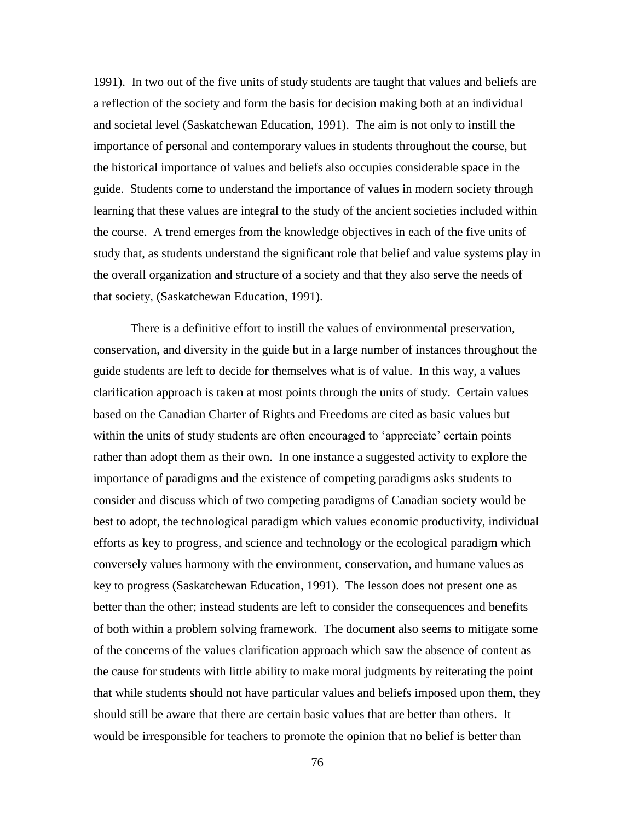1991). In two out of the five units of study students are taught that values and beliefs are a reflection of the society and form the basis for decision making both at an individual and societal level (Saskatchewan Education, 1991). The aim is not only to instill the importance of personal and contemporary values in students throughout the course, but the historical importance of values and beliefs also occupies considerable space in the guide. Students come to understand the importance of values in modern society through learning that these values are integral to the study of the ancient societies included within the course. A trend emerges from the knowledge objectives in each of the five units of study that, as students understand the significant role that belief and value systems play in the overall organization and structure of a society and that they also serve the needs of that society, (Saskatchewan Education, 1991).

There is a definitive effort to instill the values of environmental preservation, conservation, and diversity in the guide but in a large number of instances throughout the guide students are left to decide for themselves what is of value. In this way, a values clarification approach is taken at most points through the units of study. Certain values based on the Canadian Charter of Rights and Freedoms are cited as basic values but within the units of study students are often encouraged to 'appreciate' certain points rather than adopt them as their own. In one instance a suggested activity to explore the importance of paradigms and the existence of competing paradigms asks students to consider and discuss which of two competing paradigms of Canadian society would be best to adopt, the technological paradigm which values economic productivity, individual efforts as key to progress, and science and technology or the ecological paradigm which conversely values harmony with the environment, conservation, and humane values as key to progress (Saskatchewan Education, 1991). The lesson does not present one as better than the other; instead students are left to consider the consequences and benefits of both within a problem solving framework. The document also seems to mitigate some of the concerns of the values clarification approach which saw the absence of content as the cause for students with little ability to make moral judgments by reiterating the point that while students should not have particular values and beliefs imposed upon them, they should still be aware that there are certain basic values that are better than others. It would be irresponsible for teachers to promote the opinion that no belief is better than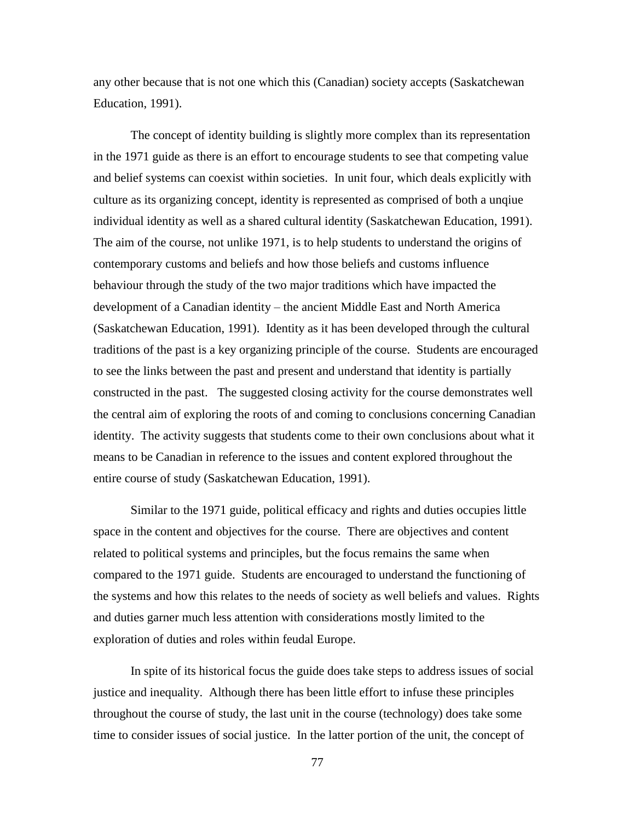any other because that is not one which this (Canadian) society accepts (Saskatchewan Education, 1991).

The concept of identity building is slightly more complex than its representation in the 1971 guide as there is an effort to encourage students to see that competing value and belief systems can coexist within societies. In unit four, which deals explicitly with culture as its organizing concept, identity is represented as comprised of both a unqiue individual identity as well as a shared cultural identity (Saskatchewan Education, 1991). The aim of the course, not unlike 1971, is to help students to understand the origins of contemporary customs and beliefs and how those beliefs and customs influence behaviour through the study of the two major traditions which have impacted the development of a Canadian identity – the ancient Middle East and North America (Saskatchewan Education, 1991). Identity as it has been developed through the cultural traditions of the past is a key organizing principle of the course. Students are encouraged to see the links between the past and present and understand that identity is partially constructed in the past. The suggested closing activity for the course demonstrates well the central aim of exploring the roots of and coming to conclusions concerning Canadian identity. The activity suggests that students come to their own conclusions about what it means to be Canadian in reference to the issues and content explored throughout the entire course of study (Saskatchewan Education, 1991).

Similar to the 1971 guide, political efficacy and rights and duties occupies little space in the content and objectives for the course. There are objectives and content related to political systems and principles, but the focus remains the same when compared to the 1971 guide. Students are encouraged to understand the functioning of the systems and how this relates to the needs of society as well beliefs and values. Rights and duties garner much less attention with considerations mostly limited to the exploration of duties and roles within feudal Europe.

In spite of its historical focus the guide does take steps to address issues of social justice and inequality. Although there has been little effort to infuse these principles throughout the course of study, the last unit in the course (technology) does take some time to consider issues of social justice. In the latter portion of the unit, the concept of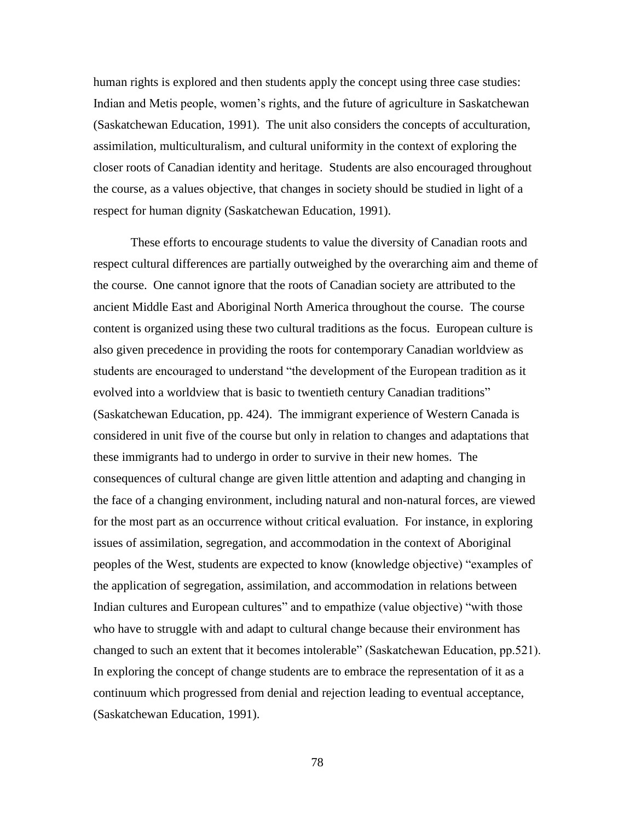human rights is explored and then students apply the concept using three case studies: Indian and Metis people, women's rights, and the future of agriculture in Saskatchewan (Saskatchewan Education, 1991). The unit also considers the concepts of acculturation, assimilation, multiculturalism, and cultural uniformity in the context of exploring the closer roots of Canadian identity and heritage. Students are also encouraged throughout the course, as a values objective, that changes in society should be studied in light of a respect for human dignity (Saskatchewan Education, 1991).

These efforts to encourage students to value the diversity of Canadian roots and respect cultural differences are partially outweighed by the overarching aim and theme of the course. One cannot ignore that the roots of Canadian society are attributed to the ancient Middle East and Aboriginal North America throughout the course. The course content is organized using these two cultural traditions as the focus. European culture is also given precedence in providing the roots for contemporary Canadian worldview as students are encouraged to understand "the development of the European tradition as it evolved into a worldview that is basic to twentieth century Canadian traditions" (Saskatchewan Education, pp. 424). The immigrant experience of Western Canada is considered in unit five of the course but only in relation to changes and adaptations that these immigrants had to undergo in order to survive in their new homes. The consequences of cultural change are given little attention and adapting and changing in the face of a changing environment, including natural and non-natural forces, are viewed for the most part as an occurrence without critical evaluation. For instance, in exploring issues of assimilation, segregation, and accommodation in the context of Aboriginal peoples of the West, students are expected to know (knowledge objective) "examples of the application of segregation, assimilation, and accommodation in relations between Indian cultures and European cultures" and to empathize (value objective) "with those who have to struggle with and adapt to cultural change because their environment has changed to such an extent that it becomes intolerable" (Saskatchewan Education, pp.521). In exploring the concept of change students are to embrace the representation of it as a continuum which progressed from denial and rejection leading to eventual acceptance, (Saskatchewan Education, 1991).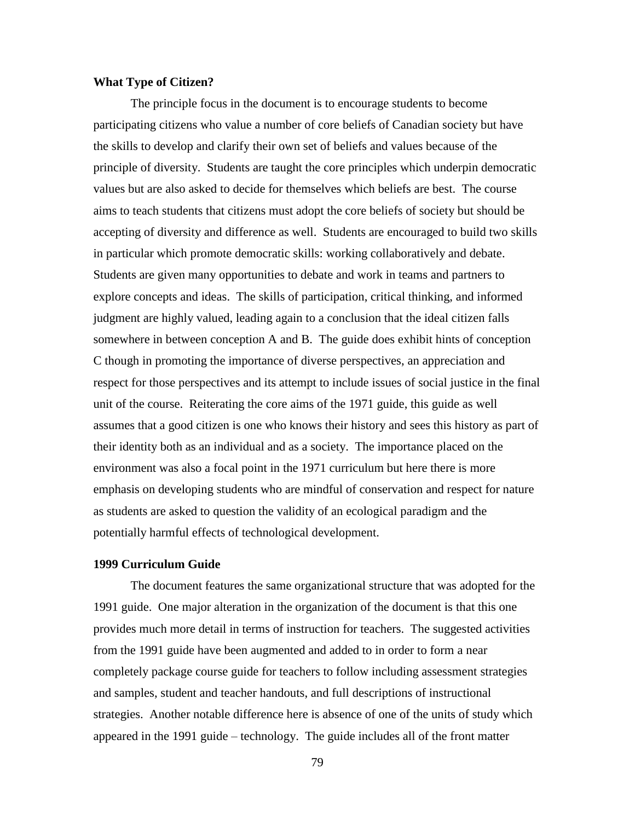# **What Type of Citizen?**

The principle focus in the document is to encourage students to become participating citizens who value a number of core beliefs of Canadian society but have the skills to develop and clarify their own set of beliefs and values because of the principle of diversity. Students are taught the core principles which underpin democratic values but are also asked to decide for themselves which beliefs are best. The course aims to teach students that citizens must adopt the core beliefs of society but should be accepting of diversity and difference as well. Students are encouraged to build two skills in particular which promote democratic skills: working collaboratively and debate. Students are given many opportunities to debate and work in teams and partners to explore concepts and ideas. The skills of participation, critical thinking, and informed judgment are highly valued, leading again to a conclusion that the ideal citizen falls somewhere in between conception A and B. The guide does exhibit hints of conception C though in promoting the importance of diverse perspectives, an appreciation and respect for those perspectives and its attempt to include issues of social justice in the final unit of the course. Reiterating the core aims of the 1971 guide, this guide as well assumes that a good citizen is one who knows their history and sees this history as part of their identity both as an individual and as a society. The importance placed on the environment was also a focal point in the 1971 curriculum but here there is more emphasis on developing students who are mindful of conservation and respect for nature as students are asked to question the validity of an ecological paradigm and the potentially harmful effects of technological development.

#### **1999 Curriculum Guide**

The document features the same organizational structure that was adopted for the 1991 guide. One major alteration in the organization of the document is that this one provides much more detail in terms of instruction for teachers. The suggested activities from the 1991 guide have been augmented and added to in order to form a near completely package course guide for teachers to follow including assessment strategies and samples, student and teacher handouts, and full descriptions of instructional strategies. Another notable difference here is absence of one of the units of study which appeared in the 1991 guide – technology. The guide includes all of the front matter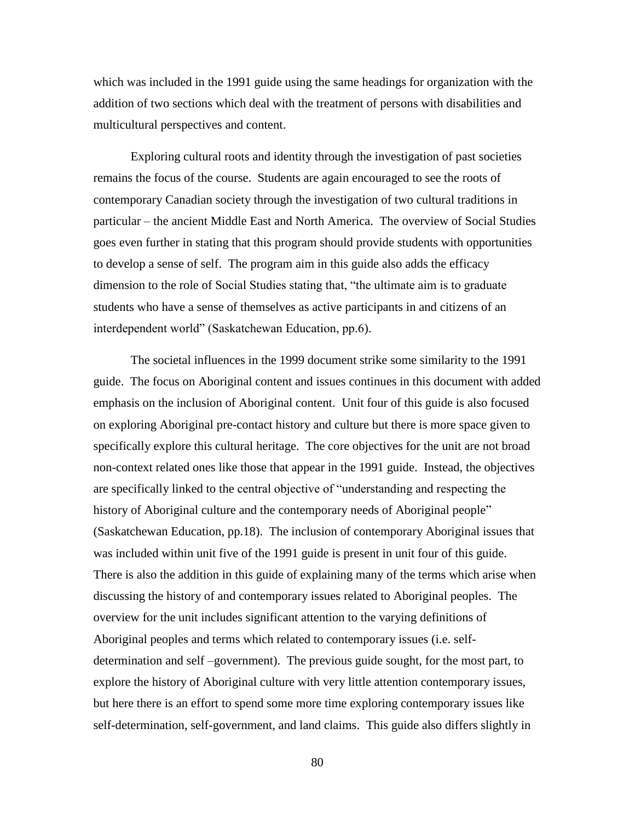which was included in the 1991 guide using the same headings for organization with the addition of two sections which deal with the treatment of persons with disabilities and multicultural perspectives and content.

Exploring cultural roots and identity through the investigation of past societies remains the focus of the course. Students are again encouraged to see the roots of contemporary Canadian society through the investigation of two cultural traditions in particular – the ancient Middle East and North America. The overview of Social Studies goes even further in stating that this program should provide students with opportunities to develop a sense of self. The program aim in this guide also adds the efficacy dimension to the role of Social Studies stating that, "the ultimate aim is to graduate students who have a sense of themselves as active participants in and citizens of an interdependent world" (Saskatchewan Education, pp.6).

The societal influences in the 1999 document strike some similarity to the 1991 guide. The focus on Aboriginal content and issues continues in this document with added emphasis on the inclusion of Aboriginal content. Unit four of this guide is also focused on exploring Aboriginal pre-contact history and culture but there is more space given to specifically explore this cultural heritage. The core objectives for the unit are not broad non-context related ones like those that appear in the 1991 guide. Instead, the objectives are specifically linked to the central objective of "understanding and respecting the history of Aboriginal culture and the contemporary needs of Aboriginal people" (Saskatchewan Education, pp.18). The inclusion of contemporary Aboriginal issues that was included within unit five of the 1991 guide is present in unit four of this guide. There is also the addition in this guide of explaining many of the terms which arise when discussing the history of and contemporary issues related to Aboriginal peoples. The overview for the unit includes significant attention to the varying definitions of Aboriginal peoples and terms which related to contemporary issues (i.e. selfdetermination and self –government). The previous guide sought, for the most part, to explore the history of Aboriginal culture with very little attention contemporary issues, but here there is an effort to spend some more time exploring contemporary issues like self-determination, self-government, and land claims. This guide also differs slightly in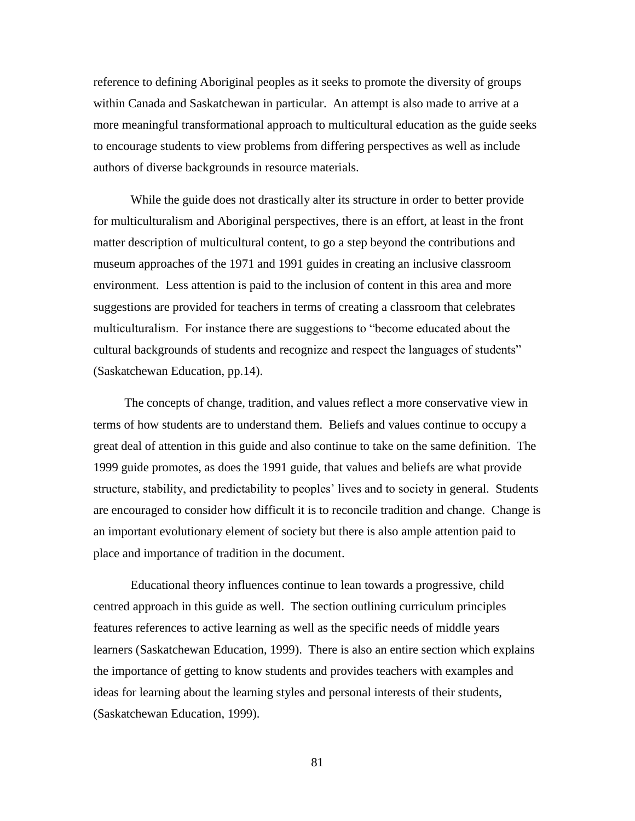reference to defining Aboriginal peoples as it seeks to promote the diversity of groups within Canada and Saskatchewan in particular. An attempt is also made to arrive at a more meaningful transformational approach to multicultural education as the guide seeks to encourage students to view problems from differing perspectives as well as include authors of diverse backgrounds in resource materials.

While the guide does not drastically alter its structure in order to better provide for multiculturalism and Aboriginal perspectives, there is an effort, at least in the front matter description of multicultural content, to go a step beyond the contributions and museum approaches of the 1971 and 1991 guides in creating an inclusive classroom environment. Less attention is paid to the inclusion of content in this area and more suggestions are provided for teachers in terms of creating a classroom that celebrates multiculturalism. For instance there are suggestions to "become educated about the cultural backgrounds of students and recognize and respect the languages of students" (Saskatchewan Education, pp.14).

 The concepts of change, tradition, and values reflect a more conservative view in terms of how students are to understand them. Beliefs and values continue to occupy a great deal of attention in this guide and also continue to take on the same definition. The 1999 guide promotes, as does the 1991 guide, that values and beliefs are what provide structure, stability, and predictability to peoples' lives and to society in general. Students are encouraged to consider how difficult it is to reconcile tradition and change. Change is an important evolutionary element of society but there is also ample attention paid to place and importance of tradition in the document.

Educational theory influences continue to lean towards a progressive, child centred approach in this guide as well. The section outlining curriculum principles features references to active learning as well as the specific needs of middle years learners (Saskatchewan Education, 1999). There is also an entire section which explains the importance of getting to know students and provides teachers with examples and ideas for learning about the learning styles and personal interests of their students, (Saskatchewan Education, 1999).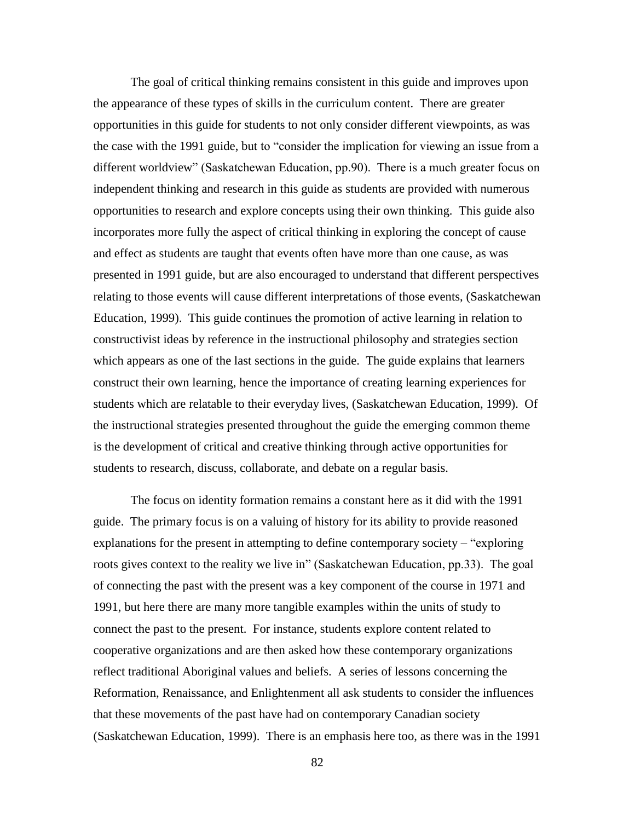The goal of critical thinking remains consistent in this guide and improves upon the appearance of these types of skills in the curriculum content. There are greater opportunities in this guide for students to not only consider different viewpoints, as was the case with the 1991 guide, but to "consider the implication for viewing an issue from a different worldview" (Saskatchewan Education, pp.90). There is a much greater focus on independent thinking and research in this guide as students are provided with numerous opportunities to research and explore concepts using their own thinking. This guide also incorporates more fully the aspect of critical thinking in exploring the concept of cause and effect as students are taught that events often have more than one cause, as was presented in 1991 guide, but are also encouraged to understand that different perspectives relating to those events will cause different interpretations of those events, (Saskatchewan Education, 1999). This guide continues the promotion of active learning in relation to constructivist ideas by reference in the instructional philosophy and strategies section which appears as one of the last sections in the guide. The guide explains that learners construct their own learning, hence the importance of creating learning experiences for students which are relatable to their everyday lives, (Saskatchewan Education, 1999). Of the instructional strategies presented throughout the guide the emerging common theme is the development of critical and creative thinking through active opportunities for students to research, discuss, collaborate, and debate on a regular basis.

The focus on identity formation remains a constant here as it did with the 1991 guide. The primary focus is on a valuing of history for its ability to provide reasoned explanations for the present in attempting to define contemporary society – "exploring roots gives context to the reality we live in" (Saskatchewan Education, pp.33). The goal of connecting the past with the present was a key component of the course in 1971 and 1991, but here there are many more tangible examples within the units of study to connect the past to the present. For instance, students explore content related to cooperative organizations and are then asked how these contemporary organizations reflect traditional Aboriginal values and beliefs. A series of lessons concerning the Reformation, Renaissance, and Enlightenment all ask students to consider the influences that these movements of the past have had on contemporary Canadian society (Saskatchewan Education, 1999). There is an emphasis here too, as there was in the 1991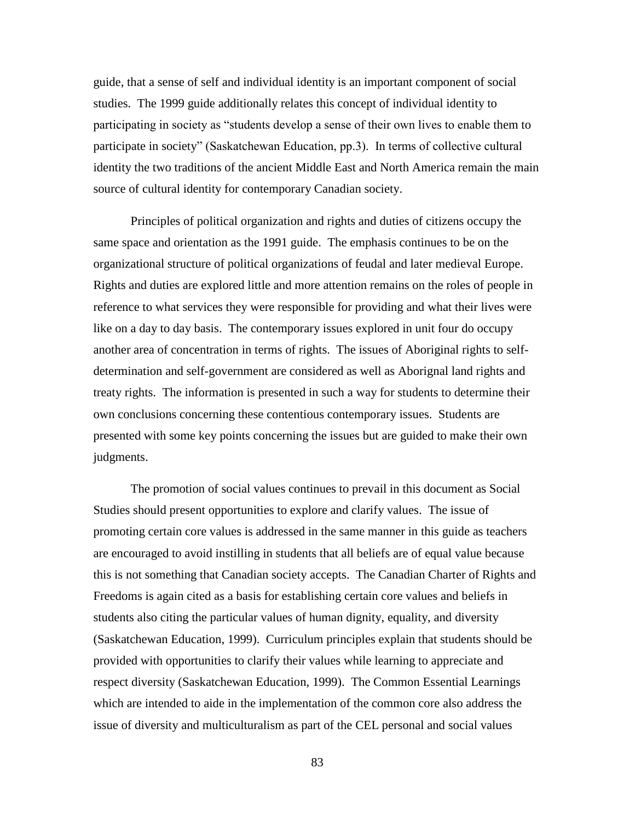guide, that a sense of self and individual identity is an important component of social studies. The 1999 guide additionally relates this concept of individual identity to participating in society as "students develop a sense of their own lives to enable them to participate in society" (Saskatchewan Education, pp.3). In terms of collective cultural identity the two traditions of the ancient Middle East and North America remain the main source of cultural identity for contemporary Canadian society.

Principles of political organization and rights and duties of citizens occupy the same space and orientation as the 1991 guide. The emphasis continues to be on the organizational structure of political organizations of feudal and later medieval Europe. Rights and duties are explored little and more attention remains on the roles of people in reference to what services they were responsible for providing and what their lives were like on a day to day basis. The contemporary issues explored in unit four do occupy another area of concentration in terms of rights. The issues of Aboriginal rights to selfdetermination and self-government are considered as well as Aborignal land rights and treaty rights. The information is presented in such a way for students to determine their own conclusions concerning these contentious contemporary issues. Students are presented with some key points concerning the issues but are guided to make their own judgments.

The promotion of social values continues to prevail in this document as Social Studies should present opportunities to explore and clarify values. The issue of promoting certain core values is addressed in the same manner in this guide as teachers are encouraged to avoid instilling in students that all beliefs are of equal value because this is not something that Canadian society accepts. The Canadian Charter of Rights and Freedoms is again cited as a basis for establishing certain core values and beliefs in students also citing the particular values of human dignity, equality, and diversity (Saskatchewan Education, 1999). Curriculum principles explain that students should be provided with opportunities to clarify their values while learning to appreciate and respect diversity (Saskatchewan Education, 1999). The Common Essential Learnings which are intended to aide in the implementation of the common core also address the issue of diversity and multiculturalism as part of the CEL personal and social values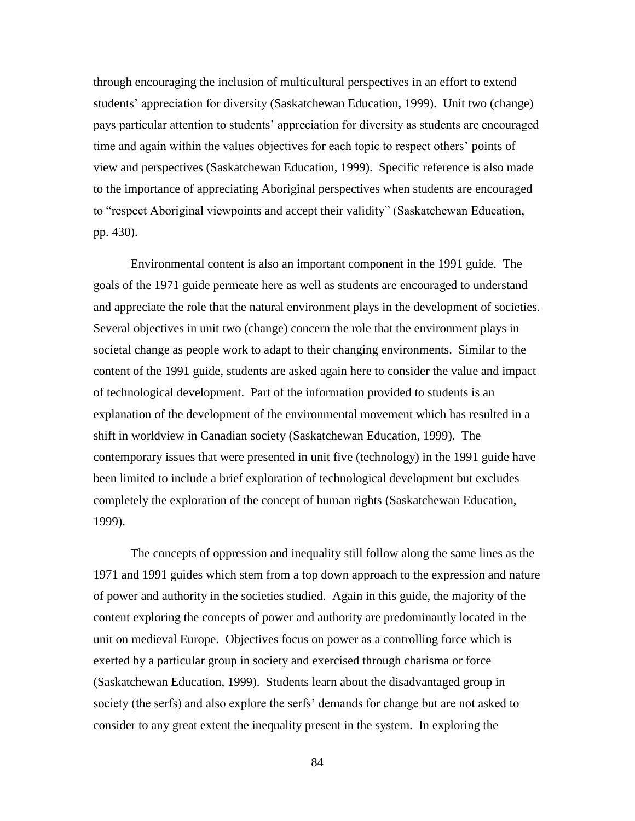through encouraging the inclusion of multicultural perspectives in an effort to extend students' appreciation for diversity (Saskatchewan Education, 1999). Unit two (change) pays particular attention to students' appreciation for diversity as students are encouraged time and again within the values objectives for each topic to respect others' points of view and perspectives (Saskatchewan Education, 1999). Specific reference is also made to the importance of appreciating Aboriginal perspectives when students are encouraged to "respect Aboriginal viewpoints and accept their validity" (Saskatchewan Education, pp. 430).

Environmental content is also an important component in the 1991 guide. The goals of the 1971 guide permeate here as well as students are encouraged to understand and appreciate the role that the natural environment plays in the development of societies. Several objectives in unit two (change) concern the role that the environment plays in societal change as people work to adapt to their changing environments. Similar to the content of the 1991 guide, students are asked again here to consider the value and impact of technological development. Part of the information provided to students is an explanation of the development of the environmental movement which has resulted in a shift in worldview in Canadian society (Saskatchewan Education, 1999). The contemporary issues that were presented in unit five (technology) in the 1991 guide have been limited to include a brief exploration of technological development but excludes completely the exploration of the concept of human rights (Saskatchewan Education, 1999).

The concepts of oppression and inequality still follow along the same lines as the 1971 and 1991 guides which stem from a top down approach to the expression and nature of power and authority in the societies studied. Again in this guide, the majority of the content exploring the concepts of power and authority are predominantly located in the unit on medieval Europe. Objectives focus on power as a controlling force which is exerted by a particular group in society and exercised through charisma or force (Saskatchewan Education, 1999). Students learn about the disadvantaged group in society (the serfs) and also explore the serfs' demands for change but are not asked to consider to any great extent the inequality present in the system. In exploring the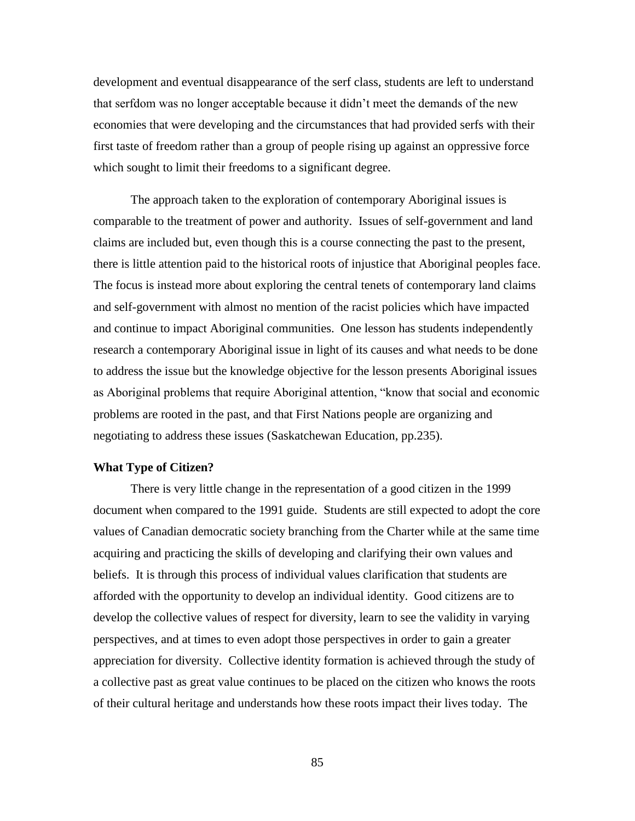development and eventual disappearance of the serf class, students are left to understand that serfdom was no longer acceptable because it didn't meet the demands of the new economies that were developing and the circumstances that had provided serfs with their first taste of freedom rather than a group of people rising up against an oppressive force which sought to limit their freedoms to a significant degree.

The approach taken to the exploration of contemporary Aboriginal issues is comparable to the treatment of power and authority. Issues of self-government and land claims are included but, even though this is a course connecting the past to the present, there is little attention paid to the historical roots of injustice that Aboriginal peoples face. The focus is instead more about exploring the central tenets of contemporary land claims and self-government with almost no mention of the racist policies which have impacted and continue to impact Aboriginal communities. One lesson has students independently research a contemporary Aboriginal issue in light of its causes and what needs to be done to address the issue but the knowledge objective for the lesson presents Aboriginal issues as Aboriginal problems that require Aboriginal attention, "know that social and economic problems are rooted in the past, and that First Nations people are organizing and negotiating to address these issues (Saskatchewan Education, pp.235).

### **What Type of Citizen?**

There is very little change in the representation of a good citizen in the 1999 document when compared to the 1991 guide. Students are still expected to adopt the core values of Canadian democratic society branching from the Charter while at the same time acquiring and practicing the skills of developing and clarifying their own values and beliefs. It is through this process of individual values clarification that students are afforded with the opportunity to develop an individual identity. Good citizens are to develop the collective values of respect for diversity, learn to see the validity in varying perspectives, and at times to even adopt those perspectives in order to gain a greater appreciation for diversity. Collective identity formation is achieved through the study of a collective past as great value continues to be placed on the citizen who knows the roots of their cultural heritage and understands how these roots impact their lives today. The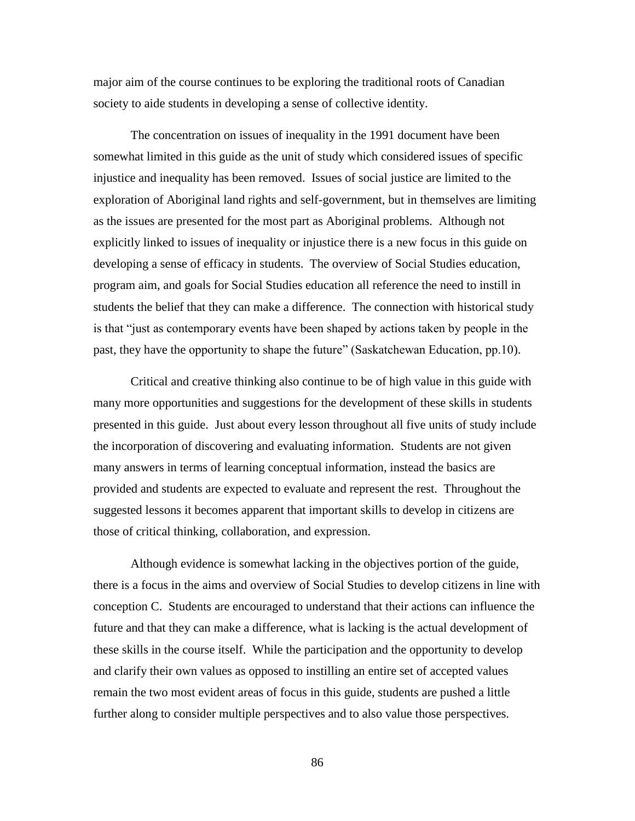major aim of the course continues to be exploring the traditional roots of Canadian society to aide students in developing a sense of collective identity.

The concentration on issues of inequality in the 1991 document have been somewhat limited in this guide as the unit of study which considered issues of specific injustice and inequality has been removed. Issues of social justice are limited to the exploration of Aboriginal land rights and self-government, but in themselves are limiting as the issues are presented for the most part as Aboriginal problems. Although not explicitly linked to issues of inequality or injustice there is a new focus in this guide on developing a sense of efficacy in students. The overview of Social Studies education, program aim, and goals for Social Studies education all reference the need to instill in students the belief that they can make a difference. The connection with historical study is that "just as contemporary events have been shaped by actions taken by people in the past, they have the opportunity to shape the future" (Saskatchewan Education, pp.10).

Critical and creative thinking also continue to be of high value in this guide with many more opportunities and suggestions for the development of these skills in students presented in this guide. Just about every lesson throughout all five units of study include the incorporation of discovering and evaluating information. Students are not given many answers in terms of learning conceptual information, instead the basics are provided and students are expected to evaluate and represent the rest. Throughout the suggested lessons it becomes apparent that important skills to develop in citizens are those of critical thinking, collaboration, and expression.

Although evidence is somewhat lacking in the objectives portion of the guide, there is a focus in the aims and overview of Social Studies to develop citizens in line with conception C. Students are encouraged to understand that their actions can influence the future and that they can make a difference, what is lacking is the actual development of these skills in the course itself. While the participation and the opportunity to develop and clarify their own values as opposed to instilling an entire set of accepted values remain the two most evident areas of focus in this guide, students are pushed a little further along to consider multiple perspectives and to also value those perspectives.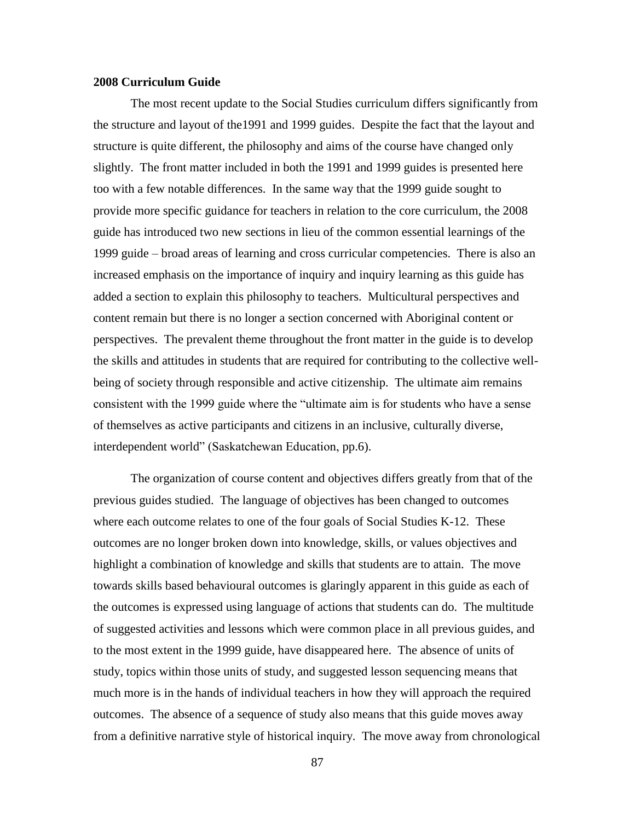## **2008 Curriculum Guide**

The most recent update to the Social Studies curriculum differs significantly from the structure and layout of the1991 and 1999 guides. Despite the fact that the layout and structure is quite different, the philosophy and aims of the course have changed only slightly. The front matter included in both the 1991 and 1999 guides is presented here too with a few notable differences. In the same way that the 1999 guide sought to provide more specific guidance for teachers in relation to the core curriculum, the 2008 guide has introduced two new sections in lieu of the common essential learnings of the 1999 guide – broad areas of learning and cross curricular competencies. There is also an increased emphasis on the importance of inquiry and inquiry learning as this guide has added a section to explain this philosophy to teachers. Multicultural perspectives and content remain but there is no longer a section concerned with Aboriginal content or perspectives. The prevalent theme throughout the front matter in the guide is to develop the skills and attitudes in students that are required for contributing to the collective wellbeing of society through responsible and active citizenship. The ultimate aim remains consistent with the 1999 guide where the "ultimate aim is for students who have a sense of themselves as active participants and citizens in an inclusive, culturally diverse, interdependent world" (Saskatchewan Education, pp.6).

The organization of course content and objectives differs greatly from that of the previous guides studied. The language of objectives has been changed to outcomes where each outcome relates to one of the four goals of Social Studies K-12. These outcomes are no longer broken down into knowledge, skills, or values objectives and highlight a combination of knowledge and skills that students are to attain. The move towards skills based behavioural outcomes is glaringly apparent in this guide as each of the outcomes is expressed using language of actions that students can do. The multitude of suggested activities and lessons which were common place in all previous guides, and to the most extent in the 1999 guide, have disappeared here. The absence of units of study, topics within those units of study, and suggested lesson sequencing means that much more is in the hands of individual teachers in how they will approach the required outcomes. The absence of a sequence of study also means that this guide moves away from a definitive narrative style of historical inquiry. The move away from chronological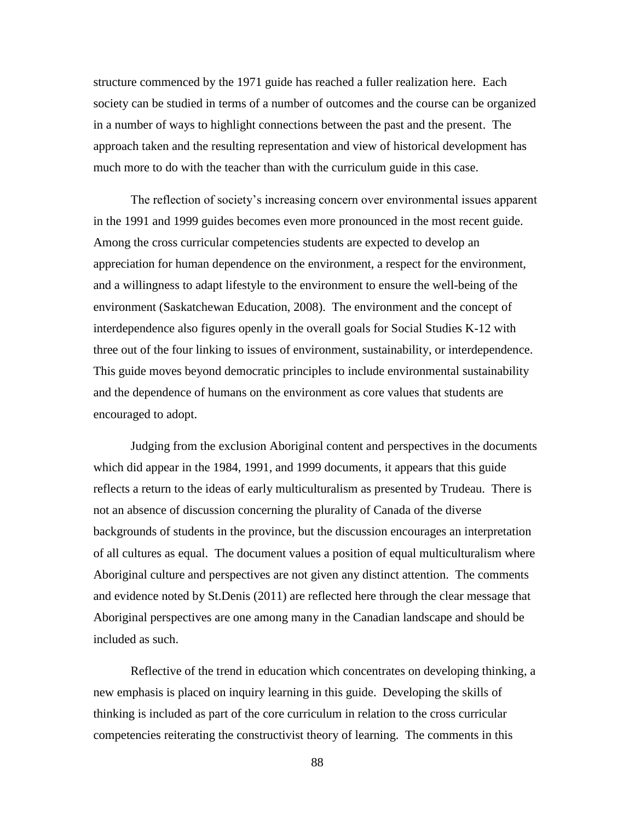structure commenced by the 1971 guide has reached a fuller realization here. Each society can be studied in terms of a number of outcomes and the course can be organized in a number of ways to highlight connections between the past and the present. The approach taken and the resulting representation and view of historical development has much more to do with the teacher than with the curriculum guide in this case.

The reflection of society's increasing concern over environmental issues apparent in the 1991 and 1999 guides becomes even more pronounced in the most recent guide. Among the cross curricular competencies students are expected to develop an appreciation for human dependence on the environment, a respect for the environment, and a willingness to adapt lifestyle to the environment to ensure the well-being of the environment (Saskatchewan Education, 2008). The environment and the concept of interdependence also figures openly in the overall goals for Social Studies K-12 with three out of the four linking to issues of environment, sustainability, or interdependence. This guide moves beyond democratic principles to include environmental sustainability and the dependence of humans on the environment as core values that students are encouraged to adopt.

Judging from the exclusion Aboriginal content and perspectives in the documents which did appear in the 1984, 1991, and 1999 documents, it appears that this guide reflects a return to the ideas of early multiculturalism as presented by Trudeau. There is not an absence of discussion concerning the plurality of Canada of the diverse backgrounds of students in the province, but the discussion encourages an interpretation of all cultures as equal. The document values a position of equal multiculturalism where Aboriginal culture and perspectives are not given any distinct attention. The comments and evidence noted by St.Denis (2011) are reflected here through the clear message that Aboriginal perspectives are one among many in the Canadian landscape and should be included as such.

Reflective of the trend in education which concentrates on developing thinking, a new emphasis is placed on inquiry learning in this guide. Developing the skills of thinking is included as part of the core curriculum in relation to the cross curricular competencies reiterating the constructivist theory of learning. The comments in this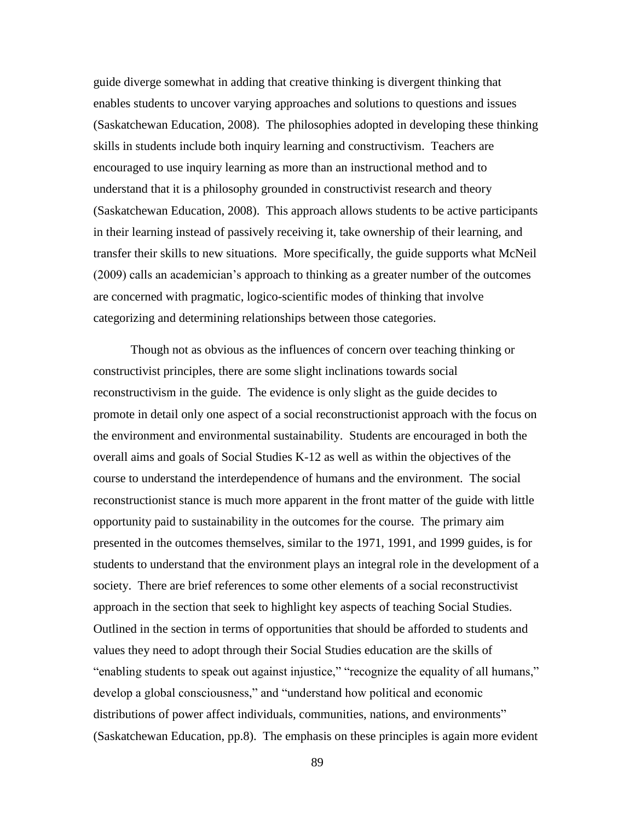guide diverge somewhat in adding that creative thinking is divergent thinking that enables students to uncover varying approaches and solutions to questions and issues (Saskatchewan Education, 2008). The philosophies adopted in developing these thinking skills in students include both inquiry learning and constructivism. Teachers are encouraged to use inquiry learning as more than an instructional method and to understand that it is a philosophy grounded in constructivist research and theory (Saskatchewan Education, 2008). This approach allows students to be active participants in their learning instead of passively receiving it, take ownership of their learning, and transfer their skills to new situations. More specifically, the guide supports what McNeil (2009) calls an academician's approach to thinking as a greater number of the outcomes are concerned with pragmatic, logico-scientific modes of thinking that involve categorizing and determining relationships between those categories.

Though not as obvious as the influences of concern over teaching thinking or constructivist principles, there are some slight inclinations towards social reconstructivism in the guide. The evidence is only slight as the guide decides to promote in detail only one aspect of a social reconstructionist approach with the focus on the environment and environmental sustainability. Students are encouraged in both the overall aims and goals of Social Studies K-12 as well as within the objectives of the course to understand the interdependence of humans and the environment. The social reconstructionist stance is much more apparent in the front matter of the guide with little opportunity paid to sustainability in the outcomes for the course. The primary aim presented in the outcomes themselves, similar to the 1971, 1991, and 1999 guides, is for students to understand that the environment plays an integral role in the development of a society. There are brief references to some other elements of a social reconstructivist approach in the section that seek to highlight key aspects of teaching Social Studies. Outlined in the section in terms of opportunities that should be afforded to students and values they need to adopt through their Social Studies education are the skills of "enabling students to speak out against injustice," "recognize the equality of all humans," develop a global consciousness," and "understand how political and economic distributions of power affect individuals, communities, nations, and environments" (Saskatchewan Education, pp.8). The emphasis on these principles is again more evident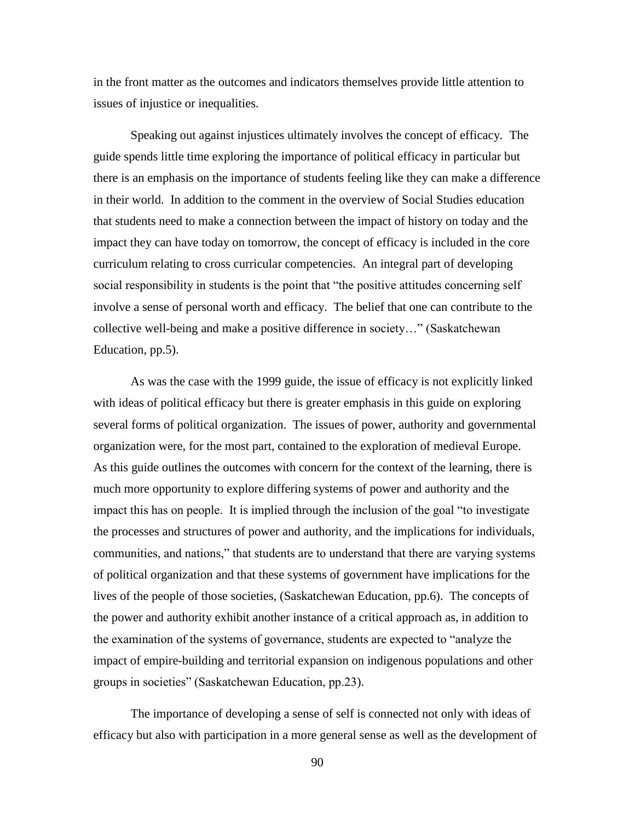in the front matter as the outcomes and indicators themselves provide little attention to issues of injustice or inequalities.

Speaking out against injustices ultimately involves the concept of efficacy. The guide spends little time exploring the importance of political efficacy in particular but there is an emphasis on the importance of students feeling like they can make a difference in their world. In addition to the comment in the overview of Social Studies education that students need to make a connection between the impact of history on today and the impact they can have today on tomorrow, the concept of efficacy is included in the core curriculum relating to cross curricular competencies. An integral part of developing social responsibility in students is the point that "the positive attitudes concerning self involve a sense of personal worth and efficacy. The belief that one can contribute to the collective well-being and make a positive difference in society…" (Saskatchewan Education, pp.5).

As was the case with the 1999 guide, the issue of efficacy is not explicitly linked with ideas of political efficacy but there is greater emphasis in this guide on exploring several forms of political organization. The issues of power, authority and governmental organization were, for the most part, contained to the exploration of medieval Europe. As this guide outlines the outcomes with concern for the context of the learning, there is much more opportunity to explore differing systems of power and authority and the impact this has on people. It is implied through the inclusion of the goal "to investigate the processes and structures of power and authority, and the implications for individuals, communities, and nations," that students are to understand that there are varying systems of political organization and that these systems of government have implications for the lives of the people of those societies, (Saskatchewan Education, pp.6). The concepts of the power and authority exhibit another instance of a critical approach as, in addition to the examination of the systems of governance, students are expected to "analyze the impact of empire-building and territorial expansion on indigenous populations and other groups in societies" (Saskatchewan Education, pp.23).

The importance of developing a sense of self is connected not only with ideas of efficacy but also with participation in a more general sense as well as the development of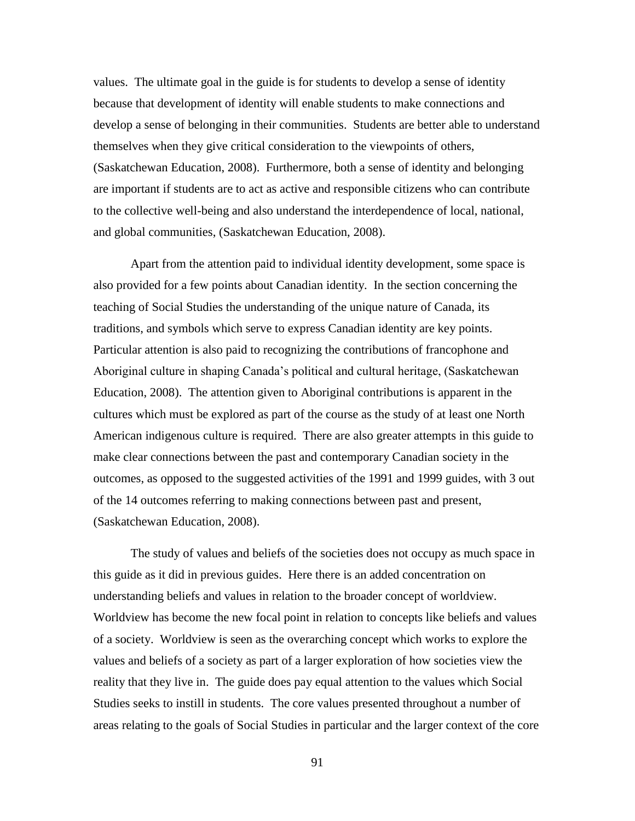values. The ultimate goal in the guide is for students to develop a sense of identity because that development of identity will enable students to make connections and develop a sense of belonging in their communities. Students are better able to understand themselves when they give critical consideration to the viewpoints of others, (Saskatchewan Education, 2008). Furthermore, both a sense of identity and belonging are important if students are to act as active and responsible citizens who can contribute to the collective well-being and also understand the interdependence of local, national, and global communities, (Saskatchewan Education, 2008).

Apart from the attention paid to individual identity development, some space is also provided for a few points about Canadian identity. In the section concerning the teaching of Social Studies the understanding of the unique nature of Canada, its traditions, and symbols which serve to express Canadian identity are key points. Particular attention is also paid to recognizing the contributions of francophone and Aboriginal culture in shaping Canada's political and cultural heritage, (Saskatchewan Education, 2008). The attention given to Aboriginal contributions is apparent in the cultures which must be explored as part of the course as the study of at least one North American indigenous culture is required. There are also greater attempts in this guide to make clear connections between the past and contemporary Canadian society in the outcomes, as opposed to the suggested activities of the 1991 and 1999 guides, with 3 out of the 14 outcomes referring to making connections between past and present, (Saskatchewan Education, 2008).

The study of values and beliefs of the societies does not occupy as much space in this guide as it did in previous guides. Here there is an added concentration on understanding beliefs and values in relation to the broader concept of worldview. Worldview has become the new focal point in relation to concepts like beliefs and values of a society. Worldview is seen as the overarching concept which works to explore the values and beliefs of a society as part of a larger exploration of how societies view the reality that they live in. The guide does pay equal attention to the values which Social Studies seeks to instill in students. The core values presented throughout a number of areas relating to the goals of Social Studies in particular and the larger context of the core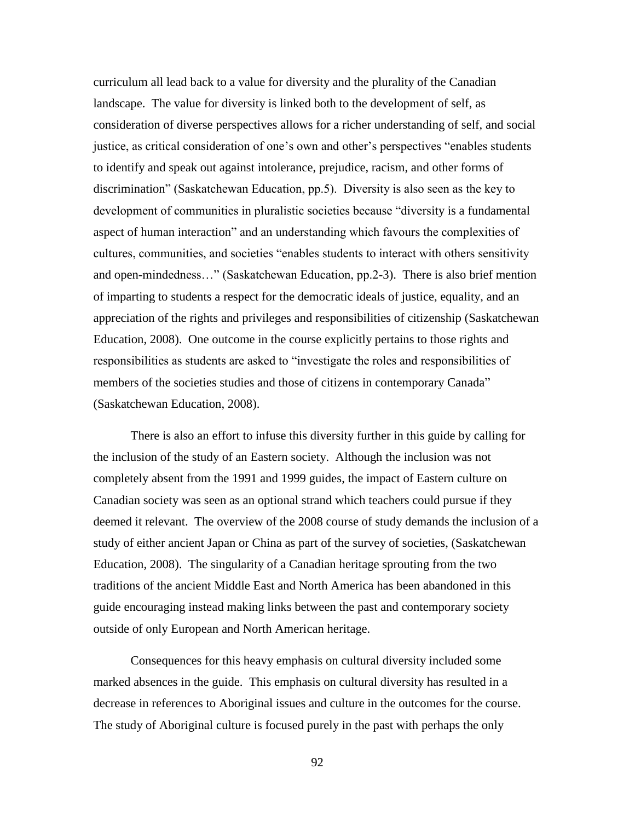curriculum all lead back to a value for diversity and the plurality of the Canadian landscape. The value for diversity is linked both to the development of self, as consideration of diverse perspectives allows for a richer understanding of self, and social justice, as critical consideration of one's own and other's perspectives "enables students to identify and speak out against intolerance, prejudice, racism, and other forms of discrimination" (Saskatchewan Education, pp.5). Diversity is also seen as the key to development of communities in pluralistic societies because "diversity is a fundamental aspect of human interaction" and an understanding which favours the complexities of cultures, communities, and societies "enables students to interact with others sensitivity and open-mindedness…" (Saskatchewan Education, pp.2-3). There is also brief mention of imparting to students a respect for the democratic ideals of justice, equality, and an appreciation of the rights and privileges and responsibilities of citizenship (Saskatchewan Education, 2008). One outcome in the course explicitly pertains to those rights and responsibilities as students are asked to "investigate the roles and responsibilities of members of the societies studies and those of citizens in contemporary Canada" (Saskatchewan Education, 2008).

There is also an effort to infuse this diversity further in this guide by calling for the inclusion of the study of an Eastern society. Although the inclusion was not completely absent from the 1991 and 1999 guides, the impact of Eastern culture on Canadian society was seen as an optional strand which teachers could pursue if they deemed it relevant. The overview of the 2008 course of study demands the inclusion of a study of either ancient Japan or China as part of the survey of societies, (Saskatchewan Education, 2008). The singularity of a Canadian heritage sprouting from the two traditions of the ancient Middle East and North America has been abandoned in this guide encouraging instead making links between the past and contemporary society outside of only European and North American heritage.

Consequences for this heavy emphasis on cultural diversity included some marked absences in the guide. This emphasis on cultural diversity has resulted in a decrease in references to Aboriginal issues and culture in the outcomes for the course. The study of Aboriginal culture is focused purely in the past with perhaps the only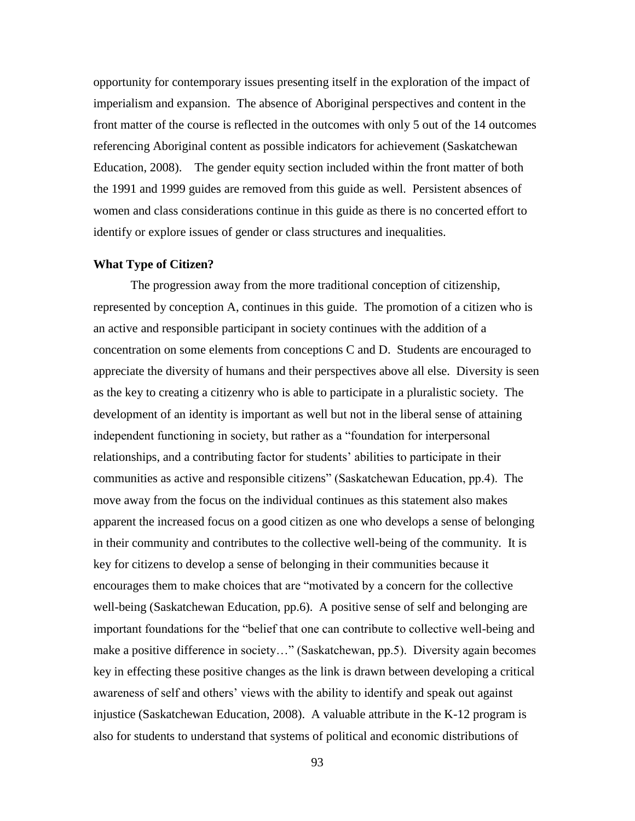opportunity for contemporary issues presenting itself in the exploration of the impact of imperialism and expansion. The absence of Aboriginal perspectives and content in the front matter of the course is reflected in the outcomes with only 5 out of the 14 outcomes referencing Aboriginal content as possible indicators for achievement (Saskatchewan Education, 2008). The gender equity section included within the front matter of both the 1991 and 1999 guides are removed from this guide as well. Persistent absences of women and class considerations continue in this guide as there is no concerted effort to identify or explore issues of gender or class structures and inequalities.

#### **What Type of Citizen?**

The progression away from the more traditional conception of citizenship, represented by conception A, continues in this guide. The promotion of a citizen who is an active and responsible participant in society continues with the addition of a concentration on some elements from conceptions C and D. Students are encouraged to appreciate the diversity of humans and their perspectives above all else. Diversity is seen as the key to creating a citizenry who is able to participate in a pluralistic society. The development of an identity is important as well but not in the liberal sense of attaining independent functioning in society, but rather as a "foundation for interpersonal relationships, and a contributing factor for students' abilities to participate in their communities as active and responsible citizens" (Saskatchewan Education, pp.4). The move away from the focus on the individual continues as this statement also makes apparent the increased focus on a good citizen as one who develops a sense of belonging in their community and contributes to the collective well-being of the community. It is key for citizens to develop a sense of belonging in their communities because it encourages them to make choices that are "motivated by a concern for the collective well-being (Saskatchewan Education, pp.6). A positive sense of self and belonging are important foundations for the "belief that one can contribute to collective well-being and make a positive difference in society…" (Saskatchewan, pp.5). Diversity again becomes key in effecting these positive changes as the link is drawn between developing a critical awareness of self and others' views with the ability to identify and speak out against injustice (Saskatchewan Education, 2008). A valuable attribute in the K-12 program is also for students to understand that systems of political and economic distributions of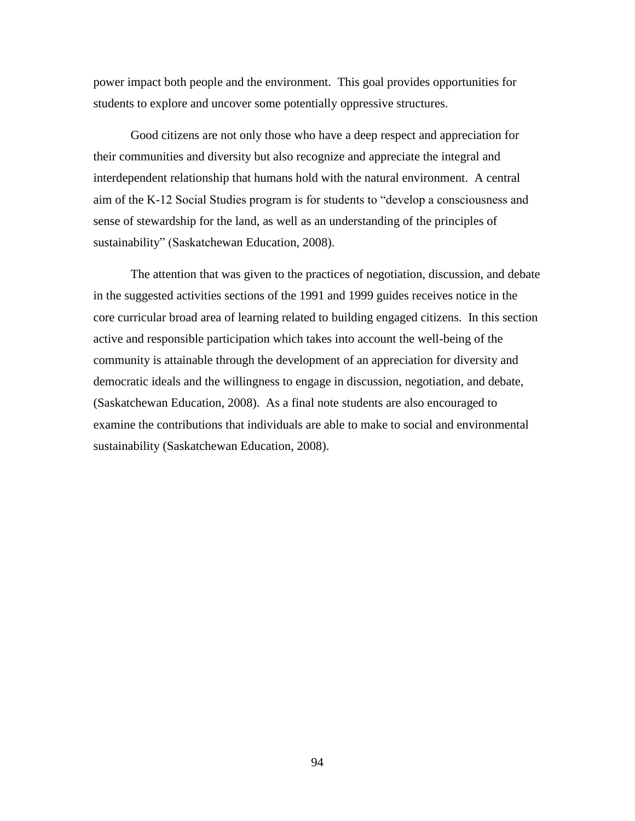power impact both people and the environment. This goal provides opportunities for students to explore and uncover some potentially oppressive structures.

Good citizens are not only those who have a deep respect and appreciation for their communities and diversity but also recognize and appreciate the integral and interdependent relationship that humans hold with the natural environment. A central aim of the K-12 Social Studies program is for students to "develop a consciousness and sense of stewardship for the land, as well as an understanding of the principles of sustainability" (Saskatchewan Education, 2008).

The attention that was given to the practices of negotiation, discussion, and debate in the suggested activities sections of the 1991 and 1999 guides receives notice in the core curricular broad area of learning related to building engaged citizens. In this section active and responsible participation which takes into account the well-being of the community is attainable through the development of an appreciation for diversity and democratic ideals and the willingness to engage in discussion, negotiation, and debate, (Saskatchewan Education, 2008). As a final note students are also encouraged to examine the contributions that individuals are able to make to social and environmental sustainability (Saskatchewan Education, 2008).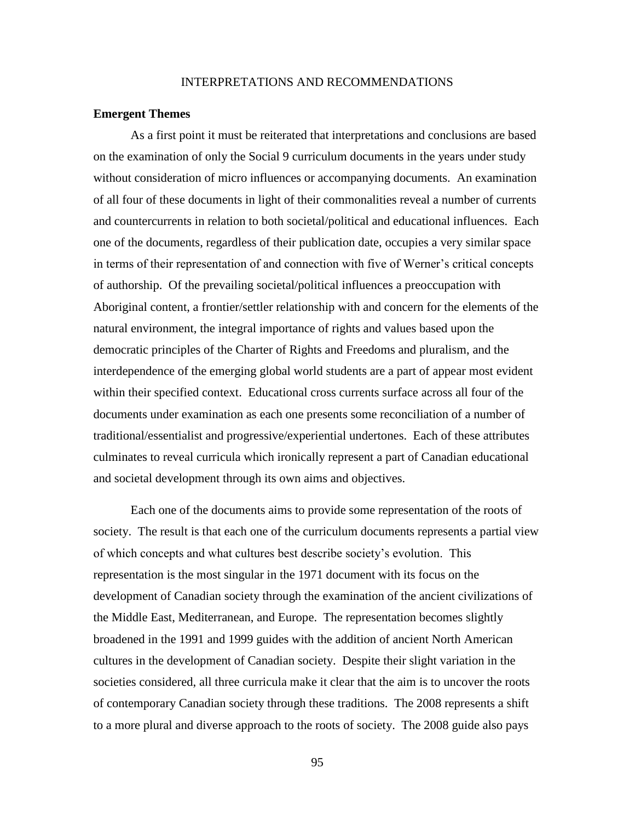## INTERPRETATIONS AND RECOMMENDATIONS

#### **Emergent Themes**

As a first point it must be reiterated that interpretations and conclusions are based on the examination of only the Social 9 curriculum documents in the years under study without consideration of micro influences or accompanying documents. An examination of all four of these documents in light of their commonalities reveal a number of currents and countercurrents in relation to both societal/political and educational influences. Each one of the documents, regardless of their publication date, occupies a very similar space in terms of their representation of and connection with five of Werner's critical concepts of authorship. Of the prevailing societal/political influences a preoccupation with Aboriginal content, a frontier/settler relationship with and concern for the elements of the natural environment, the integral importance of rights and values based upon the democratic principles of the Charter of Rights and Freedoms and pluralism, and the interdependence of the emerging global world students are a part of appear most evident within their specified context. Educational cross currents surface across all four of the documents under examination as each one presents some reconciliation of a number of traditional/essentialist and progressive/experiential undertones. Each of these attributes culminates to reveal curricula which ironically represent a part of Canadian educational and societal development through its own aims and objectives.

Each one of the documents aims to provide some representation of the roots of society. The result is that each one of the curriculum documents represents a partial view of which concepts and what cultures best describe society's evolution. This representation is the most singular in the 1971 document with its focus on the development of Canadian society through the examination of the ancient civilizations of the Middle East, Mediterranean, and Europe. The representation becomes slightly broadened in the 1991 and 1999 guides with the addition of ancient North American cultures in the development of Canadian society. Despite their slight variation in the societies considered, all three curricula make it clear that the aim is to uncover the roots of contemporary Canadian society through these traditions. The 2008 represents a shift to a more plural and diverse approach to the roots of society. The 2008 guide also pays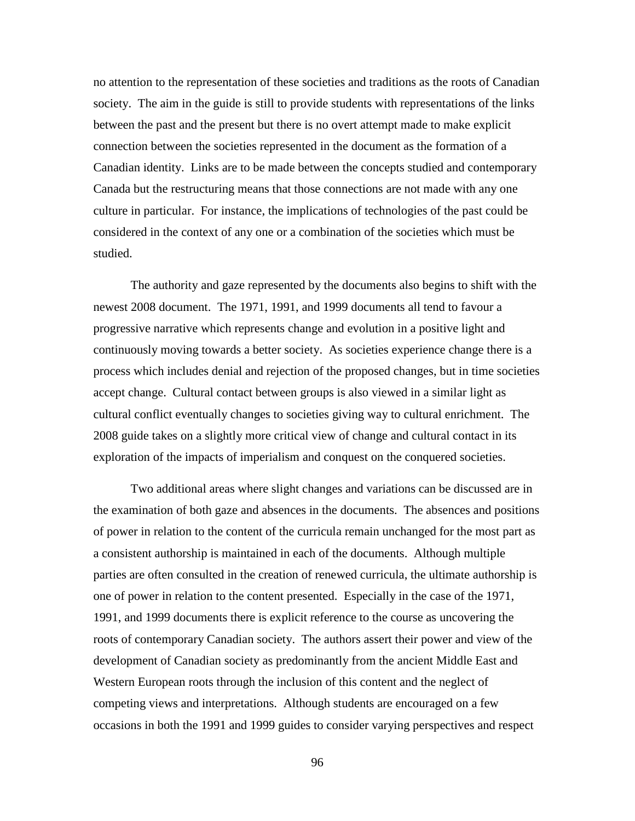no attention to the representation of these societies and traditions as the roots of Canadian society. The aim in the guide is still to provide students with representations of the links between the past and the present but there is no overt attempt made to make explicit connection between the societies represented in the document as the formation of a Canadian identity. Links are to be made between the concepts studied and contemporary Canada but the restructuring means that those connections are not made with any one culture in particular. For instance, the implications of technologies of the past could be considered in the context of any one or a combination of the societies which must be studied.

The authority and gaze represented by the documents also begins to shift with the newest 2008 document. The 1971, 1991, and 1999 documents all tend to favour a progressive narrative which represents change and evolution in a positive light and continuously moving towards a better society. As societies experience change there is a process which includes denial and rejection of the proposed changes, but in time societies accept change. Cultural contact between groups is also viewed in a similar light as cultural conflict eventually changes to societies giving way to cultural enrichment. The 2008 guide takes on a slightly more critical view of change and cultural contact in its exploration of the impacts of imperialism and conquest on the conquered societies.

Two additional areas where slight changes and variations can be discussed are in the examination of both gaze and absences in the documents. The absences and positions of power in relation to the content of the curricula remain unchanged for the most part as a consistent authorship is maintained in each of the documents. Although multiple parties are often consulted in the creation of renewed curricula, the ultimate authorship is one of power in relation to the content presented. Especially in the case of the 1971, 1991, and 1999 documents there is explicit reference to the course as uncovering the roots of contemporary Canadian society. The authors assert their power and view of the development of Canadian society as predominantly from the ancient Middle East and Western European roots through the inclusion of this content and the neglect of competing views and interpretations. Although students are encouraged on a few occasions in both the 1991 and 1999 guides to consider varying perspectives and respect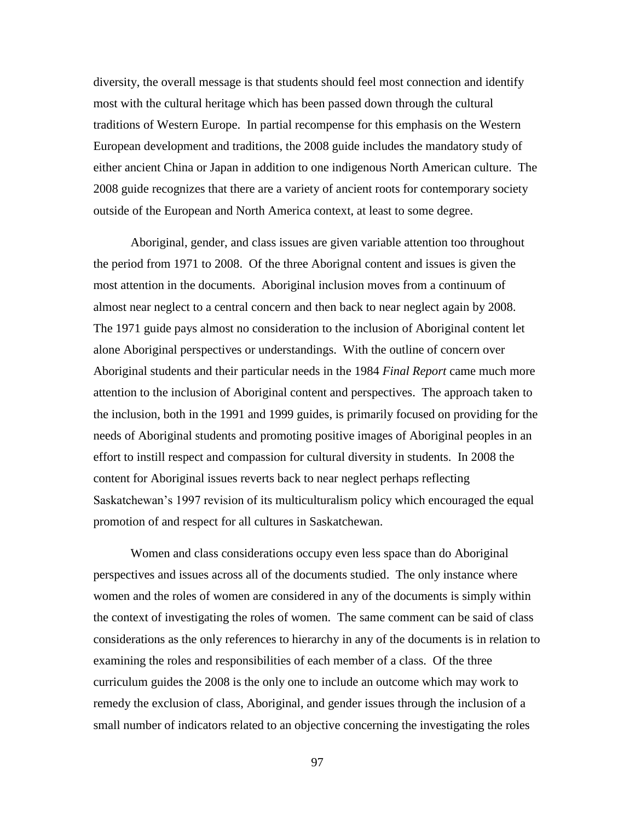diversity, the overall message is that students should feel most connection and identify most with the cultural heritage which has been passed down through the cultural traditions of Western Europe. In partial recompense for this emphasis on the Western European development and traditions, the 2008 guide includes the mandatory study of either ancient China or Japan in addition to one indigenous North American culture. The 2008 guide recognizes that there are a variety of ancient roots for contemporary society outside of the European and North America context, at least to some degree.

Aboriginal, gender, and class issues are given variable attention too throughout the period from 1971 to 2008. Of the three Aborignal content and issues is given the most attention in the documents. Aboriginal inclusion moves from a continuum of almost near neglect to a central concern and then back to near neglect again by 2008. The 1971 guide pays almost no consideration to the inclusion of Aboriginal content let alone Aboriginal perspectives or understandings. With the outline of concern over Aboriginal students and their particular needs in the 1984 *Final Report* came much more attention to the inclusion of Aboriginal content and perspectives. The approach taken to the inclusion, both in the 1991 and 1999 guides, is primarily focused on providing for the needs of Aboriginal students and promoting positive images of Aboriginal peoples in an effort to instill respect and compassion for cultural diversity in students. In 2008 the content for Aboriginal issues reverts back to near neglect perhaps reflecting Saskatchewan's 1997 revision of its multiculturalism policy which encouraged the equal promotion of and respect for all cultures in Saskatchewan.

Women and class considerations occupy even less space than do Aboriginal perspectives and issues across all of the documents studied. The only instance where women and the roles of women are considered in any of the documents is simply within the context of investigating the roles of women. The same comment can be said of class considerations as the only references to hierarchy in any of the documents is in relation to examining the roles and responsibilities of each member of a class. Of the three curriculum guides the 2008 is the only one to include an outcome which may work to remedy the exclusion of class, Aboriginal, and gender issues through the inclusion of a small number of indicators related to an objective concerning the investigating the roles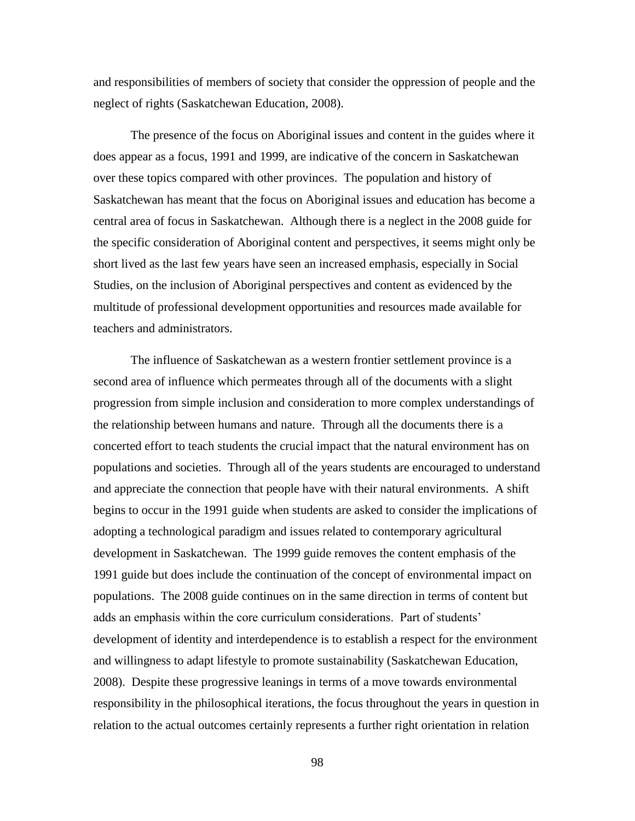and responsibilities of members of society that consider the oppression of people and the neglect of rights (Saskatchewan Education, 2008).

The presence of the focus on Aboriginal issues and content in the guides where it does appear as a focus, 1991 and 1999, are indicative of the concern in Saskatchewan over these topics compared with other provinces. The population and history of Saskatchewan has meant that the focus on Aboriginal issues and education has become a central area of focus in Saskatchewan. Although there is a neglect in the 2008 guide for the specific consideration of Aboriginal content and perspectives, it seems might only be short lived as the last few years have seen an increased emphasis, especially in Social Studies, on the inclusion of Aboriginal perspectives and content as evidenced by the multitude of professional development opportunities and resources made available for teachers and administrators.

The influence of Saskatchewan as a western frontier settlement province is a second area of influence which permeates through all of the documents with a slight progression from simple inclusion and consideration to more complex understandings of the relationship between humans and nature. Through all the documents there is a concerted effort to teach students the crucial impact that the natural environment has on populations and societies. Through all of the years students are encouraged to understand and appreciate the connection that people have with their natural environments. A shift begins to occur in the 1991 guide when students are asked to consider the implications of adopting a technological paradigm and issues related to contemporary agricultural development in Saskatchewan. The 1999 guide removes the content emphasis of the 1991 guide but does include the continuation of the concept of environmental impact on populations. The 2008 guide continues on in the same direction in terms of content but adds an emphasis within the core curriculum considerations. Part of students' development of identity and interdependence is to establish a respect for the environment and willingness to adapt lifestyle to promote sustainability (Saskatchewan Education, 2008). Despite these progressive leanings in terms of a move towards environmental responsibility in the philosophical iterations, the focus throughout the years in question in relation to the actual outcomes certainly represents a further right orientation in relation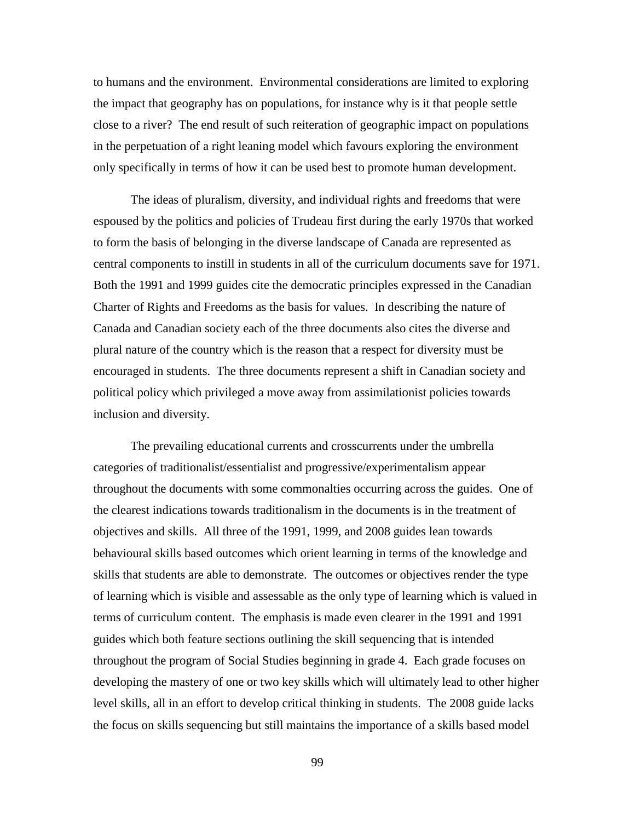to humans and the environment. Environmental considerations are limited to exploring the impact that geography has on populations, for instance why is it that people settle close to a river? The end result of such reiteration of geographic impact on populations in the perpetuation of a right leaning model which favours exploring the environment only specifically in terms of how it can be used best to promote human development.

The ideas of pluralism, diversity, and individual rights and freedoms that were espoused by the politics and policies of Trudeau first during the early 1970s that worked to form the basis of belonging in the diverse landscape of Canada are represented as central components to instill in students in all of the curriculum documents save for 1971. Both the 1991 and 1999 guides cite the democratic principles expressed in the Canadian Charter of Rights and Freedoms as the basis for values. In describing the nature of Canada and Canadian society each of the three documents also cites the diverse and plural nature of the country which is the reason that a respect for diversity must be encouraged in students. The three documents represent a shift in Canadian society and political policy which privileged a move away from assimilationist policies towards inclusion and diversity.

The prevailing educational currents and crosscurrents under the umbrella categories of traditionalist/essentialist and progressive/experimentalism appear throughout the documents with some commonalties occurring across the guides. One of the clearest indications towards traditionalism in the documents is in the treatment of objectives and skills. All three of the 1991, 1999, and 2008 guides lean towards behavioural skills based outcomes which orient learning in terms of the knowledge and skills that students are able to demonstrate. The outcomes or objectives render the type of learning which is visible and assessable as the only type of learning which is valued in terms of curriculum content. The emphasis is made even clearer in the 1991 and 1991 guides which both feature sections outlining the skill sequencing that is intended throughout the program of Social Studies beginning in grade 4. Each grade focuses on developing the mastery of one or two key skills which will ultimately lead to other higher level skills, all in an effort to develop critical thinking in students. The 2008 guide lacks the focus on skills sequencing but still maintains the importance of a skills based model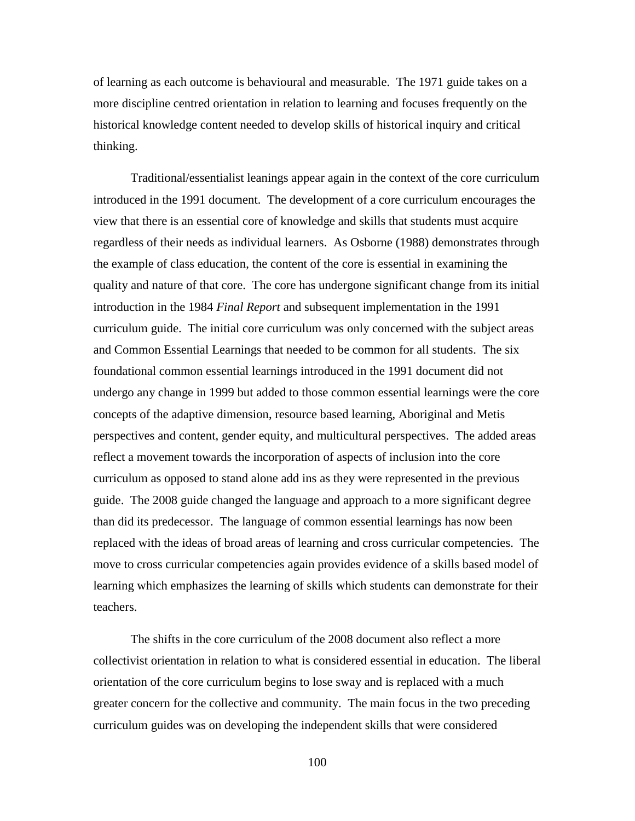of learning as each outcome is behavioural and measurable. The 1971 guide takes on a more discipline centred orientation in relation to learning and focuses frequently on the historical knowledge content needed to develop skills of historical inquiry and critical thinking.

Traditional/essentialist leanings appear again in the context of the core curriculum introduced in the 1991 document. The development of a core curriculum encourages the view that there is an essential core of knowledge and skills that students must acquire regardless of their needs as individual learners. As Osborne (1988) demonstrates through the example of class education, the content of the core is essential in examining the quality and nature of that core. The core has undergone significant change from its initial introduction in the 1984 *Final Report* and subsequent implementation in the 1991 curriculum guide. The initial core curriculum was only concerned with the subject areas and Common Essential Learnings that needed to be common for all students. The six foundational common essential learnings introduced in the 1991 document did not undergo any change in 1999 but added to those common essential learnings were the core concepts of the adaptive dimension, resource based learning, Aboriginal and Metis perspectives and content, gender equity, and multicultural perspectives. The added areas reflect a movement towards the incorporation of aspects of inclusion into the core curriculum as opposed to stand alone add ins as they were represented in the previous guide. The 2008 guide changed the language and approach to a more significant degree than did its predecessor. The language of common essential learnings has now been replaced with the ideas of broad areas of learning and cross curricular competencies. The move to cross curricular competencies again provides evidence of a skills based model of learning which emphasizes the learning of skills which students can demonstrate for their teachers.

The shifts in the core curriculum of the 2008 document also reflect a more collectivist orientation in relation to what is considered essential in education. The liberal orientation of the core curriculum begins to lose sway and is replaced with a much greater concern for the collective and community. The main focus in the two preceding curriculum guides was on developing the independent skills that were considered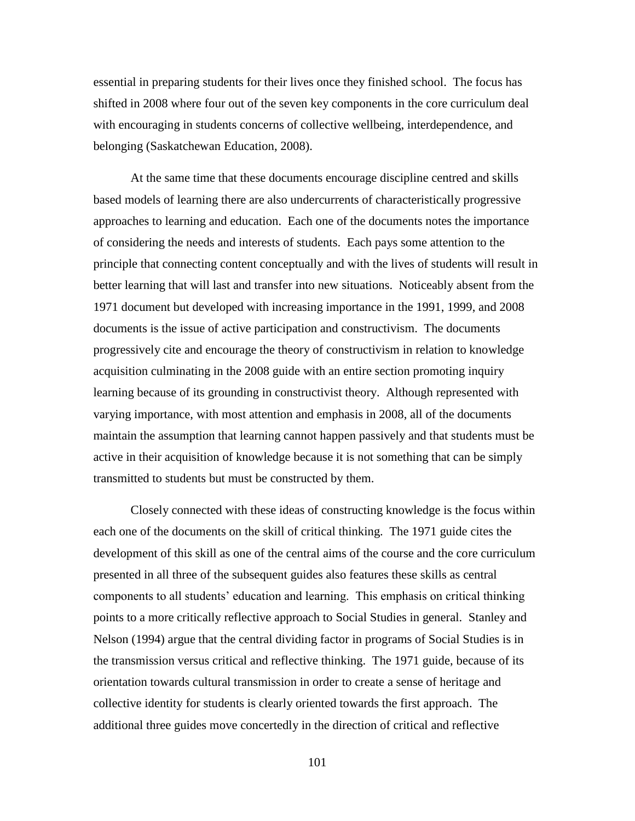essential in preparing students for their lives once they finished school. The focus has shifted in 2008 where four out of the seven key components in the core curriculum deal with encouraging in students concerns of collective wellbeing, interdependence, and belonging (Saskatchewan Education, 2008).

At the same time that these documents encourage discipline centred and skills based models of learning there are also undercurrents of characteristically progressive approaches to learning and education. Each one of the documents notes the importance of considering the needs and interests of students. Each pays some attention to the principle that connecting content conceptually and with the lives of students will result in better learning that will last and transfer into new situations. Noticeably absent from the 1971 document but developed with increasing importance in the 1991, 1999, and 2008 documents is the issue of active participation and constructivism. The documents progressively cite and encourage the theory of constructivism in relation to knowledge acquisition culminating in the 2008 guide with an entire section promoting inquiry learning because of its grounding in constructivist theory. Although represented with varying importance, with most attention and emphasis in 2008, all of the documents maintain the assumption that learning cannot happen passively and that students must be active in their acquisition of knowledge because it is not something that can be simply transmitted to students but must be constructed by them.

Closely connected with these ideas of constructing knowledge is the focus within each one of the documents on the skill of critical thinking. The 1971 guide cites the development of this skill as one of the central aims of the course and the core curriculum presented in all three of the subsequent guides also features these skills as central components to all students' education and learning. This emphasis on critical thinking points to a more critically reflective approach to Social Studies in general. Stanley and Nelson (1994) argue that the central dividing factor in programs of Social Studies is in the transmission versus critical and reflective thinking. The 1971 guide, because of its orientation towards cultural transmission in order to create a sense of heritage and collective identity for students is clearly oriented towards the first approach. The additional three guides move concertedly in the direction of critical and reflective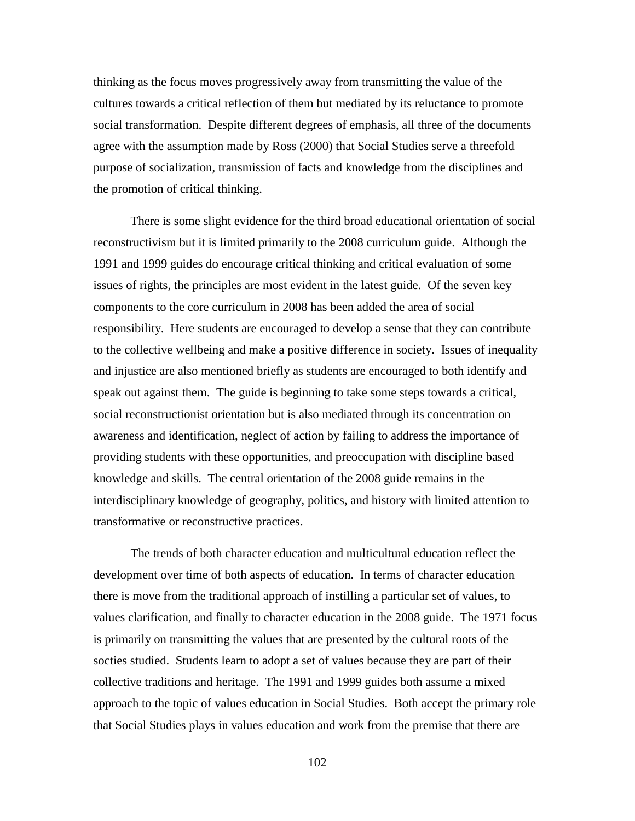thinking as the focus moves progressively away from transmitting the value of the cultures towards a critical reflection of them but mediated by its reluctance to promote social transformation. Despite different degrees of emphasis, all three of the documents agree with the assumption made by Ross (2000) that Social Studies serve a threefold purpose of socialization, transmission of facts and knowledge from the disciplines and the promotion of critical thinking.

There is some slight evidence for the third broad educational orientation of social reconstructivism but it is limited primarily to the 2008 curriculum guide. Although the 1991 and 1999 guides do encourage critical thinking and critical evaluation of some issues of rights, the principles are most evident in the latest guide. Of the seven key components to the core curriculum in 2008 has been added the area of social responsibility. Here students are encouraged to develop a sense that they can contribute to the collective wellbeing and make a positive difference in society. Issues of inequality and injustice are also mentioned briefly as students are encouraged to both identify and speak out against them. The guide is beginning to take some steps towards a critical, social reconstructionist orientation but is also mediated through its concentration on awareness and identification, neglect of action by failing to address the importance of providing students with these opportunities, and preoccupation with discipline based knowledge and skills. The central orientation of the 2008 guide remains in the interdisciplinary knowledge of geography, politics, and history with limited attention to transformative or reconstructive practices.

The trends of both character education and multicultural education reflect the development over time of both aspects of education. In terms of character education there is move from the traditional approach of instilling a particular set of values, to values clarification, and finally to character education in the 2008 guide. The 1971 focus is primarily on transmitting the values that are presented by the cultural roots of the socties studied. Students learn to adopt a set of values because they are part of their collective traditions and heritage. The 1991 and 1999 guides both assume a mixed approach to the topic of values education in Social Studies. Both accept the primary role that Social Studies plays in values education and work from the premise that there are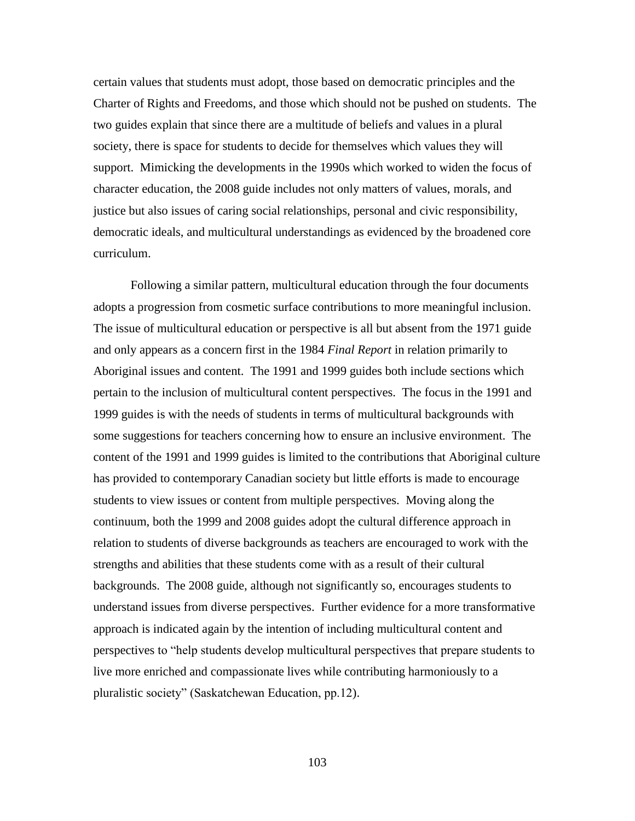certain values that students must adopt, those based on democratic principles and the Charter of Rights and Freedoms, and those which should not be pushed on students. The two guides explain that since there are a multitude of beliefs and values in a plural society, there is space for students to decide for themselves which values they will support. Mimicking the developments in the 1990s which worked to widen the focus of character education, the 2008 guide includes not only matters of values, morals, and justice but also issues of caring social relationships, personal and civic responsibility, democratic ideals, and multicultural understandings as evidenced by the broadened core curriculum.

Following a similar pattern, multicultural education through the four documents adopts a progression from cosmetic surface contributions to more meaningful inclusion. The issue of multicultural education or perspective is all but absent from the 1971 guide and only appears as a concern first in the 1984 *Final Report* in relation primarily to Aboriginal issues and content. The 1991 and 1999 guides both include sections which pertain to the inclusion of multicultural content perspectives. The focus in the 1991 and 1999 guides is with the needs of students in terms of multicultural backgrounds with some suggestions for teachers concerning how to ensure an inclusive environment. The content of the 1991 and 1999 guides is limited to the contributions that Aboriginal culture has provided to contemporary Canadian society but little efforts is made to encourage students to view issues or content from multiple perspectives. Moving along the continuum, both the 1999 and 2008 guides adopt the cultural difference approach in relation to students of diverse backgrounds as teachers are encouraged to work with the strengths and abilities that these students come with as a result of their cultural backgrounds. The 2008 guide, although not significantly so, encourages students to understand issues from diverse perspectives. Further evidence for a more transformative approach is indicated again by the intention of including multicultural content and perspectives to "help students develop multicultural perspectives that prepare students to live more enriched and compassionate lives while contributing harmoniously to a pluralistic society" (Saskatchewan Education, pp.12).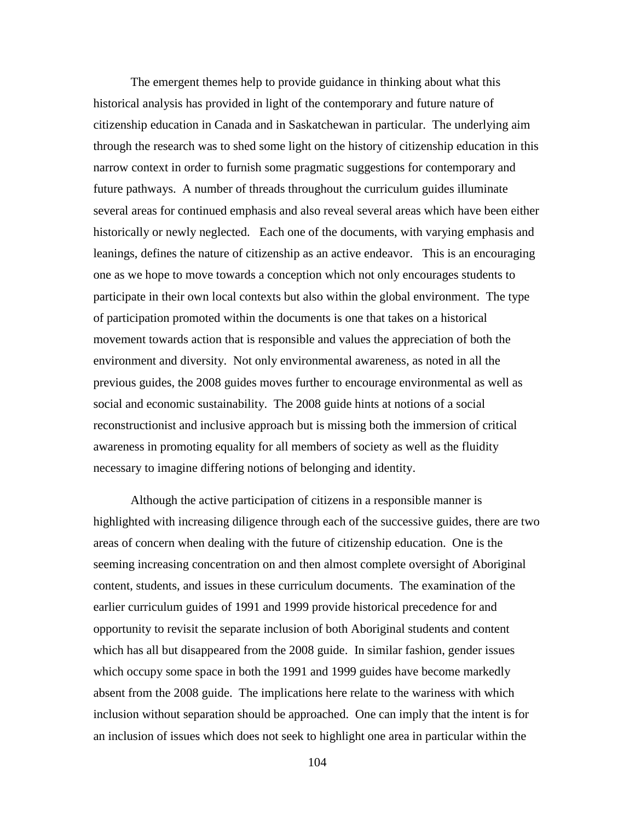The emergent themes help to provide guidance in thinking about what this historical analysis has provided in light of the contemporary and future nature of citizenship education in Canada and in Saskatchewan in particular. The underlying aim through the research was to shed some light on the history of citizenship education in this narrow context in order to furnish some pragmatic suggestions for contemporary and future pathways. A number of threads throughout the curriculum guides illuminate several areas for continued emphasis and also reveal several areas which have been either historically or newly neglected. Each one of the documents, with varying emphasis and leanings, defines the nature of citizenship as an active endeavor. This is an encouraging one as we hope to move towards a conception which not only encourages students to participate in their own local contexts but also within the global environment. The type of participation promoted within the documents is one that takes on a historical movement towards action that is responsible and values the appreciation of both the environment and diversity. Not only environmental awareness, as noted in all the previous guides, the 2008 guides moves further to encourage environmental as well as social and economic sustainability. The 2008 guide hints at notions of a social reconstructionist and inclusive approach but is missing both the immersion of critical awareness in promoting equality for all members of society as well as the fluidity necessary to imagine differing notions of belonging and identity.

Although the active participation of citizens in a responsible manner is highlighted with increasing diligence through each of the successive guides, there are two areas of concern when dealing with the future of citizenship education. One is the seeming increasing concentration on and then almost complete oversight of Aboriginal content, students, and issues in these curriculum documents. The examination of the earlier curriculum guides of 1991 and 1999 provide historical precedence for and opportunity to revisit the separate inclusion of both Aboriginal students and content which has all but disappeared from the 2008 guide. In similar fashion, gender issues which occupy some space in both the 1991 and 1999 guides have become markedly absent from the 2008 guide. The implications here relate to the wariness with which inclusion without separation should be approached. One can imply that the intent is for an inclusion of issues which does not seek to highlight one area in particular within the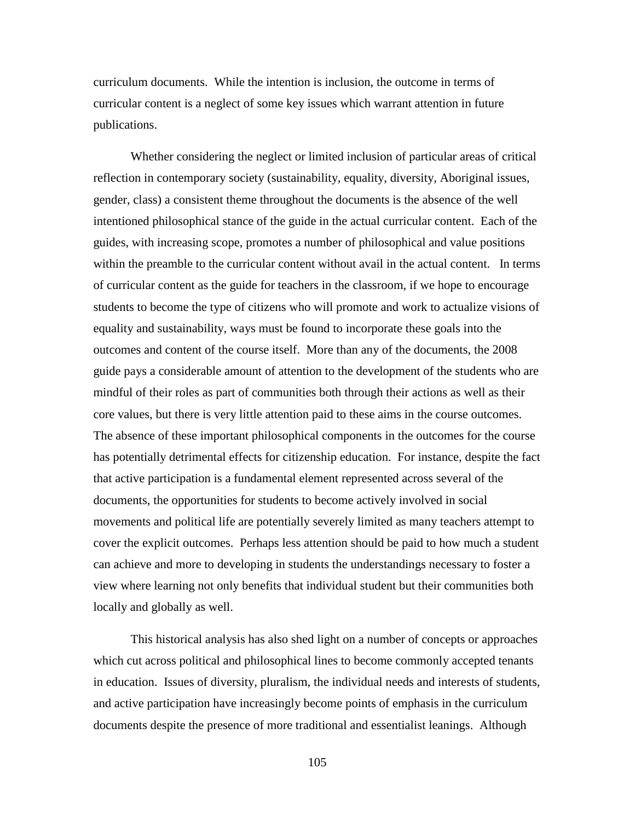curriculum documents. While the intention is inclusion, the outcome in terms of curricular content is a neglect of some key issues which warrant attention in future publications.

Whether considering the neglect or limited inclusion of particular areas of critical reflection in contemporary society (sustainability, equality, diversity, Aboriginal issues, gender, class) a consistent theme throughout the documents is the absence of the well intentioned philosophical stance of the guide in the actual curricular content. Each of the guides, with increasing scope, promotes a number of philosophical and value positions within the preamble to the curricular content without avail in the actual content. In terms of curricular content as the guide for teachers in the classroom, if we hope to encourage students to become the type of citizens who will promote and work to actualize visions of equality and sustainability, ways must be found to incorporate these goals into the outcomes and content of the course itself. More than any of the documents, the 2008 guide pays a considerable amount of attention to the development of the students who are mindful of their roles as part of communities both through their actions as well as their core values, but there is very little attention paid to these aims in the course outcomes. The absence of these important philosophical components in the outcomes for the course has potentially detrimental effects for citizenship education. For instance, despite the fact that active participation is a fundamental element represented across several of the documents, the opportunities for students to become actively involved in social movements and political life are potentially severely limited as many teachers attempt to cover the explicit outcomes. Perhaps less attention should be paid to how much a student can achieve and more to developing in students the understandings necessary to foster a view where learning not only benefits that individual student but their communities both locally and globally as well.

This historical analysis has also shed light on a number of concepts or approaches which cut across political and philosophical lines to become commonly accepted tenants in education. Issues of diversity, pluralism, the individual needs and interests of students, and active participation have increasingly become points of emphasis in the curriculum documents despite the presence of more traditional and essentialist leanings. Although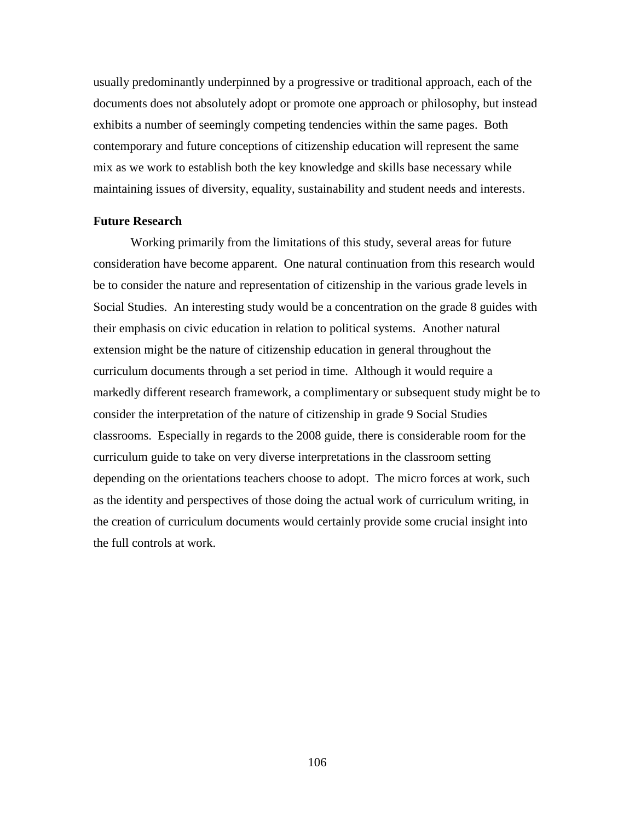usually predominantly underpinned by a progressive or traditional approach, each of the documents does not absolutely adopt or promote one approach or philosophy, but instead exhibits a number of seemingly competing tendencies within the same pages. Both contemporary and future conceptions of citizenship education will represent the same mix as we work to establish both the key knowledge and skills base necessary while maintaining issues of diversity, equality, sustainability and student needs and interests.

#### **Future Research**

Working primarily from the limitations of this study, several areas for future consideration have become apparent. One natural continuation from this research would be to consider the nature and representation of citizenship in the various grade levels in Social Studies. An interesting study would be a concentration on the grade 8 guides with their emphasis on civic education in relation to political systems. Another natural extension might be the nature of citizenship education in general throughout the curriculum documents through a set period in time. Although it would require a markedly different research framework, a complimentary or subsequent study might be to consider the interpretation of the nature of citizenship in grade 9 Social Studies classrooms. Especially in regards to the 2008 guide, there is considerable room for the curriculum guide to take on very diverse interpretations in the classroom setting depending on the orientations teachers choose to adopt. The micro forces at work, such as the identity and perspectives of those doing the actual work of curriculum writing, in the creation of curriculum documents would certainly provide some crucial insight into the full controls at work.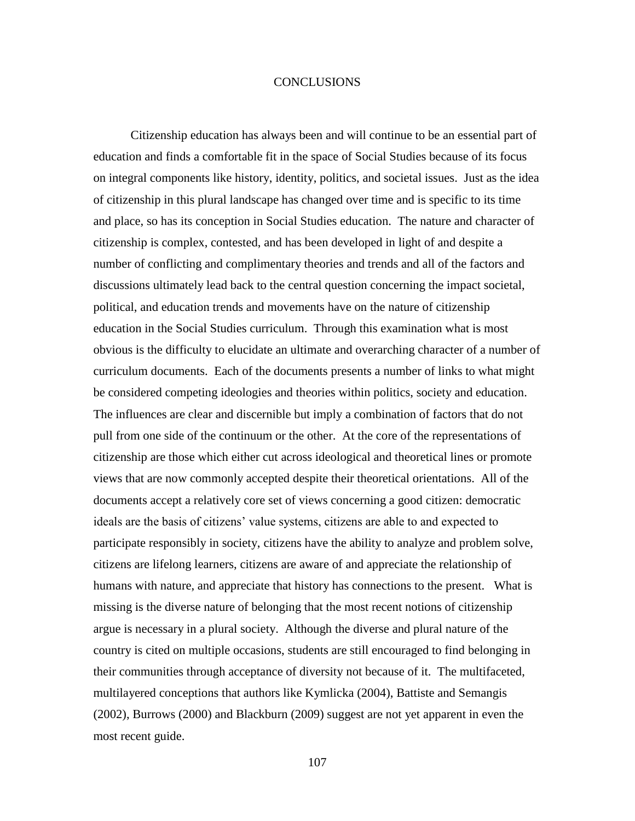#### **CONCLUSIONS**

Citizenship education has always been and will continue to be an essential part of education and finds a comfortable fit in the space of Social Studies because of its focus on integral components like history, identity, politics, and societal issues. Just as the idea of citizenship in this plural landscape has changed over time and is specific to its time and place, so has its conception in Social Studies education. The nature and character of citizenship is complex, contested, and has been developed in light of and despite a number of conflicting and complimentary theories and trends and all of the factors and discussions ultimately lead back to the central question concerning the impact societal, political, and education trends and movements have on the nature of citizenship education in the Social Studies curriculum. Through this examination what is most obvious is the difficulty to elucidate an ultimate and overarching character of a number of curriculum documents. Each of the documents presents a number of links to what might be considered competing ideologies and theories within politics, society and education. The influences are clear and discernible but imply a combination of factors that do not pull from one side of the continuum or the other. At the core of the representations of citizenship are those which either cut across ideological and theoretical lines or promote views that are now commonly accepted despite their theoretical orientations. All of the documents accept a relatively core set of views concerning a good citizen: democratic ideals are the basis of citizens' value systems, citizens are able to and expected to participate responsibly in society, citizens have the ability to analyze and problem solve, citizens are lifelong learners, citizens are aware of and appreciate the relationship of humans with nature, and appreciate that history has connections to the present. What is missing is the diverse nature of belonging that the most recent notions of citizenship argue is necessary in a plural society. Although the diverse and plural nature of the country is cited on multiple occasions, students are still encouraged to find belonging in their communities through acceptance of diversity not because of it. The multifaceted, multilayered conceptions that authors like Kymlicka (2004), Battiste and Semangis (2002), Burrows (2000) and Blackburn (2009) suggest are not yet apparent in even the most recent guide.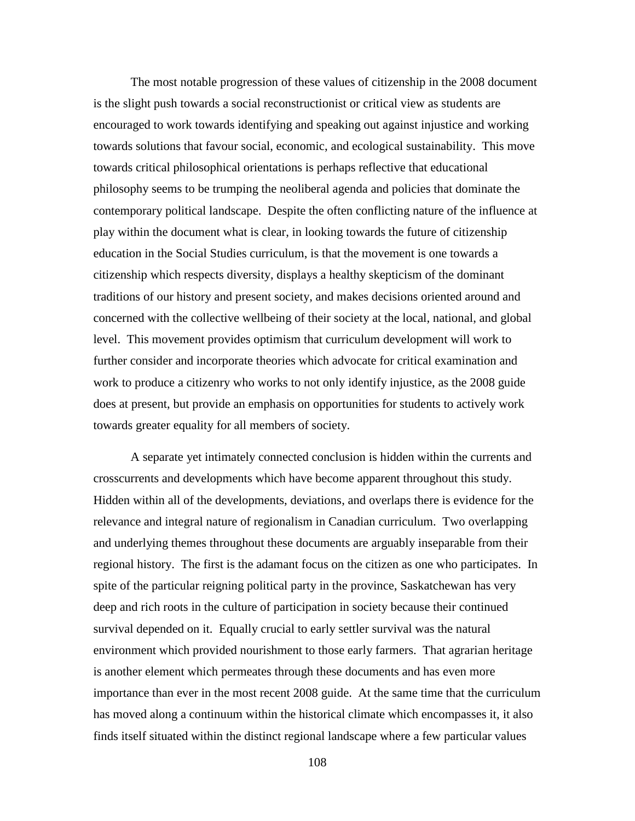The most notable progression of these values of citizenship in the 2008 document is the slight push towards a social reconstructionist or critical view as students are encouraged to work towards identifying and speaking out against injustice and working towards solutions that favour social, economic, and ecological sustainability. This move towards critical philosophical orientations is perhaps reflective that educational philosophy seems to be trumping the neoliberal agenda and policies that dominate the contemporary political landscape. Despite the often conflicting nature of the influence at play within the document what is clear, in looking towards the future of citizenship education in the Social Studies curriculum, is that the movement is one towards a citizenship which respects diversity, displays a healthy skepticism of the dominant traditions of our history and present society, and makes decisions oriented around and concerned with the collective wellbeing of their society at the local, national, and global level. This movement provides optimism that curriculum development will work to further consider and incorporate theories which advocate for critical examination and work to produce a citizenry who works to not only identify injustice, as the 2008 guide does at present, but provide an emphasis on opportunities for students to actively work towards greater equality for all members of society.

A separate yet intimately connected conclusion is hidden within the currents and crosscurrents and developments which have become apparent throughout this study. Hidden within all of the developments, deviations, and overlaps there is evidence for the relevance and integral nature of regionalism in Canadian curriculum. Two overlapping and underlying themes throughout these documents are arguably inseparable from their regional history. The first is the adamant focus on the citizen as one who participates. In spite of the particular reigning political party in the province, Saskatchewan has very deep and rich roots in the culture of participation in society because their continued survival depended on it. Equally crucial to early settler survival was the natural environment which provided nourishment to those early farmers. That agrarian heritage is another element which permeates through these documents and has even more importance than ever in the most recent 2008 guide. At the same time that the curriculum has moved along a continuum within the historical climate which encompasses it, it also finds itself situated within the distinct regional landscape where a few particular values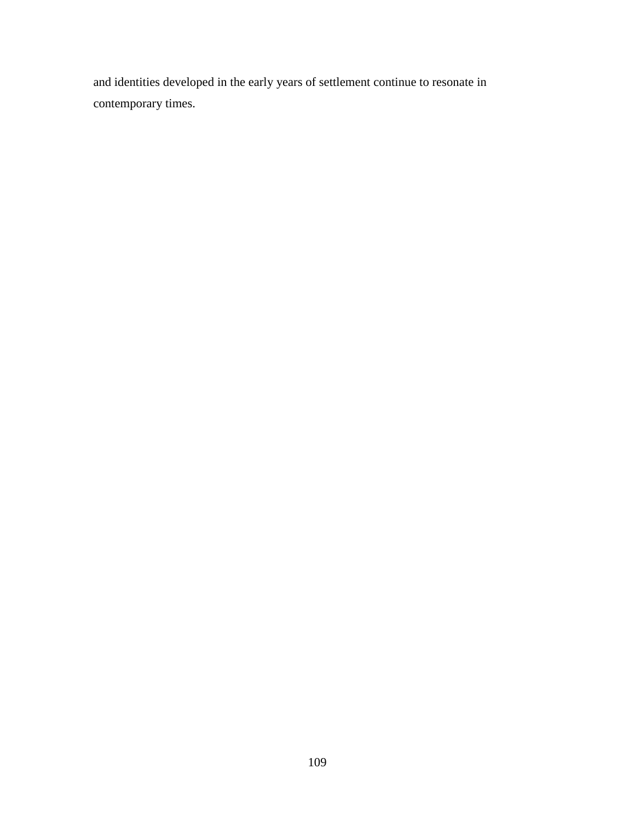and identities developed in the early years of settlement continue to resonate in contemporary times.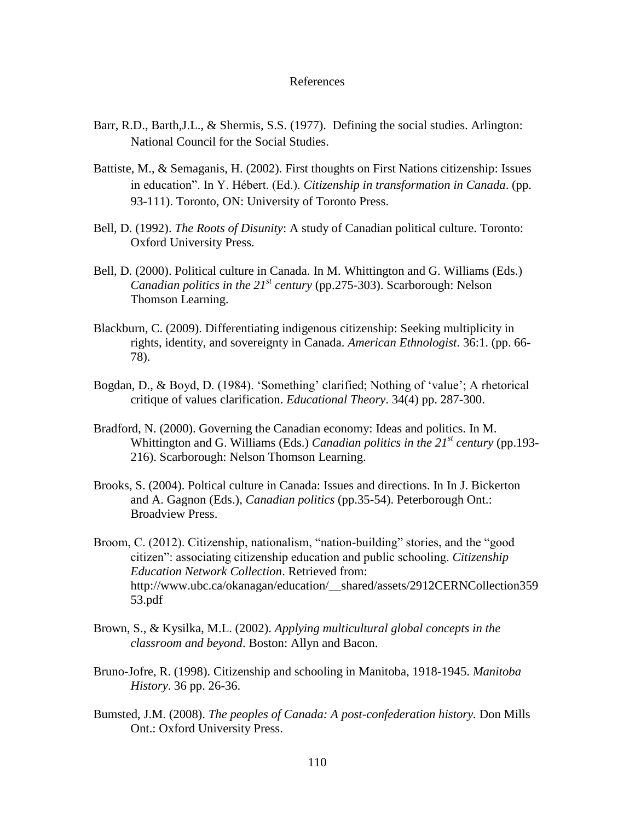#### References

- Barr, R.D., Barth,J.L., & Shermis, S.S. (1977). Defining the social studies. Arlington: National Council for the Social Studies.
- Battiste, M., & Semaganis, H. (2002). First thoughts on First Nations citizenship: Issues in education". In Y. Hébert. (Ed.). *Citizenship in transformation in Canada*. (pp. 93-111). Toronto, ON: University of Toronto Press.
- Bell, D. (1992). *The Roots of Disunity*: A study of Canadian political culture. Toronto: Oxford University Press.
- Bell, D. (2000). Political culture in Canada. In M. Whittington and G. Williams (Eds.) *Canadian politics in the 21st century* (pp.275-303). Scarborough: Nelson Thomson Learning.
- Blackburn, C. (2009). Differentiating indigenous citizenship: Seeking multiplicity in rights, identity, and sovereignty in Canada. *American Ethnologist*. 36:1. (pp. 66- 78).
- Bogdan, D., & Boyd, D. (1984). 'Something' clarified; Nothing of 'value'; A rhetorical critique of values clarification. *Educational Theory*. 34(4) pp. 287-300.
- Bradford, N. (2000). Governing the Canadian economy: Ideas and politics. In M. Whittington and G. Williams (Eds.) *Canadian politics in the 21st century* (pp.193- 216). Scarborough: Nelson Thomson Learning.
- Brooks, S. (2004). Poltical culture in Canada: Issues and directions. In In J. Bickerton and A. Gagnon (Eds.), *Canadian politics* (pp.35-54). Peterborough Ont.: Broadview Press.
- Broom, C. (2012). Citizenship, nationalism, "nation-building" stories, and the "good citizen": associating citizenship education and public schooling. *Citizenship Education Network Collection*. Retrieved from: http://www.ubc.ca/okanagan/education/\_\_shared/assets/2912CERNCollection359 53.pdf
- Brown, S., & Kysilka, M.L. (2002). *Applying multicultural global concepts in the classroom and beyond*. Boston: Allyn and Bacon.
- Bruno-Jofre, R. (1998). Citizenship and schooling in Manitoba, 1918-1945. *Manitoba History*. 36 pp. 26-36.
- Bumsted, J.M. (2008). *The peoples of Canada: A post-confederation history.* Don Mills Ont.: Oxford University Press.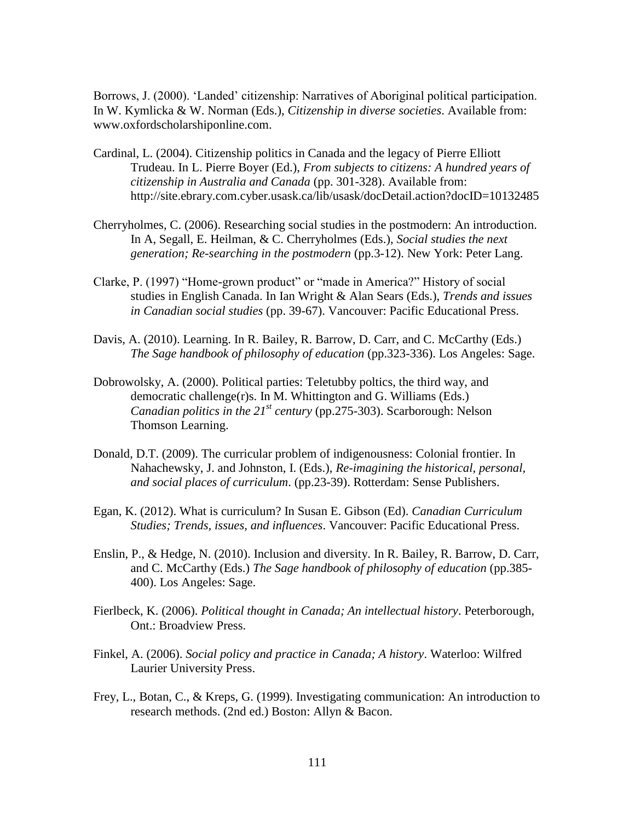Borrows, J. (2000). 'Landed' citizenship: Narratives of Aboriginal political participation. In W. Kymlicka & W. Norman (Eds.), *Citizenship in diverse societies*. Available from: www.oxfordscholarshiponline.com.

- Cardinal, L. (2004). Citizenship politics in Canada and the legacy of Pierre Elliott Trudeau. In L. Pierre Boyer (Ed.), *From subjects to citizens: A hundred years of citizenship in Australia and Canada* (pp. 301-328). Available from: http://site.ebrary.com.cyber.usask.ca/lib/usask/docDetail.action?docID=10132485
- Cherryholmes, C. (2006). Researching social studies in the postmodern: An introduction. In A, Segall, E. Heilman, & C. Cherryholmes (Eds.), *Social studies the next generation; Re-searching in the postmodern* (pp.3-12). New York: Peter Lang.
- Clarke, P. (1997) "Home-grown product" or "made in America?" History of social studies in English Canada. In Ian Wright & Alan Sears (Eds.), *Trends and issues in Canadian social studies* (pp. 39-67). Vancouver: Pacific Educational Press.
- Davis, A. (2010). Learning. In R. Bailey, R. Barrow, D. Carr, and C. McCarthy (Eds.) *The Sage handbook of philosophy of education* (pp.323-336). Los Angeles: Sage.
- Dobrowolsky, A. (2000). Political parties: Teletubby poltics, the third way, and democratic challenge(r)s. In M. Whittington and G. Williams (Eds.) *Canadian politics in the 21st century* (pp.275-303). Scarborough: Nelson Thomson Learning.
- Donald, D.T. (2009). The curricular problem of indigenousness: Colonial frontier. In Nahachewsky, J. and Johnston, I. (Eds.), *Re-imagining the historical, personal, and social places of curriculum*. (pp.23-39). Rotterdam: Sense Publishers.
- Egan, K. (2012). What is curriculum? In Susan E. Gibson (Ed). *Canadian Curriculum Studies; Trends, issues, and influences*. Vancouver: Pacific Educational Press.
- Enslin, P., & Hedge, N. (2010). Inclusion and diversity. In R. Bailey, R. Barrow, D. Carr, and C. McCarthy (Eds.) *The Sage handbook of philosophy of education* (pp.385- 400). Los Angeles: Sage.
- Fierlbeck, K. (2006). *Political thought in Canada; An intellectual history*. Peterborough, Ont.: Broadview Press.
- Finkel, A. (2006). *Social policy and practice in Canada; A history*. Waterloo: Wilfred Laurier University Press.
- Frey, L., Botan, C., & Kreps, G. (1999). Investigating communication: An introduction to research methods. (2nd ed.) Boston: Allyn & Bacon.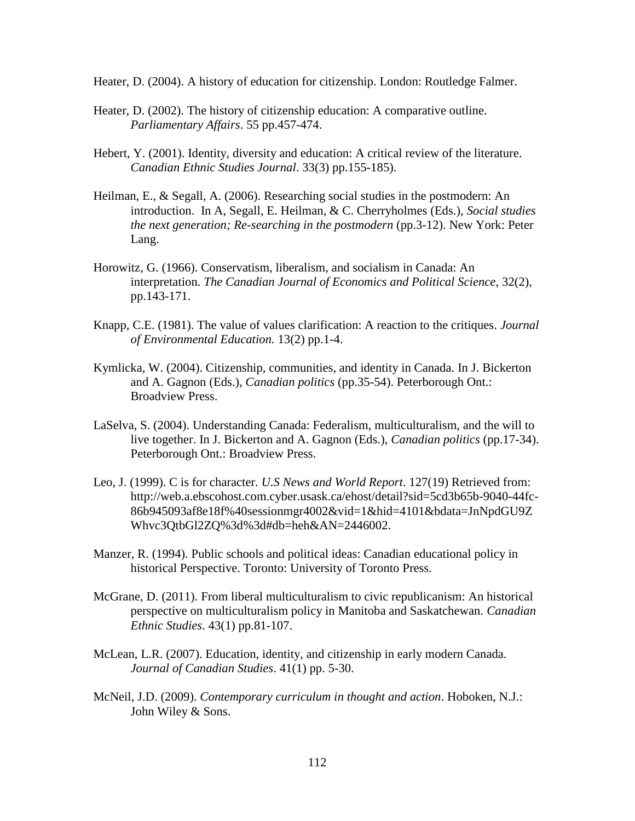Heater, D. (2004). A history of education for citizenship. London: Routledge Falmer.

- Heater, D. (2002). The history of citizenship education: A comparative outline. *Parliamentary Affairs*. 55 pp.457-474.
- Hebert, Y. (2001). Identity, diversity and education: A critical review of the literature. *Canadian Ethnic Studies Journal*. 33(3) pp.155-185).
- Heilman, E., & Segall, A. (2006). Researching social studies in the postmodern: An introduction. In A, Segall, E. Heilman, & C. Cherryholmes (Eds.), *Social studies the next generation; Re-searching in the postmodern* (pp.3-12). New York: Peter Lang.
- Horowitz, G. (1966). Conservatism, liberalism, and socialism in Canada: An interpretation. *The Canadian Journal of Economics and Political Science*, 32(2), pp.143-171.
- Knapp, C.E. (1981). The value of values clarification: A reaction to the critiques. *Journal of Environmental Education.* 13(2) pp.1-4.
- Kymlicka, W. (2004). Citizenship, communities, and identity in Canada. In J. Bickerton and A. Gagnon (Eds.), *Canadian politics* (pp.35-54). Peterborough Ont.: Broadview Press.
- LaSelva, S. (2004). Understanding Canada: Federalism, multiculturalism, and the will to live together. In J. Bickerton and A. Gagnon (Eds.), *Canadian politics* (pp.17-34). Peterborough Ont.: Broadview Press.
- Leo, J. (1999). C is for character. *U.S News and World Report*. 127(19) Retrieved from: http://web.a.ebscohost.com.cyber.usask.ca/ehost/detail?sid=5cd3b65b-9040-44fc-86b945093af8e18f%40sessionmgr4002&vid=1&hid=4101&bdata=JnNpdGU9Z Whvc3QtbGl2ZQ%3d%3d#db=heh&AN=2446002.
- Manzer, R. (1994). Public schools and political ideas: Canadian educational policy in historical Perspective. Toronto: University of Toronto Press.
- McGrane, D. (2011). From liberal multiculturalism to civic republicanism: An historical perspective on multiculturalism policy in Manitoba and Saskatchewan. *Canadian Ethnic Studies*. 43(1) pp.81-107.
- McLean, L.R. (2007). Education, identity, and citizenship in early modern Canada. *Journal of Canadian Studies*. 41(1) pp. 5-30.
- McNeil, J.D. (2009). *Contemporary curriculum in thought and action*. Hoboken, N.J.: John Wiley & Sons.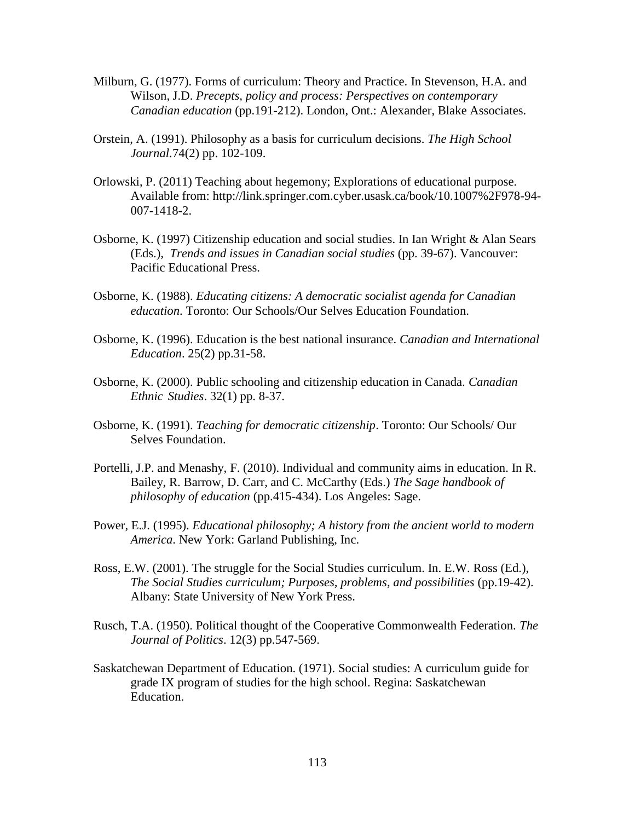- Milburn, G. (1977). Forms of curriculum: Theory and Practice. In Stevenson, H.A. and Wilson, J.D. *Precepts, policy and process: Perspectives on contemporary Canadian education* (pp.191-212). London, Ont.: Alexander, Blake Associates.
- Orstein, A. (1991). Philosophy as a basis for curriculum decisions. *The High School Journal.*74(2) pp. 102-109.
- Orlowski, P. (2011) Teaching about hegemony; Explorations of educational purpose. Available from: http://link.springer.com.cyber.usask.ca/book/10.1007%2F978-94- 007-1418-2.
- Osborne, K. (1997) Citizenship education and social studies. In Ian Wright & Alan Sears (Eds.), *Trends and issues in Canadian social studies* (pp. 39-67). Vancouver: Pacific Educational Press.
- Osborne, K. (1988). *Educating citizens: A democratic socialist agenda for Canadian education*. Toronto: Our Schools/Our Selves Education Foundation.
- Osborne, K. (1996). Education is the best national insurance. *Canadian and International Education*. 25(2) pp.31-58.
- Osborne, K. (2000). Public schooling and citizenship education in Canada. *Canadian Ethnic Studies*. 32(1) pp. 8-37.
- Osborne, K. (1991). *Teaching for democratic citizenship*. Toronto: Our Schools/ Our Selves Foundation.
- Portelli, J.P. and Menashy, F. (2010). Individual and community aims in education. In R. Bailey, R. Barrow, D. Carr, and C. McCarthy (Eds.) *The Sage handbook of philosophy of education* (pp.415-434). Los Angeles: Sage.
- Power, E.J. (1995). *Educational philosophy; A history from the ancient world to modern America*. New York: Garland Publishing, Inc.
- Ross, E.W. (2001). The struggle for the Social Studies curriculum. In. E.W. Ross (Ed.), *The Social Studies curriculum; Purposes, problems, and possibilities* (pp.19-42). Albany: State University of New York Press.
- Rusch, T.A. (1950). Political thought of the Cooperative Commonwealth Federation. *The Journal of Politics*. 12(3) pp.547-569.
- Saskatchewan Department of Education. (1971). Social studies: A curriculum guide for grade IX program of studies for the high school. Regina: Saskatchewan Education.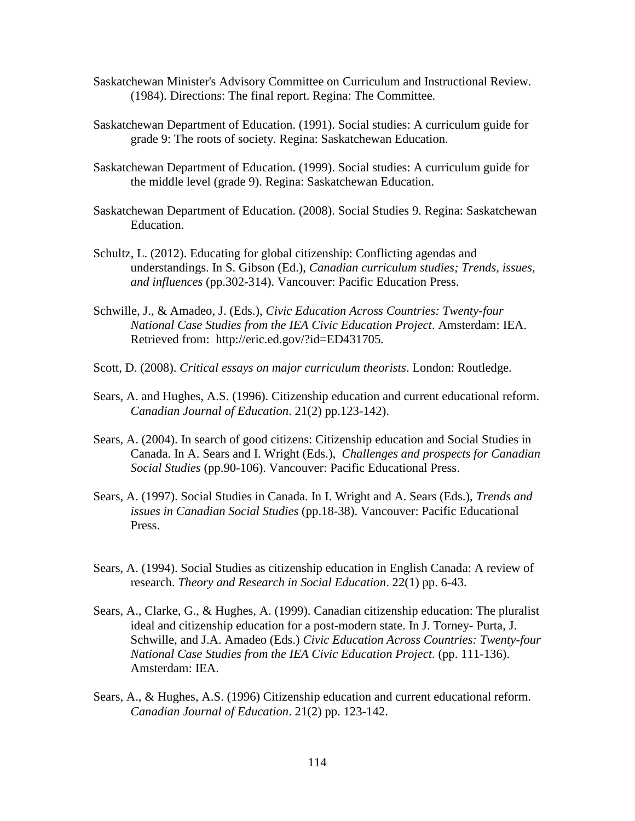- Saskatchewan Minister's Advisory Committee on Curriculum and Instructional Review. (1984). Directions: The final report. Regina: The Committee.
- Saskatchewan Department of Education. (1991). Social studies: A curriculum guide for grade 9: The roots of society. Regina: Saskatchewan Education.
- Saskatchewan Department of Education. (1999). Social studies: A curriculum guide for the middle level (grade 9). Regina: Saskatchewan Education.
- Saskatchewan Department of Education. (2008). Social Studies 9. Regina: Saskatchewan Education.
- Schultz, L. (2012). Educating for global citizenship: Conflicting agendas and understandings. In S. Gibson (Ed.), *Canadian curriculum studies; Trends, issues, and influences* (pp.302-314). Vancouver: Pacific Education Press.
- Schwille, J., & Amadeo, J. (Eds.), *Civic Education Across Countries: Twenty-four National Case Studies from the IEA Civic Education Project*. Amsterdam: IEA. Retrieved from: http://eric.ed.gov/?id=ED431705.
- Scott, D. (2008). *Critical essays on major curriculum theorists*. London: Routledge.
- Sears, A. and Hughes, A.S. (1996). Citizenship education and current educational reform. *Canadian Journal of Education*. 21(2) pp.123-142).
- Sears, A. (2004). In search of good citizens: Citizenship education and Social Studies in Canada. In A. Sears and I. Wright (Eds.), *Challenges and prospects for Canadian Social Studies* (pp.90-106). Vancouver: Pacific Educational Press.
- Sears, A. (1997). Social Studies in Canada. In I. Wright and A. Sears (Eds.), *Trends and issues in Canadian Social Studies* (pp.18-38). Vancouver: Pacific Educational Press.
- Sears, A. (1994). Social Studies as citizenship education in English Canada: A review of research. *Theory and Research in Social Education*. 22(1) pp. 6-43.
- Sears, A., Clarke, G., & Hughes, A. (1999). Canadian citizenship education: The pluralist ideal and citizenship education for a post-modern state. In J. Torney- Purta, J. Schwille, and J.A. Amadeo (Eds.) *Civic Education Across Countries: Twenty-four National Case Studies from the IEA Civic Education Project*. (pp. 111-136). Amsterdam: IEA.
- Sears, A., & Hughes, A.S. (1996) Citizenship education and current educational reform. *Canadian Journal of Education*. 21(2) pp. 123-142.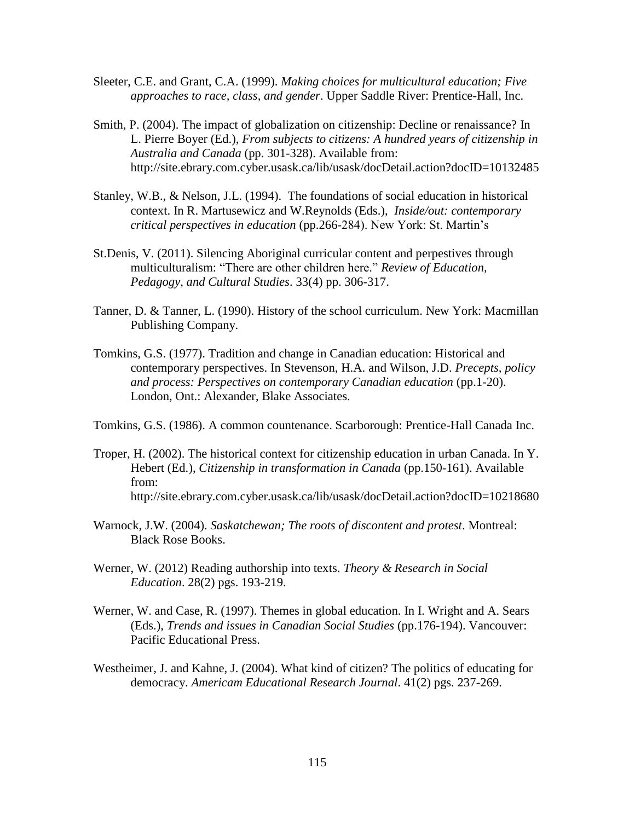- Sleeter, C.E. and Grant, C.A. (1999). *Making choices for multicultural education; Five approaches to race, class, and gender*. Upper Saddle River: Prentice-Hall, Inc.
- Smith, P. (2004). The impact of globalization on citizenship: Decline or renaissance? In L. Pierre Boyer (Ed.), *From subjects to citizens: A hundred years of citizenship in Australia and Canada* (pp. 301-328). Available from: http://site.ebrary.com.cyber.usask.ca/lib/usask/docDetail.action?docID=10132485
- Stanley, W.B., & Nelson, J.L. (1994). The foundations of social education in historical context. In R. Martusewicz and W.Reynolds (Eds.), *Inside/out: contemporary critical perspectives in education* (pp.266-284). New York: St. Martin's
- St.Denis, V. (2011). Silencing Aboriginal curricular content and perpestives through multiculturalism: "There are other children here." *Review of Education, Pedagogy, and Cultural Studies*. 33(4) pp. 306-317.
- Tanner, D. & Tanner, L. (1990). History of the school curriculum. New York: Macmillan Publishing Company.
- Tomkins, G.S. (1977). Tradition and change in Canadian education: Historical and contemporary perspectives. In Stevenson, H.A. and Wilson, J.D. *Precepts, policy and process: Perspectives on contemporary Canadian education* (pp.1-20). London, Ont.: Alexander, Blake Associates.

Tomkins, G.S. (1986). A common countenance. Scarborough: Prentice-Hall Canada Inc.

- Troper, H. (2002). The historical context for citizenship education in urban Canada. In Y. Hebert (Ed.), *Citizenship in transformation in Canada* (pp.150-161). Available from: http://site.ebrary.com.cyber.usask.ca/lib/usask/docDetail.action?docID=10218680
- Warnock, J.W. (2004). *Saskatchewan; The roots of discontent and protest*. Montreal: Black Rose Books.
- Werner, W. (2012) Reading authorship into texts. *Theory & Research in Social Education*. 28(2) pgs. 193-219.
- Werner, W. and Case, R. (1997). Themes in global education. In I. Wright and A. Sears (Eds.), *Trends and issues in Canadian Social Studies* (pp.176-194). Vancouver: Pacific Educational Press.
- Westheimer, J. and Kahne, J. (2004). What kind of citizen? The politics of educating for democracy. *Americam Educational Research Journal*. 41(2) pgs. 237-269.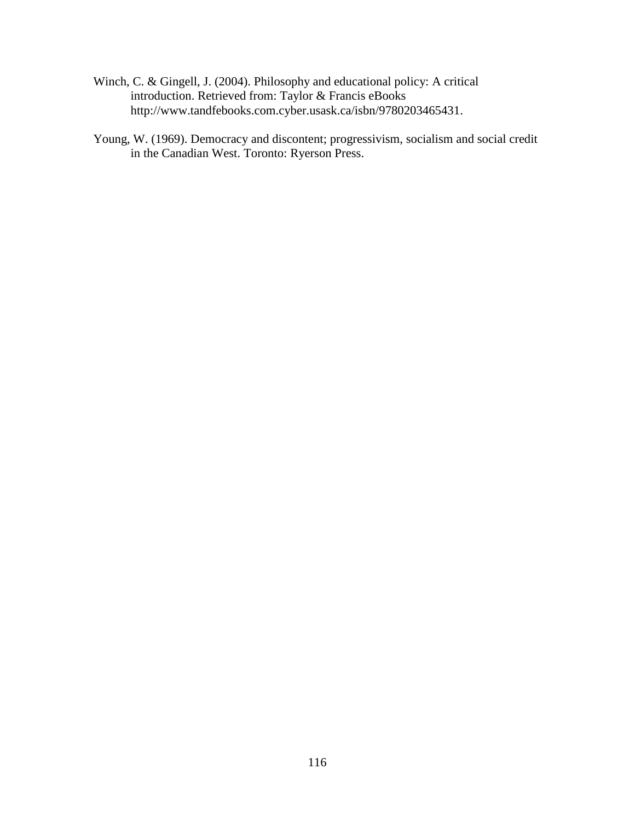- Winch, C. & Gingell, J. (2004). Philosophy and educational policy: A critical introduction. Retrieved from: Taylor & Francis eBooks http://www.tandfebooks.com.cyber.usask.ca/isbn/9780203465431.
- Young, W. (1969). Democracy and discontent; progressivism, socialism and social credit in the Canadian West. Toronto: Ryerson Press.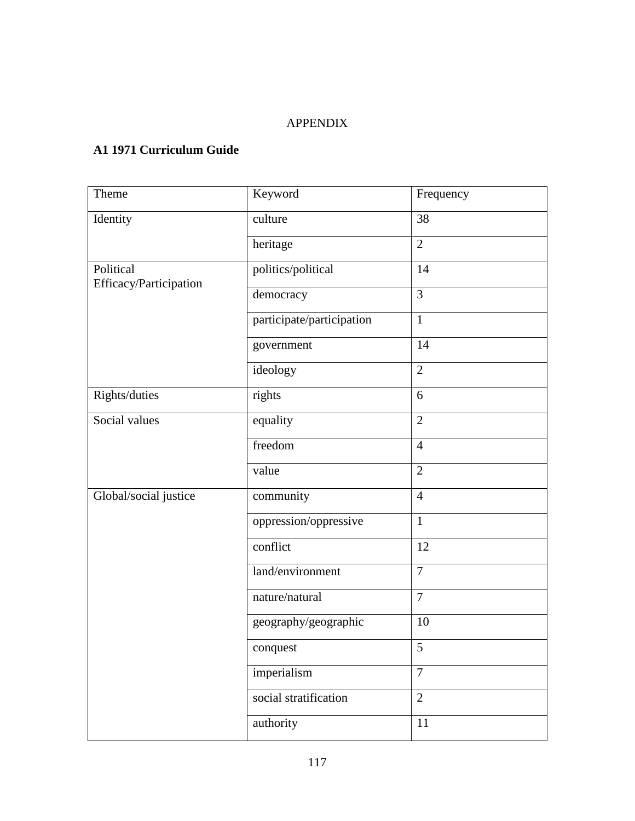### APPENDIX

### **A1 1971 Curriculum Guide**

| Theme                  | Keyword                   | Frequency      |
|------------------------|---------------------------|----------------|
| Identity               | culture                   | 38             |
|                        | heritage                  | $\overline{2}$ |
| Political              | politics/political        | 14             |
| Efficacy/Participation | democracy                 | 3              |
|                        | participate/participation | $\mathbf{1}$   |
|                        | government                | 14             |
|                        | ideology                  | $\overline{2}$ |
| Rights/duties          | rights                    | 6              |
| Social values          | equality                  | $\overline{2}$ |
|                        | freedom                   | $\overline{4}$ |
|                        | value                     | $\mathbf{2}$   |
| Global/social justice  | community                 | $\overline{4}$ |
|                        | oppression/oppressive     | $\mathbf{1}$   |
|                        | conflict                  | 12             |
|                        | land/environment          | $\overline{7}$ |
|                        | nature/natural            | $\tau$         |
|                        | geography/geographic      | 10             |
|                        | conquest                  | 5              |
|                        | imperialism               | $\overline{7}$ |
|                        | social stratification     | $\overline{2}$ |
|                        | authority                 | $11\,$         |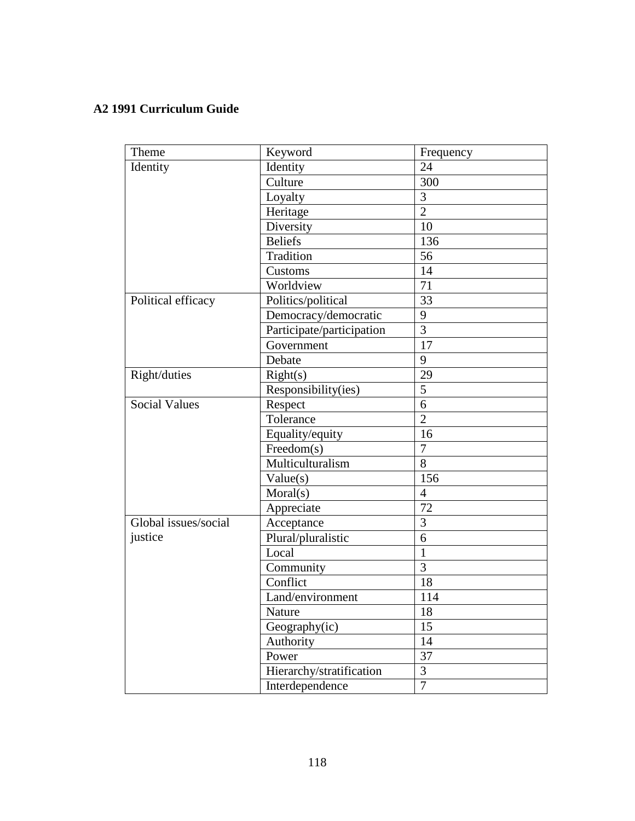### **A2 1991 Curriculum Guide**

| Theme                | Keyword                   | Frequency      |
|----------------------|---------------------------|----------------|
| Identity             | Identity                  | 24             |
|                      | Culture                   | 300            |
|                      | Loyalty                   | 3              |
|                      | Heritage                  | $\overline{2}$ |
|                      | Diversity                 | 10             |
|                      | <b>Beliefs</b>            | 136            |
|                      | Tradition                 | 56             |
|                      | Customs                   | 14             |
|                      | Worldview                 | 71             |
| Political efficacy   | Politics/political        | 33             |
|                      | Democracy/democratic      | 9              |
|                      | Participate/participation | 3              |
|                      | Government                | 17             |
|                      | Debate                    | 9              |
| Right/duties         | Right(s)                  | 29             |
|                      | Responsibility(ies)       | 5              |
| <b>Social Values</b> | Respect                   | 6              |
|                      | Tolerance                 | $\overline{2}$ |
|                      | Equality/equity           | 16             |
|                      | Freedom(s)                | $\overline{7}$ |
|                      | Multiculturalism          | 8              |
|                      | Value(s)                  | 156            |
|                      | Moral(s)                  | $\overline{4}$ |
|                      | Appreciate                | 72             |
| Global issues/social | Acceptance                | $\overline{3}$ |
| justice              | Plural/pluralistic        | 6              |
|                      | Local                     | $\mathbf{1}$   |
|                      | Community                 | 3              |
|                      | Conflict                  | 18             |
|                      | Land/environment          | 114            |
|                      | Nature                    | 18             |
|                      | Geography(ic)             | 15             |
|                      | Authority                 | 14             |
|                      | Power                     | 37             |
|                      | Hierarchy/stratification  | $\overline{3}$ |
|                      | Interdependence           | $\overline{7}$ |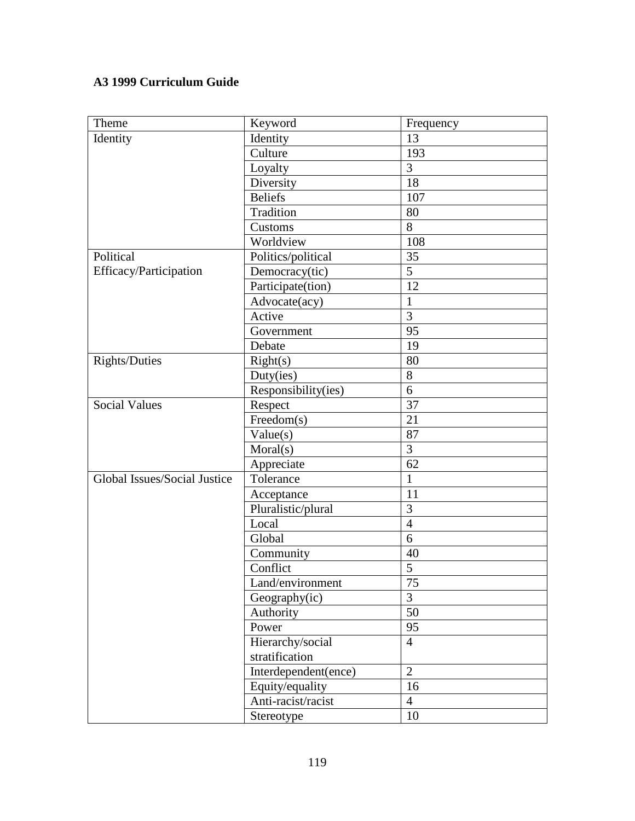## **A3 1999 Curriculum Guide**

| Theme                        | Keyword              | Frequency       |
|------------------------------|----------------------|-----------------|
| Identity                     | Identity             | 13              |
|                              | Culture              | 193             |
|                              | Loyalty              | 3               |
|                              | Diversity            | 18              |
|                              | <b>Beliefs</b>       | 107             |
|                              | Tradition            | 80              |
|                              | Customs              | 8               |
|                              | Worldview            | 108             |
| Political                    | Politics/political   | 35              |
| Efficacy/Participation       | Democracy(tic)       | 5               |
|                              | Participate(tion)    | 12              |
|                              | Advocate(acy)        | $\mathbf{1}$    |
|                              | Active               | 3               |
|                              | Government           | 95              |
|                              | Debate               | 19              |
| Rights/Duties                | Right(s)             | 80              |
|                              | Duty(ies)            | 8               |
|                              | Responsibility(ies)  | 6               |
| <b>Social Values</b>         | Respect              | 37              |
|                              | Freedom(s)           | 21              |
|                              | Value(s)             | 87              |
|                              | Moral(s)             | 3               |
|                              | Appreciate           | 62              |
| Global Issues/Social Justice | Tolerance            | $\mathbf{1}$    |
|                              | Acceptance           | 11              |
|                              | Pluralistic/plural   | 3               |
|                              | Local                | $\overline{4}$  |
|                              | Global               | 6               |
|                              | Community            | 40              |
|                              | Conflict             | 5               |
|                              | Land/environment     | $\overline{75}$ |
|                              | Geography(ic)        | $\overline{3}$  |
|                              | Authority            | 50              |
|                              | Power                | 95              |
|                              | Hierarchy/social     | $\overline{4}$  |
|                              | stratification       |                 |
|                              | Interdependent(ence) | $\overline{2}$  |
|                              | Equity/equality      | 16              |
|                              | Anti-racist/racist   | $\overline{4}$  |
|                              | Stereotype           | 10              |